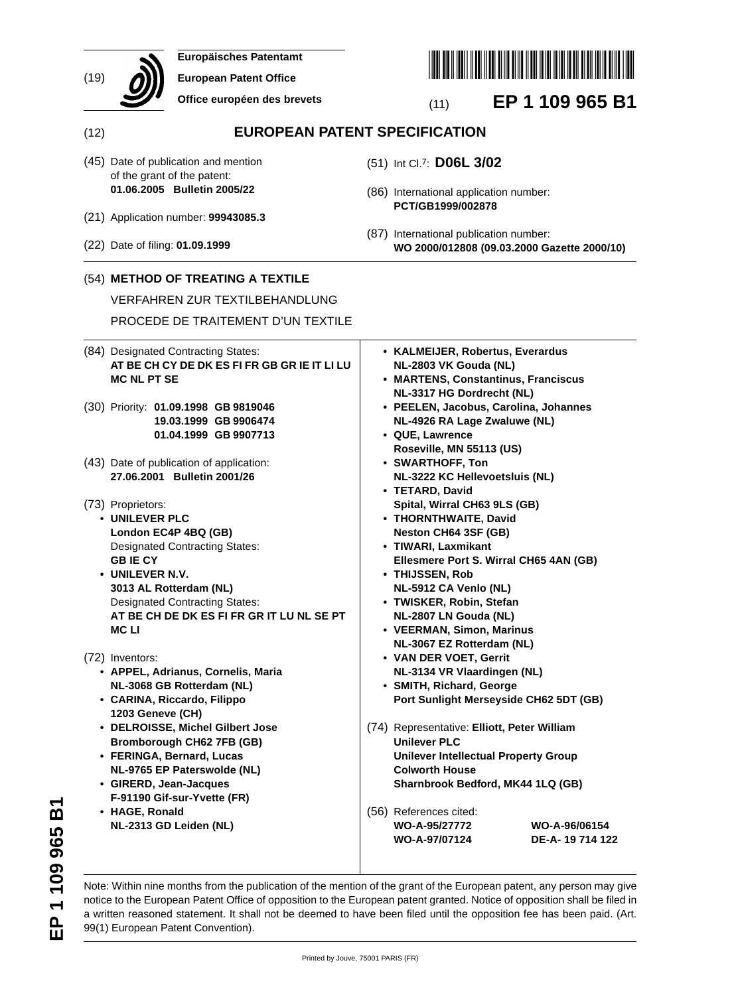|      | Europäisches Patentamt                                                                                                                                                                                                                                                                                                                                                         |                                                                                                                                                                                                                                                                                                                                                                                                                |
|------|--------------------------------------------------------------------------------------------------------------------------------------------------------------------------------------------------------------------------------------------------------------------------------------------------------------------------------------------------------------------------------|----------------------------------------------------------------------------------------------------------------------------------------------------------------------------------------------------------------------------------------------------------------------------------------------------------------------------------------------------------------------------------------------------------------|
| (19) | <b>European Patent Office</b>                                                                                                                                                                                                                                                                                                                                                  |                                                                                                                                                                                                                                                                                                                                                                                                                |
|      | Office européen des brevets                                                                                                                                                                                                                                                                                                                                                    | EP 1 109 965 B1<br>(11)                                                                                                                                                                                                                                                                                                                                                                                        |
| (12) |                                                                                                                                                                                                                                                                                                                                                                                | <b>EUROPEAN PATENT SPECIFICATION</b>                                                                                                                                                                                                                                                                                                                                                                           |
|      | (45) Date of publication and mention<br>of the grant of the patent:<br>01.06.2005 Bulletin 2005/22                                                                                                                                                                                                                                                                             | (51) Int Cl.7: D06L 3/02                                                                                                                                                                                                                                                                                                                                                                                       |
|      | (21) Application number: 99943085.3                                                                                                                                                                                                                                                                                                                                            | (86) International application number:<br>PCT/GB1999/002878                                                                                                                                                                                                                                                                                                                                                    |
|      | (22) Date of filing: 01.09.1999                                                                                                                                                                                                                                                                                                                                                | (87) International publication number:<br>WO 2000/012808 (09.03.2000 Gazette 2000/10)                                                                                                                                                                                                                                                                                                                          |
|      | (54) METHOD OF TREATING A TEXTILE                                                                                                                                                                                                                                                                                                                                              |                                                                                                                                                                                                                                                                                                                                                                                                                |
|      | <b>VERFAHREN ZUR TEXTILBEHANDLUNG</b>                                                                                                                                                                                                                                                                                                                                          |                                                                                                                                                                                                                                                                                                                                                                                                                |
|      | PROCEDE DE TRAITEMENT D'UN TEXTILE                                                                                                                                                                                                                                                                                                                                             |                                                                                                                                                                                                                                                                                                                                                                                                                |
|      | (84) Designated Contracting States:<br>AT BE CH CY DE DK ES FI FR GB GR IE IT LI LU<br><b>MC NL PT SE</b>                                                                                                                                                                                                                                                                      | • KALMEIJER, Robertus, Everardus<br>NL-2803 VK Gouda (NL)<br>• MARTENS, Constantinus, Franciscus<br>NL-3317 HG Dordrecht (NL)                                                                                                                                                                                                                                                                                  |
|      | (30) Priority: 01.09.1998 GB 9819046<br>19.03.1999 GB 9906474<br>01.04.1999 GB 9907713                                                                                                                                                                                                                                                                                         | • PEELEN, Jacobus, Carolina, Johannes<br>NL-4926 RA Lage Zwaluwe (NL)<br>• QUE, Lawrence<br>Roseville, MN 55113 (US)                                                                                                                                                                                                                                                                                           |
|      | (43) Date of publication of application:<br>27.06.2001 Bulletin 2001/26                                                                                                                                                                                                                                                                                                        | • SWARTHOFF, Ton<br>NL-3222 KC Hellevoetsluis (NL)<br>• TETARD, David                                                                                                                                                                                                                                                                                                                                          |
|      | (73) Proprietors:<br>• UNILEVER PLC<br>London EC4P 4BQ (GB)<br><b>Designated Contracting States:</b><br><b>GBIECY</b><br>• UNILEVER N.V.<br>3013 AL Rotterdam (NL)<br><b>Designated Contracting States:</b><br>AT BE CH DE DK ES FI FR GR IT LU NL SE PT<br><b>MCLI</b>                                                                                                        | Spital, Wirral CH63 9LS (GB)<br>• THORNTHWAITE, David<br>Neston CH64 3SF (GB)<br>• TIWARI, Laxmikant<br>Ellesmere Port S. Wirral CH65 4AN (GB)<br>• THIJSSEN, Rob<br>NL-5912 CA Venlo (NL)<br>• TWISKER, Robin, Stefan<br>NL-2807 LN Gouda (NL)<br>• VEERMAN, Simon, Marinus<br>NL-3067 EZ Rotterdam (NL)                                                                                                      |
|      | (72) Inventors:<br>• APPEL, Adrianus, Cornelis, Maria<br>NL-3068 GB Rotterdam (NL)<br>• CARINA, Riccardo, Filippo<br>1203 Geneve (CH)<br>• DELROISSE, Michel Gilbert Jose<br><b>Bromborough CH62 7FB (GB)</b><br>• FERINGA, Bernard, Lucas<br>NL-9765 EP Paterswolde (NL)<br>• GIRERD, Jean-Jacques<br>F-91190 Gif-sur-Yvette (FR)<br>• HAGE, Ronald<br>NL-2313 GD Leiden (NL) | • VAN DER VOET, Gerrit<br>NL-3134 VR Vlaardingen (NL)<br>• SMITH, Richard, George<br>Port Sunlight Merseyside CH62 5DT (GB)<br>(74) Representative: Elliott, Peter William<br><b>Unilever PLC</b><br><b>Unilever Intellectual Property Group</b><br><b>Colworth House</b><br>Sharnbrook Bedford, MK44 1LQ (GB)<br>(56) References cited:<br>WO-A-95/27772<br>WO-A-96/06154<br>DE-A-19 714 122<br>WO-A-97/07124 |

Note: Within nine months from the publication of the mention of the grant of the European patent, any person may give notice to the European Patent Office of opposition to the European patent granted. Notice of opposition shall be filed in a written reasoned statement. It shall not be deemed to have been filed until the opposition fee has been paid. (Art. 99(1) European Patent Convention).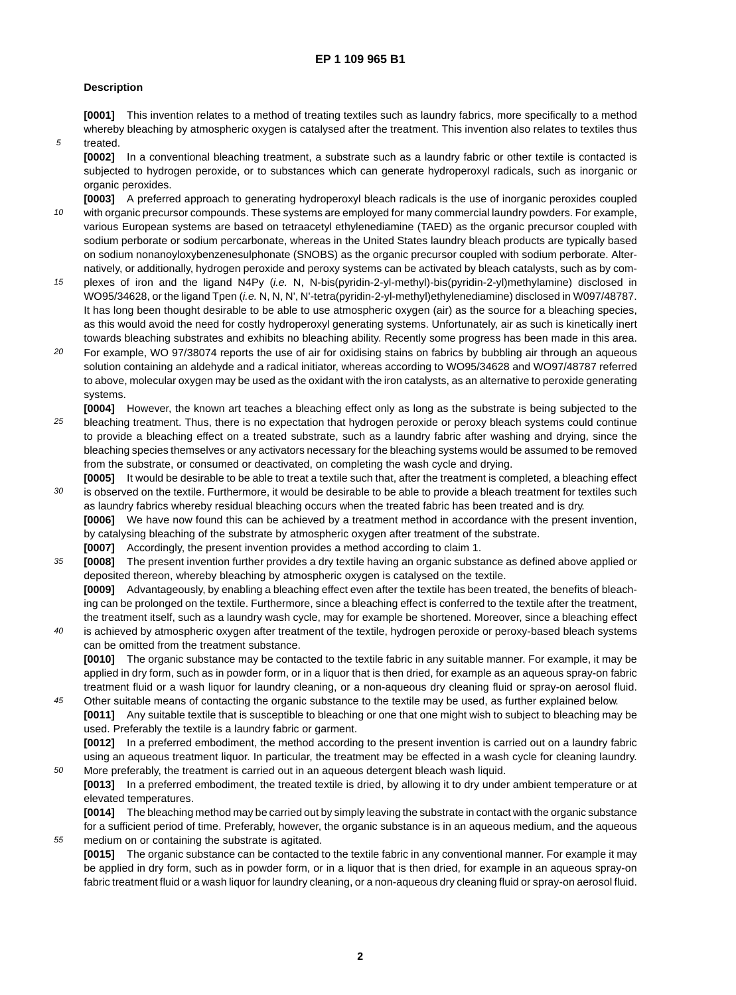## **Description**

5

50

55

**[0001]** This invention relates to a method of treating textiles such as laundry fabrics, more specifically to a method whereby bleaching by atmospheric oxygen is catalysed after the treatment. This invention also relates to textiles thus treated.

**[0002]** In a conventional bleaching treatment, a substrate such as a laundry fabric or other textile is contacted is subjected to hydrogen peroxide, or to substances which can generate hydroperoxyl radicals, such as inorganic or organic peroxides.

10 **[0003]** A preferred approach to generating hydroperoxyl bleach radicals is the use of inorganic peroxides coupled with organic precursor compounds. These systems are employed for many commercial laundry powders. For example, various European systems are based on tetraacetyl ethylenediamine (TAED) as the organic precursor coupled with sodium perborate or sodium percarbonate, whereas in the United States laundry bleach products are typically based on sodium nonanoyloxybenzenesulphonate (SNOBS) as the organic precursor coupled with sodium perborate. Alternatively, or additionally, hydrogen peroxide and peroxy systems can be activated by bleach catalysts, such as by com-

- 15 plexes of iron and the ligand N4Py (i.e. N, N-bis(pyridin-2-yl-methyl)-bis(pyridin-2-yl)methylamine) disclosed in WO95/34628, or the ligand Tpen (i.e. N, N, N', N'-tetra(pyridin-2-yl-methyl)ethylenediamine) disclosed in W097/48787. It has long been thought desirable to be able to use atmospheric oxygen (air) as the source for a bleaching species, as this would avoid the need for costly hydroperoxyl generating systems. Unfortunately, air as such is kinetically inert towards bleaching substrates and exhibits no bleaching ability. Recently some progress has been made in this area.
- 20 For example, WO 97/38074 reports the use of air for oxidising stains on fabrics by bubbling air through an aqueous solution containing an aldehyde and a radical initiator, whereas according to WO95/34628 and WO97/48787 referred to above, molecular oxygen may be used as the oxidant with the iron catalysts, as an alternative to peroxide generating systems.
- 25 **[0004]** However, the known art teaches a bleaching effect only as long as the substrate is being subjected to the bleaching treatment. Thus, there is no expectation that hydrogen peroxide or peroxy bleach systems could continue to provide a bleaching effect on a treated substrate, such as a laundry fabric after washing and drying, since the bleaching species themselves or any activators necessary for the bleaching systems would be assumed to be removed from the substrate, or consumed or deactivated, on completing the wash cycle and drying.
- 30 **[0005]** It would be desirable to be able to treat a textile such that, after the treatment is completed, a bleaching effect is observed on the textile. Furthermore, it would be desirable to be able to provide a bleach treatment for textiles such as laundry fabrics whereby residual bleaching occurs when the treated fabric has been treated and is dry. **[0006]** We have now found this can be achieved by a treatment method in accordance with the present invention, by catalysing bleaching of the substrate by atmospheric oxygen after treatment of the substrate.
	- **[0007]** Accordingly, the present invention provides a method according to claim 1.
- 35 **[0008]** The present invention further provides a dry textile having an organic substance as defined above applied or deposited thereon, whereby bleaching by atmospheric oxygen is catalysed on the textile.

**[0009]** Advantageously, by enabling a bleaching effect even after the textile has been treated, the benefits of bleaching can be prolonged on the textile. Furthermore, since a bleaching effect is conferred to the textile after the treatment, the treatment itself, such as a laundry wash cycle, may for example be shortened. Moreover, since a bleaching effect

 $40$ is achieved by atmospheric oxygen after treatment of the textile, hydrogen peroxide or peroxy-based bleach systems can be omitted from the treatment substance.

**[0010]** The organic substance may be contacted to the textile fabric in any suitable manner. For example, it may be applied in dry form, such as in powder form, or in a liquor that is then dried, for example as an aqueous spray-on fabric treatment fluid or a wash liquor for laundry cleaning, or a non-aqueous dry cleaning fluid or spray-on aerosol fluid.

45 Other suitable means of contacting the organic substance to the textile may be used, as further explained below. **[0011]** Any suitable textile that is susceptible to bleaching or one that one might wish to subject to bleaching may be used. Preferably the textile is a laundry fabric or garment.

**[0012]** In a preferred embodiment, the method according to the present invention is carried out on a laundry fabric using an aqueous treatment liquor. In particular, the treatment may be effected in a wash cycle for cleaning laundry. More preferably, the treatment is carried out in an aqueous detergent bleach wash liquid.

**[0013]** In a preferred embodiment, the treated textile is dried, by allowing it to dry under ambient temperature or at elevated temperatures.

**[0014]** The bleaching method may be carried out by simply leaving the substrate in contact with the organic substance for a sufficient period of time. Preferably, however, the organic substance is in an aqueous medium, and the aqueous medium on or containing the substrate is agitated.

**[0015]** The organic substance can be contacted to the textile fabric in any conventional manner. For example it may be applied in dry form, such as in powder form, or in a liquor that is then dried, for example in an aqueous spray-on fabric treatment fluid or a wash liquor for laundry cleaning, or a non-aqueous dry cleaning fluid or spray-on aerosol fluid.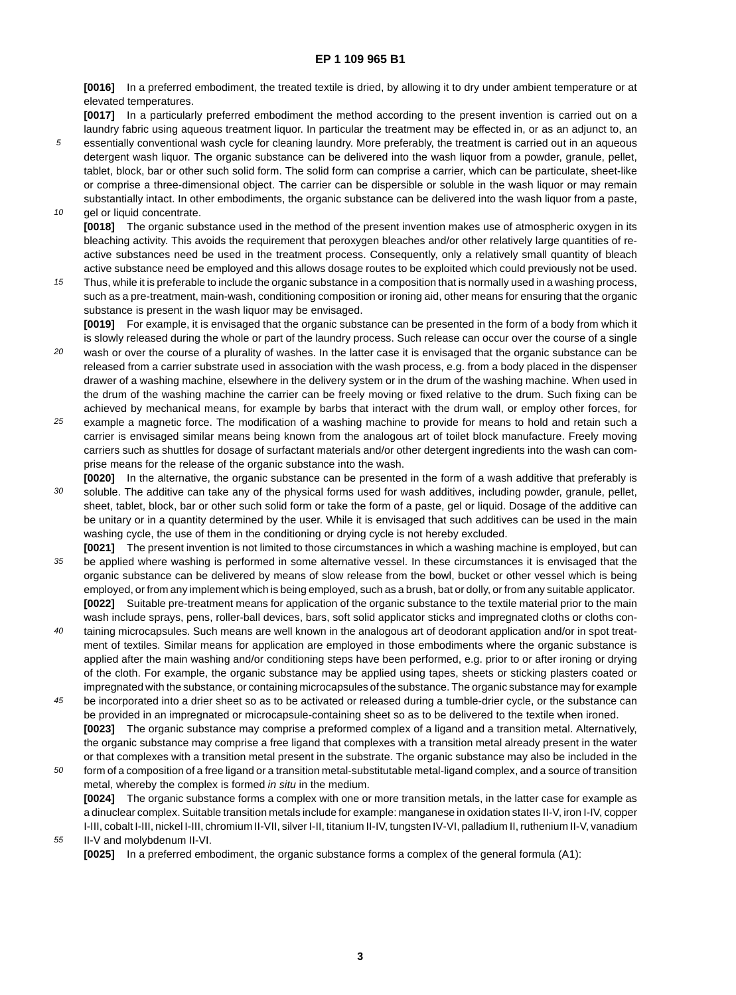**[0016]** In a preferred embodiment, the treated textile is dried, by allowing it to dry under ambient temperature or at elevated temperatures.

**[0017]** In a particularly preferred embodiment the method according to the present invention is carried out on a laundry fabric using aqueous treatment liquor. In particular the treatment may be effected in, or as an adjunct to, an essentially conventional wash cycle for cleaning laundry. More preferably, the treatment is carried out in an aqueous

10 detergent wash liquor. The organic substance can be delivered into the wash liquor from a powder, granule, pellet, tablet, block, bar or other such solid form. The solid form can comprise a carrier, which can be particulate, sheet-like or comprise a three-dimensional object. The carrier can be dispersible or soluble in the wash liquor or may remain substantially intact. In other embodiments, the organic substance can be delivered into the wash liquor from a paste, gel or liquid concentrate.

**[0018]** The organic substance used in the method of the present invention makes use of atmospheric oxygen in its bleaching activity. This avoids the requirement that peroxygen bleaches and/or other relatively large quantities of reactive substances need be used in the treatment process. Consequently, only a relatively small quantity of bleach active substance need be employed and this allows dosage routes to be exploited which could previously not be used.

15 Thus, while it is preferable to include the organic substance in a composition that is normally used in a washing process, such as a pre-treatment, main-wash, conditioning composition or ironing aid, other means for ensuring that the organic substance is present in the wash liquor may be envisaged.

**[0019]** For example, it is envisaged that the organic substance can be presented in the form of a body from which it is slowly released during the whole or part of the laundry process. Such release can occur over the course of a single

- 20 wash or over the course of a plurality of washes. In the latter case it is envisaged that the organic substance can be released from a carrier substrate used in association with the wash process, e.g. from a body placed in the dispenser drawer of a washing machine, elsewhere in the delivery system or in the drum of the washing machine. When used in the drum of the washing machine the carrier can be freely moving or fixed relative to the drum. Such fixing can be achieved by mechanical means, for example by barbs that interact with the drum wall, or employ other forces, for
- 25 example a magnetic force. The modification of a washing machine to provide for means to hold and retain such a carrier is envisaged similar means being known from the analogous art of toilet block manufacture. Freely moving carriers such as shuttles for dosage of surfactant materials and/or other detergent ingredients into the wash can comprise means for the release of the organic substance into the wash.
- 30 **[0020]** In the alternative, the organic substance can be presented in the form of a wash additive that preferably is soluble. The additive can take any of the physical forms used for wash additives, including powder, granule, pellet, sheet, tablet, block, bar or other such solid form or take the form of a paste, gel or liquid. Dosage of the additive can be unitary or in a quantity determined by the user. While it is envisaged that such additives can be used in the main washing cycle, the use of them in the conditioning or drying cycle is not hereby excluded.
- 35 **[0021]** The present invention is not limited to those circumstances in which a washing machine is employed, but can be applied where washing is performed in some alternative vessel. In these circumstances it is envisaged that the organic substance can be delivered by means of slow release from the bowl, bucket or other vessel which is being employed, or from any implement which is being employed, such as a brush, bat or dolly, or from any suitable applicator. **[0022]** Suitable pre-treatment means for application of the organic substance to the textile material prior to the main wash include sprays, pens, roller-ball devices, bars, soft solid applicator sticks and impregnated cloths or cloths con-
- $40$ taining microcapsules. Such means are well known in the analogous art of deodorant application and/or in spot treatment of textiles. Similar means for application are employed in those embodiments where the organic substance is applied after the main washing and/or conditioning steps have been performed, e.g. prior to or after ironing or drying of the cloth. For example, the organic substance may be applied using tapes, sheets or sticking plasters coated or impregnated with the substance, or containing microcapsules of the substance. The organic substance may for example
- 45 be incorporated into a drier sheet so as to be activated or released during a tumble-drier cycle, or the substance can be provided in an impregnated or microcapsule-containing sheet so as to be delivered to the textile when ironed. **[0023]** The organic substance may comprise a preformed complex of a ligand and a transition metal. Alternatively, the organic substance may comprise a free ligand that complexes with a transition metal already present in the water or that complexes with a transition metal present in the substrate. The organic substance may also be included in the
- 50 form of a composition of a free ligand or a transition metal-substitutable metal-ligand complex, and a source of transition metal, whereby the complex is formed in situ in the medium. **[0024]** The organic substance forms a complex with one or more transition metals, in the latter case for example as a dinuclear complex. Suitable transition metals include for example: manganese in oxidation states II-V, iron I-IV, copper I-III, cobalt I-III, nickel I-III, chromium II-VII, silver I-II, titanium II-IV, tungsten IV-VI, palladium II, ruthenium II-V, vanadium

55 II-V and molybdenum II-VI.

5

**[0025]** In a preferred embodiment, the organic substance forms a complex of the general formula (A1):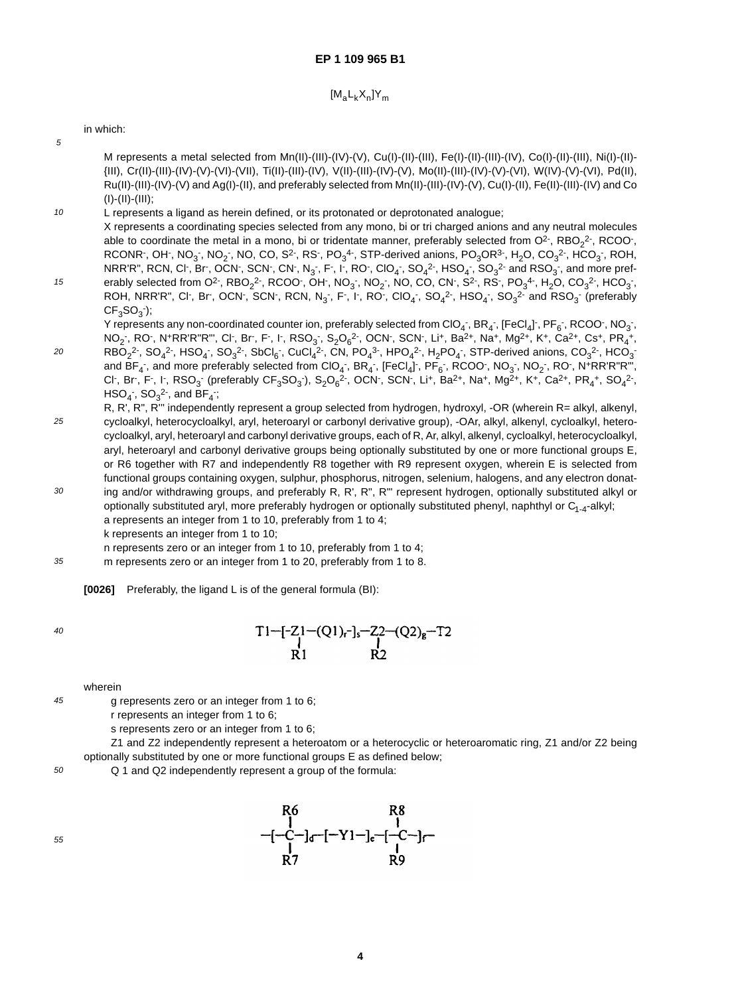$$
[M_a L_k X_n] Y_m
$$

in which:

5

M represents a metal selected from Mn(II)-(III)-(IV)-(V), Cu(I)-(II)-(III), Fe(I)-(II)-(III)-(IV), Co(I)-(II)-(III), Ni(I)-(II)- {III), Cr(II)-(III)-(IV)-(V)-(VI)-(VII), Ti(II)-(III)-(IV), V(II)-(III)-(IV)-(V), Mo(II)-(III)-(IV)-(V)-(VI), W(IV)-(V)-(VI), Pd(II), Ru(II)-(III)-(IV)-(V) and Ag(I)-(II), and preferably selected from Mn(II)-(III)-(IV)-(V), Cu(I)-(II), Fe(II)-(III)-(IV) and Co  $(I)$ - $(II)$ - $(III)$ ;

- 10 L represents a ligand as herein defined, or its protonated or deprotonated analogue; X represents a coordinating species selected from any mono, bi or tri charged anions and any neutral molecules able to coordinate the metal in a mono, bi or tridentate manner, preferably selected from O<sup>2-</sup>, RBO<sub>2</sub><sup>2-</sup>, RCOO<sup>-</sup>, RCONR , OH , NO<sub>3</sub> , NO<sub>2</sub> , NO, CO, S<sup>2-</sup>, RS , PO<sub>3</sub><sup>4</sup> , STP-derived anions, PO<sub>3</sub>OR<sup>3-</sup>, H<sub>2</sub>O, CO<sub>3</sub><sup>2</sup> , HCO<sub>3</sub> , ROH, NRR'R", RCN, Cl<sup>-</sup>, Br<sup>-</sup>, OCN<sup>-</sup>, SCN<sup>-</sup>, CN<sup>-</sup>, N<sub>3</sub><sup>-</sup>, F<sup>-</sup>, I<sup>-</sup>, RO<sup>-</sup>, ClO<sub>4</sub><sup>-</sup>, SO<sub>4</sub><sup>2-</sup>, HSO<sub>4</sub><sup>-</sup>, SO<sub>3</sub><sup>2-</sup> and RSO<sub>3</sub><sup>-</sup>, and more pref-
- 15 erably selected from O<sup>2-</sup>, RBO<sub>2</sub><sup>2-</sup>, RCOO<sup>-</sup>, OH<sup>-</sup>, NO<sub>3</sub> , NO<sub>2</sub> , NO, CO, CN<sup>-</sup>, S<sup>2-</sup>, RS<sup>-</sup>, PO<sub>3</sub><sup>4-</sup>, H<sub>2</sub>O, CO<sub>3</sub><sup>2-</sup>, HCO<sub>3</sub><sup>-</sup>, ROH, NRR'R", Cl<sup>-</sup>, Br<sup>-</sup>, OCN<sup>-</sup>, SCN<sup>-</sup>, RCN, N<sub>3</sub><sup>-</sup>, F<sup>-</sup>, I<sup>-</sup>, RO<sup>-</sup>, ClO<sub>4</sub><sup>-</sup>, SO<sub>4</sub><sup>2-</sup>, HSO<sub>4</sub><sup>-</sup>, SO<sub>3</sub><sup>2-</sup> and RSO<sub>3</sub><sup>-</sup> (preferably  $CF<sub>3</sub>SO<sub>3</sub>$ ; Y represents any non-coordinated counter ion, preferably selected from ClO<sub>4</sub> , BR<sub>4</sub> , [FeCl<sub>4</sub>] , PF<sub>6</sub> , RCOO , NO<sub>3</sub> ,
- $20$  $NO_2$  , RO , N+RR'R"R"', Cl , Br , F , I , RSO $_3$  , S $_2O_6^2$  , OCN , SCN , Li+, Ba $^{2+}$ , Na+, Mg $^{2+}$ , K+, Ca $^{2+}$ , Cs+, PR $_4^+$ ,  $RBO_2^2$ ,  $SO_4^2$ ,  $HSO_4$ ,  $SO_3^2$ ,  $SbCl_6$ ,  $CuCl_4^2$ ,  $CN$ ,  $PO_4^3$ ,  $HPO_4^2$ ,  $H_2PO_4$ ,  $STP$ -derived anions,  $CO_3^2$ ,  $HCO_3^$ and BF<sub>4</sub> , and more preferably selected from ClO<sub>4</sub> , BR<sub>4</sub> , [FeCl<sub>4</sub>] , PF<sub>6</sub> , RCOO , NO<sub>3</sub> , NO<sub>2</sub> , RO , N+RR'R"R"', Cl , Br , F , I , RSO<sub>3</sub> (preferably CF<sub>3</sub>SO<sub>3</sub>), S<sub>2</sub>O<sub>6</sub><sup>2</sup> , OCN , SCN , Li<sup>+</sup>, Ba<sup>2+</sup>, Na<sup>+</sup>, Mg<sup>2+</sup>, K<sup>+</sup>, Ca<sup>2+</sup>, PR<sub>4</sub><sup>+</sup>, SO<sub>4</sub><sup>2</sup> ,  $\text{HSO}_4$  ,  $\text{SO}_3^2$  , and  $\text{BF}_4$  ;
- 25 30 R, R', R", R''' independently represent a group selected from hydrogen, hydroxyl, -OR (wherein R= alkyl, alkenyl, cycloalkyl, heterocycloalkyl, aryl, heteroaryl or carbonyl derivative group), -OAr, alkyl, alkenyl, cycloalkyl, heterocycloalkyl, aryl, heteroaryl and carbonyl derivative groups, each of R, Ar, alkyl, alkenyl, cycloalkyl, heterocycloalkyl, aryl, heteroaryl and carbonyl derivative groups being optionally substituted by one or more functional groups E, or R6 together with R7 and independently R8 together with R9 represent oxygen, wherein E is selected from functional groups containing oxygen, sulphur, phosphorus, nitrogen, selenium, halogens, and any electron donat-
- ing and/or withdrawing groups, and preferably R, R', R", R"' represent hydrogen, optionally substituted alkyl or optionally substituted aryl, more preferably hydrogen or optionally substituted phenyl, naphthyl or  $C_{1-4}$ -alkyl; a represents an integer from 1 to 10, preferably from 1 to 4; k represents an integer from 1 to 10;

n represents zero or an integer from 1 to 10, preferably from 1 to 4;

m represents zero or an integer from 1 to 20, preferably from 1 to 8.

**[0026]** Preferably, the ligand L is of the general formula (BI):

40

45

35

$$
T1-[Z1-(Q1)_r]_s-Z2-(Q2)_g-T2
$$
  
R1 R2

wherein

g represents zero or an integer from 1 to 6;

r represents an integer from 1 to 6;

s represents zero or an integer from 1 to 6;

Z1 and Z2 independently represent a heteroatom or a heterocyclic or heteroaromatic ring, Z1 and/or Z2 being optionally substituted by one or more functional groups E as defined below;

50 Q 1 and Q2 independently represent a group of the formula:



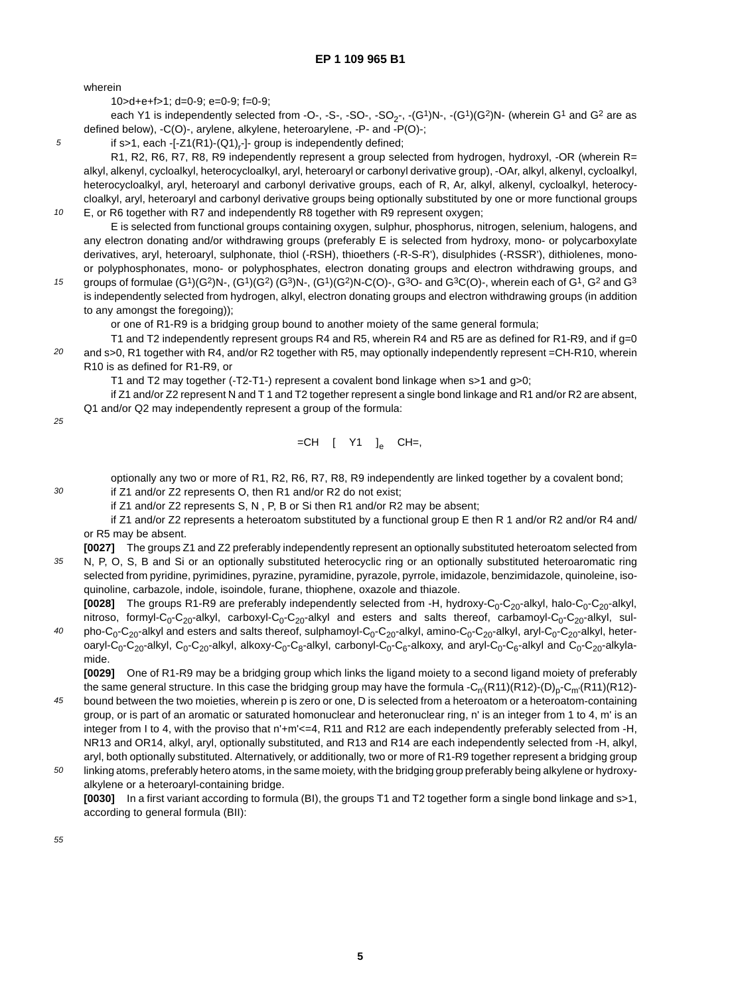wherein

5

10

10>d+e+f>1; d=0-9; e=0-9; f=0-9;

each Y1 is independently selected from -O-, -S-, -SO-, -SO<sub>2-</sub>, -(G<sup>1</sup>)N-, -(G<sup>1</sup>)(G<sup>2</sup>)N- (wherein G<sup>1</sup> and G<sup>2</sup> are as defined below), -C(O)-, arylene, alkylene, heteroarylene, -P- and -P(O)-;

if s>1, each -[-Z1(R1)-(Q1)<sub>r</sub>-]- group is independently defined;

R1, R2, R6, R7, R8, R9 independently represent a group selected from hydrogen, hydroxyl, -OR (wherein R= alkyl, alkenyl, cycloalkyl, heterocycloalkyl, aryl, heteroaryl or carbonyl derivative group), -OAr, alkyl, alkenyl, cycloalkyl, heterocycloalkyl, aryl, heteroaryl and carbonyl derivative groups, each of R, Ar, alkyl, alkenyl, cycloalkyl, heterocycloalkyl, aryl, heteroaryl and carbonyl derivative groups being optionally substituted by one or more functional groups E, or R6 together with R7 and independently R8 together with R9 represent oxygen;

E is selected from functional groups containing oxygen, sulphur, phosphorus, nitrogen, selenium, halogens, and any electron donating and/or withdrawing groups (preferably E is selected from hydroxy, mono- or polycarboxylate derivatives, aryl, heteroaryl, sulphonate, thiol (-RSH), thioethers (-R-S-R'), disulphides (-RSSR'), dithiolenes, monoor polyphosphonates, mono- or polyphosphates, electron donating groups and electron withdrawing groups, and

15 groups of formulae  $(G<sup>1</sup>)(G<sup>2</sup>)N-, (G<sup>1</sup>)(G<sup>2</sup>)N-, (G<sup>1</sup>)(G<sup>2</sup>)N-C(O)-, G<sup>3</sup>O- and G<sup>3</sup>C(O)-, wherein each of G<sup>1</sup>, G<sup>2</sup> and G<sup>3</sup>$ is independently selected from hydrogen, alkyl, electron donating groups and electron withdrawing groups (in addition to any amongst the foregoing));

or one of R1-R9 is a bridging group bound to another moiety of the same general formula;

20 T1 and T2 independently represent groups R4 and R5, wherein R4 and R5 are as defined for R1-R9, and if g=0 and s>0, R1 together with R4, and/or R2 together with R5, may optionally independently represent =CH-R10, wherein R10 is as defined for R1-R9, or

T1 and T2 may together (-T2-T1-) represent a covalent bond linkage when s>1 and g>0;

if Z1 and/or Z2 represent N and T 1 and T2 together represent a single bond linkage and R1 and/or R2 are absent, Q1 and/or Q2 may independently represent a group of the formula:

25

30

$$
=CH - [-Y1 - ]e - CH = ,
$$

optionally any two or more of R1, R2, R6, R7, R8, R9 independently are linked together by a covalent bond;

if Z1 and/or Z2 represents O, then R1 and/or R2 do not exist;

if Z1 and/or Z2 represents S, N , P, B or Si then R1 and/or R2 may be absent;

if Z1 and/or Z2 represents a heteroatom substituted by a functional group E then R 1 and/or R2 and/or R4 and/ or R5 may be absent.

35 **[0027]** The groups Z1 and Z2 preferably independently represent an optionally substituted heteroatom selected from N, P, O, S, B and Si or an optionally substituted heterocyclic ring or an optionally substituted heteroaromatic ring selected from pyridine, pyrimidines, pyrazine, pyramidine, pyrazole, pyrrole, imidazole, benzimidazole, quinoleine, isoquinoline, carbazole, indole, isoindole, furane, thiophene, oxazole and thiazole.

40 **[0028]** The groups R1-R9 are preferably independently selected from -H, hydroxy-C<sub>0</sub>-C<sub>20</sub>-alkyl, halo-C<sub>0</sub>-C<sub>20</sub>-alkyl, nitroso, formyl-C<sub>0</sub>-C<sub>20</sub>-alkyl, carboxyl-C<sub>0</sub>-C<sub>20</sub>-alkyl and esters and salts thereof, carbamoyl-C<sub>0</sub>-C<sub>20</sub>-alkyl, sulpho-C<sub>0</sub>-C<sub>20</sub>-alkyl and esters and salts thereof, sulphamoyl-C<sub>0</sub>-C<sub>20</sub>-alkyl, amino-C<sub>0</sub>-C<sub>20</sub>-alkyl, aryl-C<sub>0</sub>-C<sub>20</sub>-alkyl, heteroaryl-C<sub>0</sub>-C<sub>20</sub>-alkyl, C<sub>0</sub>-C<sub>20</sub>-alkyl, alkoxy-C<sub>0</sub>-C<sub>8</sub>-alkyl, carbonyl-C<sub>0</sub>-C<sub>6</sub>-alkoxy, and aryl-C<sub>0</sub>-C<sub>6</sub>-alkyl and C<sub>0</sub>-C<sub>20</sub>-alkylamide.

**[0029]** One of R1-R9 may be a bridging group which links the ligand moiety to a second ligand moiety of preferably the same general structure. In this case the bridging group may have the formula -C<sub>n'</sub>(R11)(R12)-(D)<sub>p</sub>-C<sub>m'</sub>(R11)(R12)bound between the two moieties, wherein p is zero or one, D is selected from a heteroatom or a heteroatom-containing

- 45 group, or is part of an aromatic or saturated homonuclear and heteronuclear ring, n' is an integer from 1 to 4, m' is an integer from I to 4, with the proviso that n'+m'<=4, R11 and R12 are each independently preferably selected from -H, NR13 and OR14, alkyl, aryl, optionally substituted, and R13 and R14 are each independently selected from -H, alkyl, aryl, both optionally substituted. Alternatively, or additionally, two or more of R1-R9 together represent a bridging group
- 50 linking atoms, preferably hetero atoms, in the same moiety, with the bridging group preferably being alkylene or hydroxyalkylene or a heteroaryl-containing bridge.

**[0030]** In a first variant according to formula (BI), the groups T1 and T2 together form a single bond linkage and s>1, according to general formula (BII):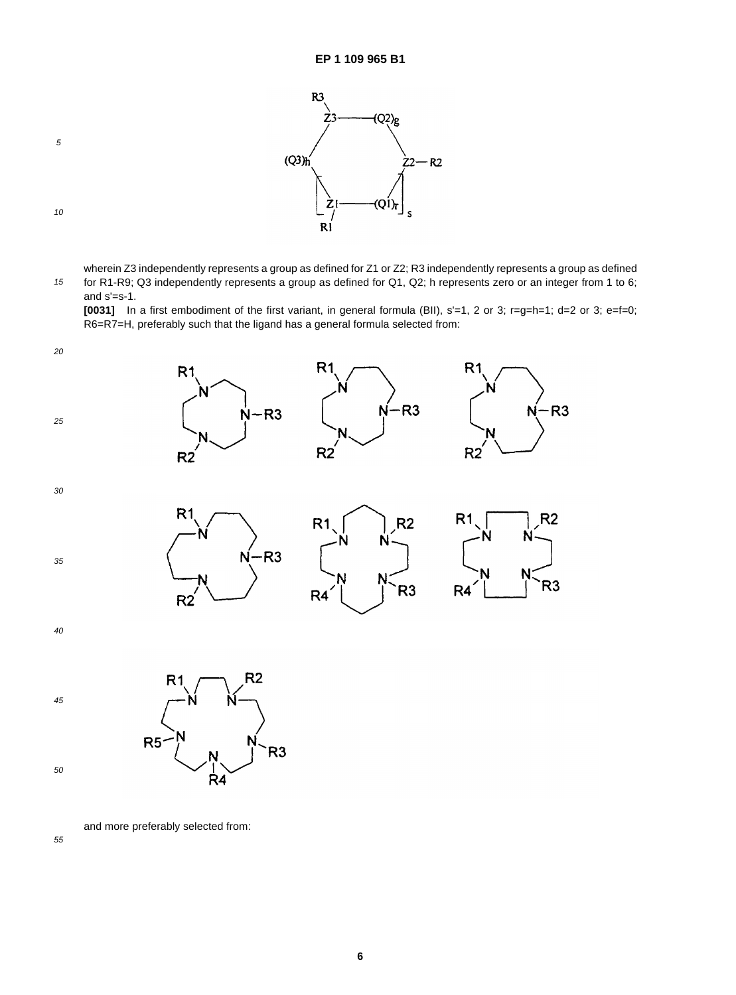

10

15 wherein Z3 independently represents a group as defined for Z1 or Z2; R3 independently represents a group as defined for R1-R9; Q3 independently represents a group as defined for Q1, Q2; h represents zero or an integer from 1 to 6; and s'=s-1.

**[0031]** In a first embodiment of the first variant, in general formula (BII), s'=1, 2 or 3; r=g=h=1; d=2 or 3; e=f=0; R6=R7=H, preferably such that the ligand has a general formula selected from:



50

and more preferably selected from:

R<sub>4</sub>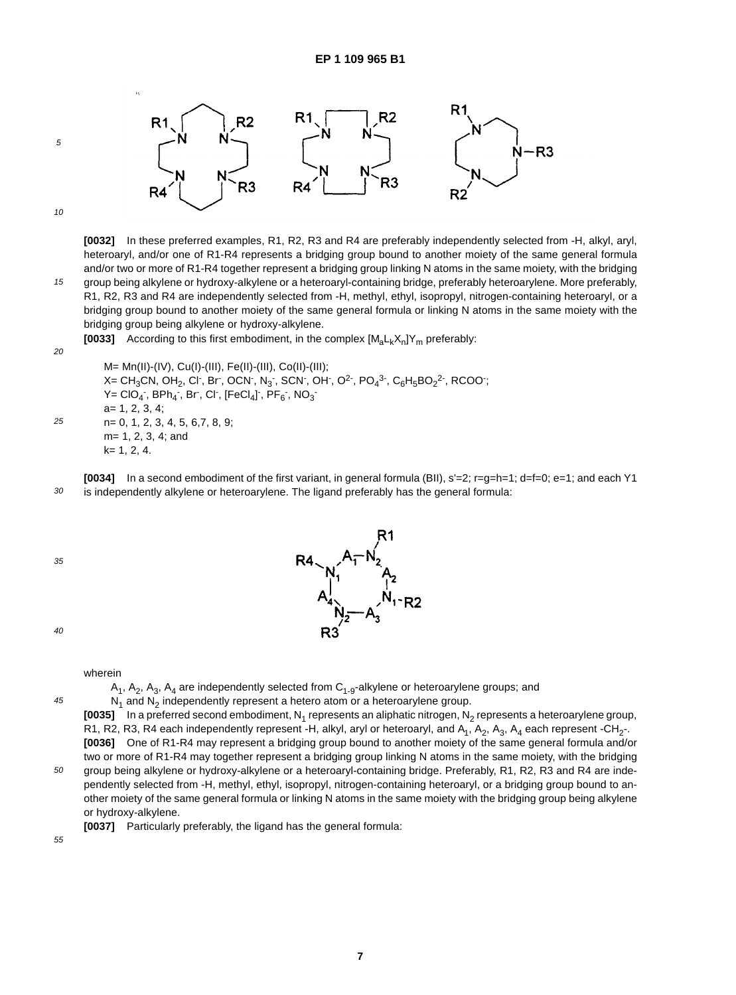

15

5

**[0032]** In these preferred examples, R1, R2, R3 and R4 are preferably independently selected from -H, alkyl, aryl, heteroaryl, and/or one of R1-R4 represents a bridging group bound to another moiety of the same general formula and/or two or more of R1-R4 together represent a bridging group linking N atoms in the same moiety, with the bridging group being alkylene or hydroxy-alkylene or a heteroaryl-containing bridge, preferably heteroarylene. More preferably, R1, R2, R3 and R4 are independently selected from -H, methyl, ethyl, isopropyl, nitrogen-containing heteroaryl, or a bridging group bound to another moiety of the same general formula or linking N atoms in the same moiety with the bridging group being alkylene or hydroxy-alkylene.

**[0033]** According to this first embodiment, in the complex  $[M_a L_k X_n]Y_m$  preferably:

### $20$

25

M= Mn(II)-(IV), Cu(I)-(III), Fe(II)-(III), Co(II)-(III); X= CH $_{3}$ CN, OH $_{2}$ , Cl , Br , OCN , N $_{3}$  , SCN , OH , O<sup>2</sup> , PO $_{4}$ <sup>3-</sup>, C $_{6}$ H $_{5}$ BO $_{2}$ <sup>2-</sup>, RCOO ;  $Y = ClO_4$ ,  $BPh_4$ ,  $Br$ ,  $Cl$ ,  $[FeCl_4]$ ,  $PF_6$ ,  $NO_3$ a= 1, 2, 3, 4; n= 0, 1, 2, 3, 4, 5, 6,7, 8, 9; m= 1, 2, 3, 4; and k= 1, 2, 4.

30 **[0034]** In a second embodiment of the first variant, in general formula (BII), s'=2; r=g=h=1; d=f=0; e=1; and each Y1 is independently alkylene or heteroarylene. The ligand preferably has the general formula:

35



45

wherein

 $A_1$ ,  $A_2$ ,  $A_3$ ,  $A_4$  are independently selected from  $C_{1-9}$ -alkylene or heteroarylene groups; and

 $N_1$  and  $N_2$  independently represent a hetero atom or a heteroarylene group.

**[0035]** In a preferred second embodiment, N<sub>1</sub> represents an aliphatic nitrogen, N<sub>2</sub> represents a heteroarylene group, R1, R2, R3, R4 each independently represent -H, alkyl, aryl or heteroaryl, and  $A_1$ ,  $A_2$ ,  $A_3$ ,  $A_4$  each represent -CH<sub>2</sub>-. **[0036]** One of R1-R4 may represent a bridging group bound to another moiety of the same general formula and/or two or more of R1-R4 may together represent a bridging group linking N atoms in the same moiety, with the bridging

50 group being alkylene or hydroxy-alkylene or a heteroaryl-containing bridge. Preferably, R1, R2, R3 and R4 are independently selected from -H, methyl, ethyl, isopropyl, nitrogen-containing heteroaryl, or a bridging group bound to another moiety of the same general formula or linking N atoms in the same moiety with the bridging group being alkylene or hydroxy-alkylene.

**[0037]** Particularly preferably, the ligand has the general formula:

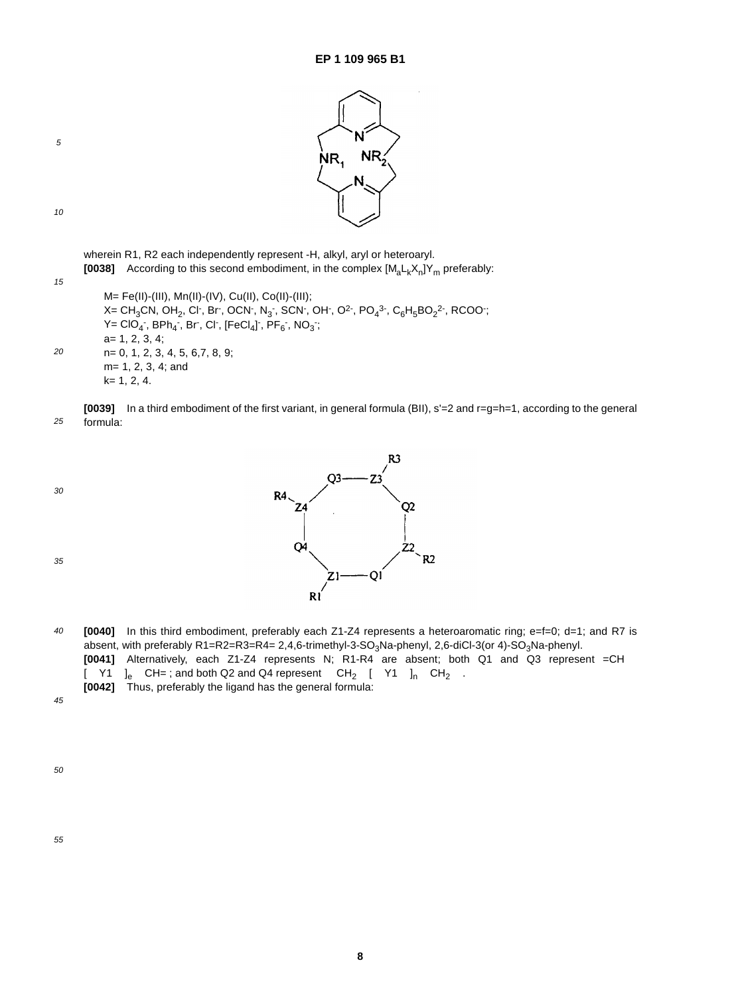

15

20

5

wherein R1, R2 each independently represent -H, alkyl, aryl or heteroaryl. **[0038]** According to this second embodiment, in the complex  $[M_a L_k X_n]Y_m$  preferably:

M= Fe(II)-(III), Mn(II)-(IV), Cu(II), Co(II)-(III); X= CH<sub>3</sub>CN, OH<sub>2</sub>, Cl<sup>-</sup>, Br<sup>-</sup>, OCN<sup>-</sup>, N<sub>3</sub><sup>-</sup>, SCN<sup>-</sup>, OH<sup>-</sup>, O<sup>2-</sup>, PO<sub>4</sub><sup>3-</sup>, C<sub>6</sub>H<sub>5</sub>BO<sub>2</sub><sup>2-</sup>, RCOO<sup>-</sup>;  $\mathsf{Y} = \mathsf{CIO}_{4}$  ,  $\mathsf{BPh}_{4}$  ,  $\mathsf{Br}$  ,  $\mathsf{Cl}$  ,  $[\mathsf{FeCl}_4]$  ,  $\mathsf{PF}_6$  ,  $\mathsf{NO}_3$  ; a= 1, 2, 3, 4; n= 0, 1, 2, 3, 4, 5, 6,7, 8, 9; m= 1, 2, 3, 4; and k= 1, 2, 4.

25 **[0039]** In a third embodiment of the first variant, in general formula (BII), s'=2 and r=g=h=1, according to the general formula:

30

35



40 **[0040]** In this third embodiment, preferably each Z1-Z4 represents a heteroaromatic ring; e=f=0; d=1; and R7 is absent, with preferably R1=R2=R3=R4= 2,4,6-trimethyl-3-SO<sub>3</sub>Na-phenyl, 2,6-diCl-3(or 4)-SO<sub>3</sub>Na-phenyl. **[0041]** Alternatively, each Z1-Z4 represents N; R1-R4 are absent; both Q1 and Q3 represent =CH  $[-Y1]_e$ -CH=; and both Q2 and Q4 represent -CH<sub>2</sub>-[-Y1-]<sub>n</sub>-CH<sub>2</sub>-. **[0042]** Thus, preferably the ligand has the general formula:

45

50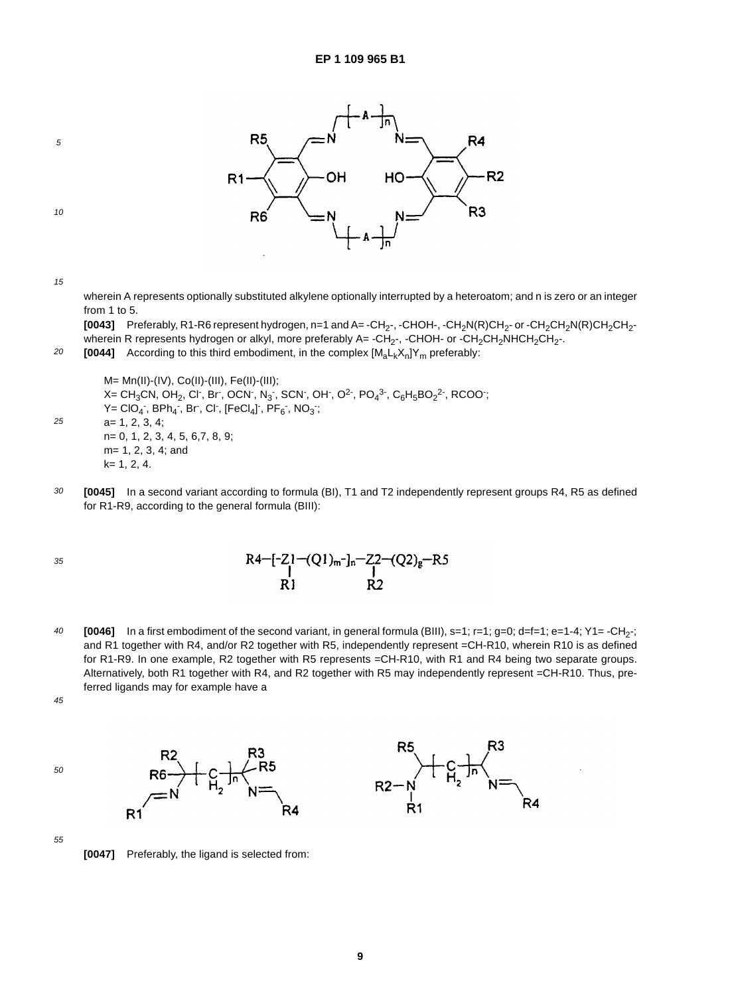

5

15

wherein A represents optionally substituted alkylene optionally interrupted by a heteroatom; and n is zero or an integer from 1 to 5.

**[0043]** Preferably, R1-R6 represent hydrogen, n=1 and A=-CH<sub>2</sub>-, -CHOH-, -CH<sub>2</sub>N(R)CH<sub>2</sub>- or -CH<sub>2</sub>CH<sub>2</sub>N(R)CH<sub>2</sub>CH<sub>2</sub>wherein R represents hydrogen or alkyl, more preferably A= -CH<sub>2</sub>-, -CHOH- or -CH<sub>2</sub>CH<sub>2</sub>NHCH<sub>2</sub>CH<sub>2</sub>-.

20 **[0044]** According to this third embodiment, in the complex  $[M_a L_k X_n]Y_m$  preferably:

M= Mn(II)-(IV), Co(II)-(III), Fe(II)-(III); X= CH<sub>3</sub>CN, OH<sub>2</sub>, Cl<sup>-</sup>, Br<sup>-</sup>, OCN<sup>-</sup>, N<sub>3</sub><sup>-</sup>, SCN<sup>-</sup>, OH<sup>-</sup>, O<sup>2-</sup>, PO<sub>4</sub><sup>3-</sup>, C<sub>6</sub>H<sub>5</sub>BO<sub>2</sub><sup>2-</sup>, RCOO<sup>-</sup>;  $\mathsf{Y} = \mathsf{CIO_4}$  ,  $\mathsf{BPh_4}$  ,  $\mathsf{Br}$  ,  $\mathsf{Cl}$  ,  $[\mathsf{FeCl_4}]$  ,  $\mathsf{PF_6}$  ,  $\mathsf{NO_3}$  ; a= 1, 2, 3, 4; n= 0, 1, 2, 3, 4, 5, 6,7, 8, 9; m= 1, 2, 3, 4; and k= 1, 2, 4.

R۵

30 **[0045]** In a second variant according to formula (BI), T1 and T2 independently represent groups R4, R5 as defined for R1-R9, according to the general formula (BIII):

35

25

$$
R4-[-21-(Q1)m-]_n-22-(Q2)g-RS
$$
  
R1 R2

40 **[0046]** In a first embodiment of the second variant, in general formula (BIII), s=1; r=1; g=0; d=f=1; e=1-4; Y1= -CH<sub>2</sub>-; and R1 together with R4, and/or R2 together with R5, independently represent =CH-R10, wherein R10 is as defined for R1-R9. In one example, R2 together with R5 represents =CH-R10, with R1 and R4 being two separate groups. Alternatively, both R1 together with R4, and R2 together with R5 may independently represent =CH-R10. Thus, preferred ligands may for example have a

45





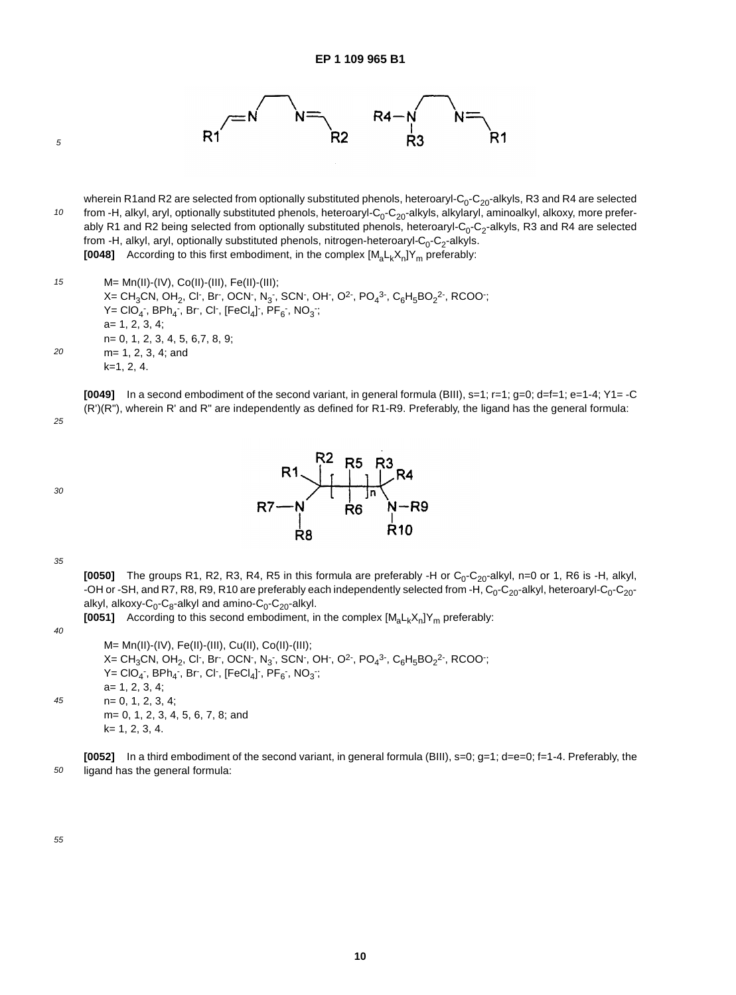

10 wherein R1and R2 are selected from optionally substituted phenols, heteroaryl-C<sub>0</sub>-C<sub>20</sub>-alkyls, R3 and R4 are selected from -H, alkyl, aryl, optionally substituted phenols, heteroaryl- $C_0$ -C<sub>20</sub>-alkyls, alkylaryl, aminoalkyl, alkoxy, more preferably R1 and R2 being selected from optionally substituted phenols, heteroaryl-C<sub>0</sub>-C<sub>2</sub>-alkyls, R3 and R4 are selected from -H, alkyl, aryl, optionally substituted phenols, nitrogen-heteroaryl- $C_0$ - $C_2$ -alkyls. **[0048]** According to this first embodiment, in the complex  $[M_a L_k X_n]Y_m$  preferably:

15  $20$ M= Mn(II)-(IV), Co(II)-(III), Fe(II)-(III); X= CH $_{3}$ CN, OH $_{2}$ , Cl $\cdot$ , Br $\cdot$ , OCN $\cdot$ , N $_{3}$  $\cdot$ , SCN $\cdot$ , OH $\cdot$ , O<sup>2</sup> $\cdot$ , PO $_{4}$ <sup>3 $\cdot$ </sup>, C $_{6}$ H $_{5}$ BO $_{2}$ 2 $\cdot$ , RCOO $\cdot$ ;  $\mathsf{Y} = \mathsf{CIO_4}$  ,  $\mathsf{BPh_4}$  ,  $\mathsf{Br}$  ,  $\mathsf{Cl}$  ,  $[\mathsf{FeCl_4}]$  ,  $\mathsf{PF_6}$  ,  $\mathsf{NO_3}$  ; a= 1, 2, 3, 4; n= 0, 1, 2, 3, 4, 5, 6,7, 8, 9; m= 1, 2, 3, 4; and k=1, 2, 4.

**[0049]** In a second embodiment of the second variant, in general formula (BIII), s=1; r=1; g=0; d=f=1; e=1-4; Y1= -C (R')(R"), wherein R' and R" are independently as defined for R1-R9. Preferably, the ligand has the general formula:

25

5







35

**[0050]** The groups R1, R2, R3, R4, R5 in this formula are preferably -H or  $C_0$ -C<sub>20</sub>-alkyl, n=0 or 1, R6 is -H, alkyl, -OH or -SH, and R7, R8, R9, R10 are preferably each independently selected from -H, C<sub>0</sub>-C<sub>20</sub>-alkyl, heteroaryl-C<sub>0</sub>-C<sub>20</sub>alkyl, alkoxy- $C_0$ - $C_8$ -alkyl and amino- $C_0$ - $C_{20}$ -alkyl.

**[0051]** According to this second embodiment, in the complex  $[M_{a}L_{k}X_{n}]Y_{m}$  preferably:

40 45 M= Mn(II)-(IV), Fe(II)-(III), Cu(II), Co(II)-(III); X= CH<sub>3</sub>CN, OH<sub>2</sub>, Cl<sup>-</sup>, Br<sup>-</sup>, OCN<sup>-</sup>, N<sub>3</sub><sup>-</sup>, SCN<sup>-</sup>, OH<sup>-</sup>, O<sup>2-</sup>, PO<sub>4</sub><sup>3-</sup>, C<sub>6</sub>H<sub>5</sub>BO<sub>2</sub><sup>2-</sup>, RCOO<sup>-</sup>;  $\mathsf{Y} = \mathsf{CIO_4}$  ,  $\mathsf{BPh_4}$  ,  $\mathsf{Br}$  ,  $\mathsf{Cl}$  ,  $[\mathsf{FeCl_4}]$  ,  $\mathsf{PF_6}$  ,  $\mathsf{NO_3}$  ; a= 1, 2, 3, 4; n= 0, 1, 2, 3, 4; m= 0, 1, 2, 3, 4, 5, 6, 7, 8; and k= 1, 2, 3, 4.

50 **[0052]** In a third embodiment of the second variant, in general formula (BIII), s=0; g=1; d=e=0; f=1-4. Preferably, the ligand has the general formula: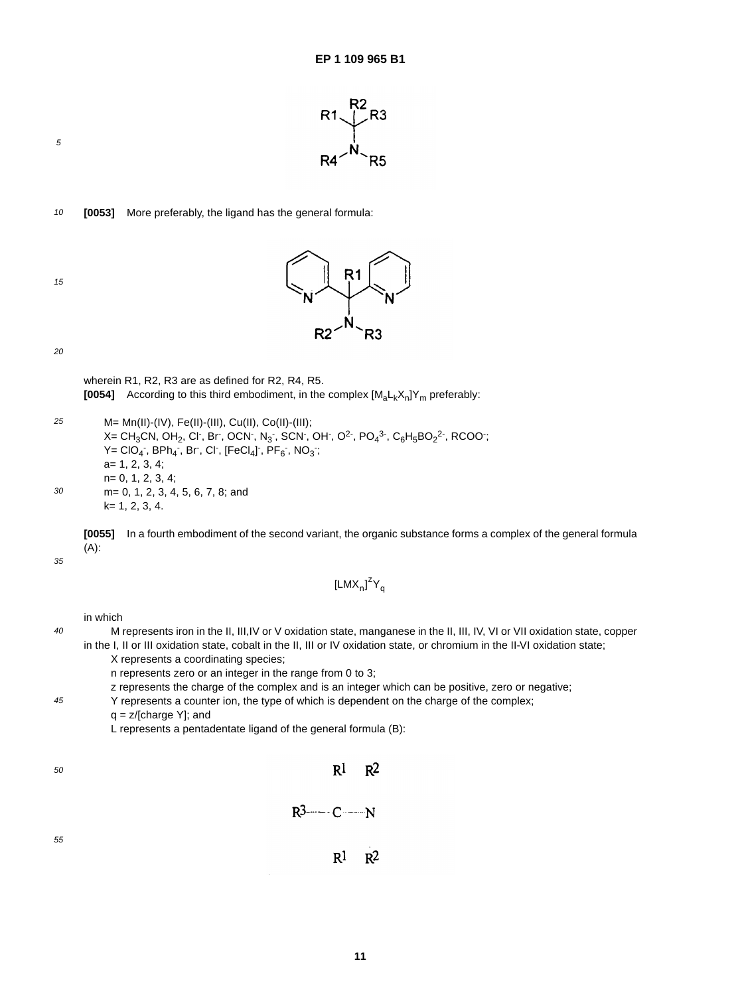

10 **[0053]** More preferably, the ligand has the general formula:



5



20

wherein R1, R2, R3 are as defined for R2, R4, R5. **[0054]** According to this third embodiment, in the complex  $[M_{a}L_{k}X_{n}]Y_{m}$  preferably:

25 30 M= Mn(II)-(IV), Fe(II)-(III), Cu(II), Co(II)-(III); X= CH $_{3}$ CN, OH $_{2}$ , Cl , Br , OCN , N $_{3}$  , SCN , OH , O<sup>2</sup> , PO $_{4}$ <sup>3-</sup>, C $_{6}$ H $_{5}$ BO $_{2}$ <sup>2-</sup>, RCOO ;  $\mathsf{Y} = \mathsf{CIO}_{4}$  ,  $\mathsf{BPh}_{4}$  ,  $\mathsf{Br}$  ,  $\mathsf{Cl}$  ,  $[\mathsf{FeCl}_4]$  ,  $\mathsf{PF}_6$  ,  $\mathsf{NO}_3$  ; a= 1, 2, 3, 4; n= 0, 1, 2, 3, 4; m= 0, 1, 2, 3, 4, 5, 6, 7, 8; and k= 1, 2, 3, 4.

**[0055]** In a fourth embodiment of the second variant, the organic substance forms a complex of the general formula (A):

[LMX<sub>n</sub>]<sup> $z$ </sup>Y<sub>q</sub>

35

45

in which

- 40 M represents iron in the II, III,IV or V oxidation state, manganese in the II, III, IV, VI or VII oxidation state, copper in the I, II or III oxidation state, cobalt in the II, III or IV oxidation state, or chromium in the II-VI oxidation state;
	- X represents a coordinating species;
		- n represents zero or an integer in the range from 0 to 3;
	- z represents the charge of the complex and is an integer which can be positive, zero or negative;
	- Y represents a counter ion, the type of which is dependent on the charge of the complex;
	- $q = z/[charge Y]$ ; and

L represents a pentadentate ligand of the general formula (B):

| 50 | $R^1$ $R^2$ |  |
|----|-------------|--|
|    |             |  |
| 55 | $R^1$ $R^2$ |  |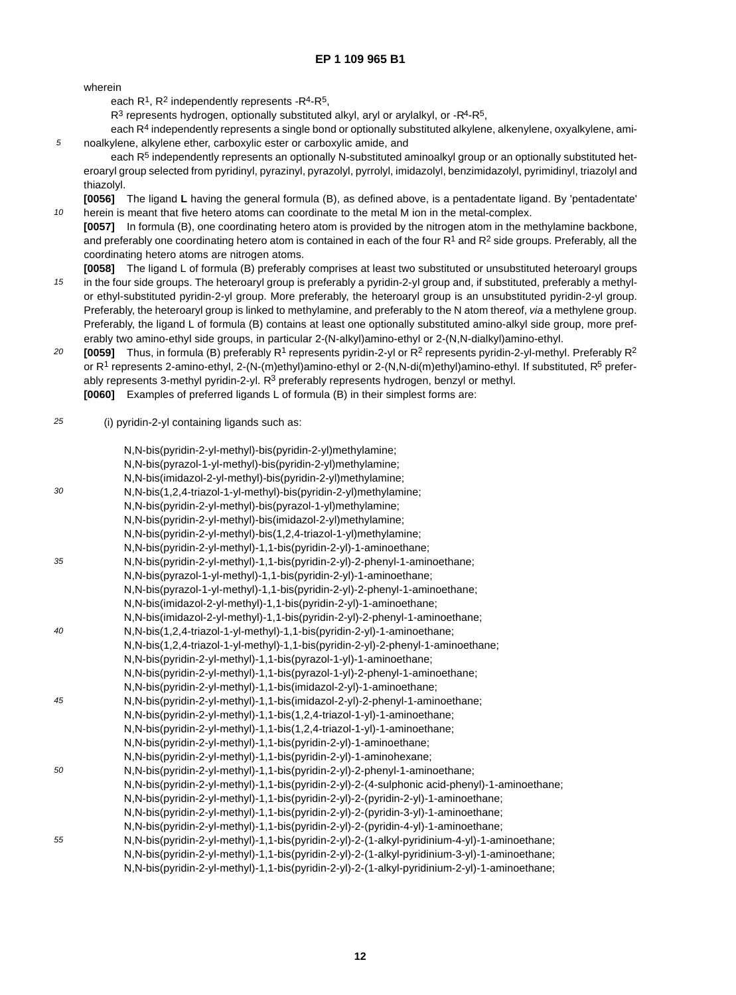wherein

5

10

each  $R^1$ ,  $R^2$  independently represents - $R^4$ - $R^5$ ,

 $R<sup>3</sup>$  represents hydrogen, optionally substituted alkyl, aryl or arylalkyl, or  $-R<sup>4</sup>-R<sup>5</sup>$ ,

each R<sup>4</sup> independently represents a single bond or optionally substituted alkylene, alkenylene, oxyalkylene, aminoalkylene, alkylene ether, carboxylic ester or carboxylic amide, and

each R<sup>5</sup> independently represents an optionally N-substituted aminoalkyl group or an optionally substituted heteroaryl group selected from pyridinyl, pyrazinyl, pyrazolyl, pyrrolyl, imidazolyl, benzimidazolyl, pyrimidinyl, triazolyl and thiazolyl.

**[0056]** The ligand **L** having the general formula (B), as defined above, is a pentadentate ligand. By 'pentadentate' herein is meant that five hetero atoms can coordinate to the metal M ion in the metal-complex.

**[0057]** In formula (B), one coordinating hetero atom is provided by the nitrogen atom in the methylamine backbone, and preferably one coordinating hetero atom is contained in each of the four  $R^1$  and  $R^2$  side groups. Preferably, all the coordinating hetero atoms are nitrogen atoms.

- 15 **[0058]** The ligand L of formula (B) preferably comprises at least two substituted or unsubstituted heteroaryl groups in the four side groups. The heteroaryl group is preferably a pyridin-2-yl group and, if substituted, preferably a methylor ethyl-substituted pyridin-2-yl group. More preferably, the heteroaryl group is an unsubstituted pyridin-2-yl group. Preferably, the heteroaryl group is linked to methylamine, and preferably to the N atom thereof, via a methylene group. Preferably, the ligand L of formula (B) contains at least one optionally substituted amino-alkyl side group, more preferably two amino-ethyl side groups, in particular 2-(N-alkyl)amino-ethyl or 2-(N,N-dialkyl)amino-ethyl.
- 20 **[0059]** Thus, in formula (B) preferably R<sup>1</sup> represents pyridin-2-yl or R<sup>2</sup> represents pyridin-2-yl-methyl. Preferably R<sup>2</sup> or  $R^1$  represents 2-amino-ethyl, 2-(N-(m)ethyl)amino-ethyl or 2-(N,N-di(m)ethyl)amino-ethyl. If substituted,  $R^5$  preferably represents 3-methyl pyridin-2-yl. R<sup>3</sup> preferably represents hydrogen, benzyl or methyl. **[0060]** Examples of preferred ligands L of formula (B) in their simplest forms are:
- 25 (i) pyridin-2-yl containing ligands such as:

|    | N,N-bis(pyridin-2-yl-methyl)-bis(pyridin-2-yl)methylamine;                                    |
|----|-----------------------------------------------------------------------------------------------|
|    | N,N-bis(pyrazol-1-yl-methyl)-bis(pyridin-2-yl)methylamine;                                    |
|    | N,N-bis(imidazol-2-yl-methyl)-bis(pyridin-2-yl)methylamine;                                   |
| 30 | N,N-bis(1,2,4-triazol-1-yl-methyl)-bis(pyridin-2-yl)methylamine;                              |
|    | N,N-bis(pyridin-2-yl-methyl)-bis(pyrazol-1-yl)methylamine;                                    |
|    | N,N-bis(pyridin-2-yl-methyl)-bis(imidazol-2-yl)methylamine;                                   |
|    | N,N-bis(pyridin-2-yl-methyl)-bis(1,2,4-triazol-1-yl)methylamine;                              |
|    | N, N-bis(pyridin-2-yl-methyl)-1, 1-bis(pyridin-2-yl)-1-aminoethane;                           |
| 35 | N, N-bis(pyridin-2-yl-methyl)-1, 1-bis(pyridin-2-yl)-2-phenyl-1-aminoethane;                  |
|    | N,N-bis(pyrazol-1-yl-methyl)-1,1-bis(pyridin-2-yl)-1-aminoethane;                             |
|    | N, N-bis(pyrazol-1-yl-methyl)-1, 1-bis(pyridin-2-yl)-2-phenyl-1-aminoethane;                  |
|    | N, N-bis(imidazol-2-yl-methyl)-1, 1-bis(pyridin-2-yl)-1-aminoethane;                          |
|    | N,N-bis(imidazol-2-yl-methyl)-1,1-bis(pyridin-2-yl)-2-phenyl-1-aminoethane;                   |
| 40 | N, N-bis(1,2,4-triazol-1-yl-methyl)-1,1-bis(pyridin-2-yl)-1-aminoethane;                      |
|    | N,N-bis(1,2,4-triazol-1-yl-methyl)-1,1-bis(pyridin-2-yl)-2-phenyl-1-aminoethane;              |
|    | N,N-bis(pyridin-2-yl-methyl)-1,1-bis(pyrazol-1-yl)-1-aminoethane;                             |
|    | N, N-bis(pyridin-2-yl-methyl)-1, 1-bis(pyrazol-1-yl)-2-phenyl-1-aminoethane;                  |
|    | N, N-bis(pyridin-2-yl-methyl)-1, 1-bis(imidazol-2-yl)-1-aminoethane;                          |
| 45 | N,N-bis(pyridin-2-yl-methyl)-1,1-bis(imidazol-2-yl)-2-phenyl-1-aminoethane;                   |
|    | N, N-bis(pyridin-2-yl-methyl)-1, 1-bis(1, 2, 4-triazol-1-yl)-1-aminoethane;                   |
|    | N, N-bis(pyridin-2-yl-methyl)-1, 1-bis(1, 2, 4-triazol-1-yl)-1-aminoethane;                   |
|    | N, N-bis(pyridin-2-yl-methyl)-1, 1-bis(pyridin-2-yl)-1-aminoethane;                           |
|    | N, N-bis(pyridin-2-yl-methyl)-1, 1-bis(pyridin-2-yl)-1-aminohexane;                           |
| 50 | N, N-bis(pyridin-2-yl-methyl)-1, 1-bis(pyridin-2-yl)-2-phenyl-1-aminoethane;                  |
|    | N,N-bis(pyridin-2-yl-methyl)-1,1-bis(pyridin-2-yl)-2-(4-sulphonic acid-phenyl)-1-aminoethane; |
|    | N, N-bis(pyridin-2-yl-methyl)-1, 1-bis(pyridin-2-yl)-2-(pyridin-2-yl)-1-aminoethane;          |
|    | N, N-bis(pyridin-2-yl-methyl)-1, 1-bis(pyridin-2-yl)-2-(pyridin-3-yl)-1-aminoethane;          |
|    | N, N-bis(pyridin-2-yl-methyl)-1, 1-bis(pyridin-2-yl)-2-(pyridin-4-yl)-1-aminoethane;          |
| 55 | N,N-bis(pyridin-2-yl-methyl)-1,1-bis(pyridin-2-yl)-2-(1-alkyl-pyridinium-4-yl)-1-aminoethane; |
|    | N,N-bis(pyridin-2-yl-methyl)-1,1-bis(pyridin-2-yl)-2-(1-alkyl-pyridinium-3-yl)-1-aminoethane; |
|    | N,N-bis(pyridin-2-yl-methyl)-1,1-bis(pyridin-2-yl)-2-(1-alkyl-pyridinium-2-yl)-1-aminoethane; |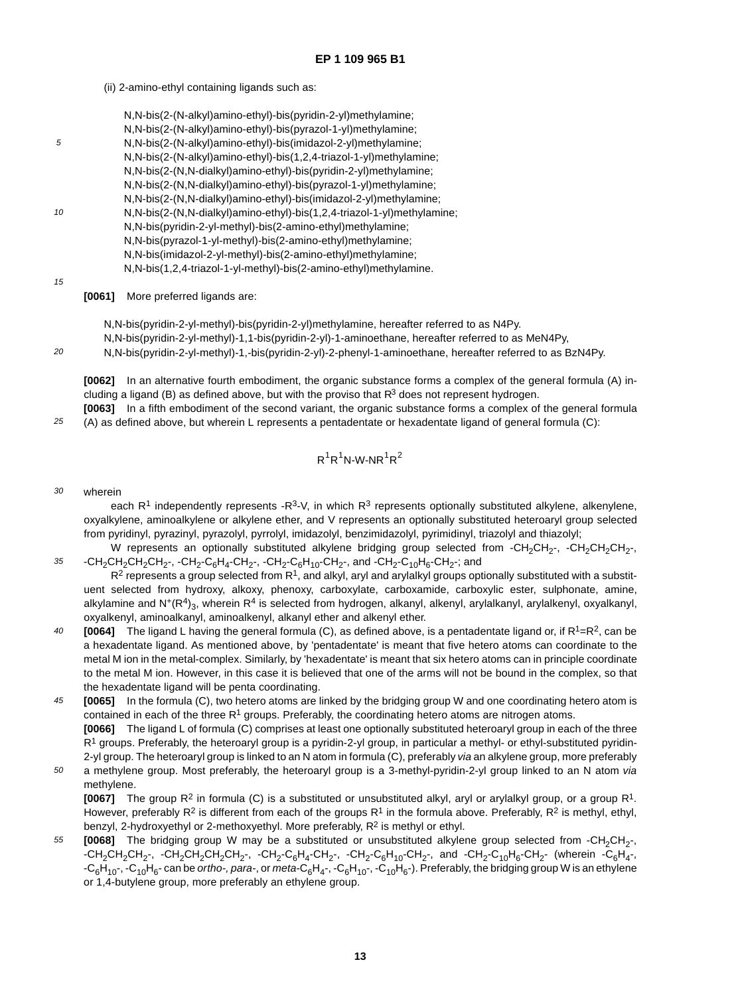(ii) 2-amino-ethyl containing ligands such as:

|    | N,N-bis(2-(N-alkyl)amino-ethyl)-bis(pyridin-2-yl)methylamine;           |
|----|-------------------------------------------------------------------------|
|    | N,N-bis(2-(N-alkyl)amino-ethyl)-bis(pyrazol-1-yl)methylamine;           |
| 5  | N,N-bis(2-(N-alkyl)amino-ethyl)-bis(imidazol-2-yl)methylamine;          |
|    | N,N-bis(2-(N-alkyl)amino-ethyl)-bis(1,2,4-triazol-1-yl)methylamine;     |
|    | N,N-bis(2-(N,N-dialkyl)amino-ethyl)-bis(pyridin-2-yl)methylamine;       |
|    | N,N-bis(2-(N,N-dialkyl)amino-ethyl)-bis(pyrazol-1-yl)methylamine;       |
|    | N,N-bis(2-(N,N-dialkyl)amino-ethyl)-bis(imidazol-2-yl)methylamine;      |
| 10 | N,N-bis(2-(N,N-dialkyl)amino-ethyl)-bis(1,2,4-triazol-1-yl)methylamine; |
|    | N,N-bis(pyridin-2-yl-methyl)-bis(2-amino-ethyl)methylamine;             |
|    | N,N-bis(pyrazol-1-yl-methyl)-bis(2-amino-ethyl)methylamine;             |
|    | N,N-bis(imidazol-2-yl-methyl)-bis(2-amino-ethyl)methylamine;            |
|    | N,N-bis(1,2,4-triazol-1-yl-methyl)-bis(2-amino-ethyl)methylamine.       |
| 15 |                                                                         |

15

 $20$ 

**[0061]** More preferred ligands are:

N,N-bis(pyridin-2-yl-methyl)-bis(pyridin-2-yl)methylamine, hereafter referred to as N4Py.

N,N-bis(pyridin-2-yl-methyl)-1,1-bis(pyridin-2-yl)-1-aminoethane, hereafter referred to as MeN4Py,

N,N-bis(pyridin-2-yl-methyl)-1,-bis(pyridin-2-yl)-2-phenyl-1-aminoethane, hereafter referred to as BzN4Py.

**[0062]** In an alternative fourth embodiment, the organic substance forms a complex of the general formula (A) including a ligand (B) as defined above, but with the proviso that  $R<sup>3</sup>$  does not represent hydrogen.

25 **[0063]** In a fifth embodiment of the second variant, the organic substance forms a complex of the general formula (A) as defined above, but wherein L represents a pentadentate or hexadentate ligand of general formula (C):

$$
R^1R^1N\text{-}W\text{-}NR^1R^2
$$

30 wherein

> each  $R<sup>1</sup>$  independently represents -R<sup>3</sup>-V, in which  $R<sup>3</sup>$  represents optionally substituted alkylene, alkenylene, oxyalkylene, aminoalkylene or alkylene ether, and V represents an optionally substituted heteroaryl group selected from pyridinyl, pyrazinyl, pyrazolyl, pyrrolyl, imidazolyl, benzimidazolyl, pyrimidinyl, triazolyl and thiazolyl;

35 W represents an optionally substituted alkylene bridging group selected from -CH<sub>2</sub>CH<sub>2</sub>-, -CH<sub>2</sub>CH<sub>2</sub>CH<sub>2</sub>-,  $-CH_2CH_2CH_2CH_2$ -,  $-CH_2-C_6H_4-CH_2$ -,  $-CH_2-C_6H_{10}$ -CH<sub>2</sub>-, and  $-CH_2-C_{10}H_6-CH_2$ -; and

 $R<sup>2</sup>$  represents a group selected from R<sup>1</sup>, and alkyl, aryl and arylalkyl groups optionally substituted with a substituent selected from hydroxy, alkoxy, phenoxy, carboxylate, carboxamide, carboxylic ester, sulphonate, amine, alkylamine and  $N^+(R^4)_{3}$ , wherein R<sup>4</sup> is selected from hydrogen, alkanyl, alkenyl, arylalkanyl, arylalkenyl, oxyalkanyl, oxyalkenyl, aminoalkanyl, aminoalkenyl, alkanyl ether and alkenyl ether.

- $40$ **[0064]** The ligand L having the general formula (C), as defined above, is a pentadentate ligand or, if R<sup>1</sup>=R<sup>2</sup>, can be a hexadentate ligand. As mentioned above, by 'pentadentate' is meant that five hetero atoms can coordinate to the metal M ion in the metal-complex. Similarly, by 'hexadentate' is meant that six hetero atoms can in principle coordinate to the metal M ion. However, in this case it is believed that one of the arms will not be bound in the complex, so that the hexadentate ligand will be penta coordinating.
- 45 **[0065]** In the formula (C), two hetero atoms are linked by the bridging group W and one coordinating hetero atom is contained in each of the three  $R<sup>1</sup>$  groups. Preferably, the coordinating hetero atoms are nitrogen atoms. **[0066]** The ligand L of formula (C) comprises at least one optionally substituted heteroaryl group in each of the three  $R<sup>1</sup>$  groups. Preferably, the heteroaryl group is a pyridin-2-yl group, in particular a methyl- or ethyl-substituted pyridin-2-yl group. The heteroaryl group is linked to an N atom in formula (C), preferably via an alkylene group, more preferably
- 50 a methylene group. Most preferably, the heteroaryl group is a 3-methyl-pyridin-2-yl group linked to an N atom via methylene.

**[0067]** The group R2 in formula (C) is a substituted or unsubstituted alkyl, aryl or arylalkyl group, or a group R1. However, preferably R<sup>2</sup> is different from each of the groups R<sup>1</sup> in the formula above. Preferably, R<sup>2</sup> is methyl, ethyl, benzyl, 2-hydroxyethyl or 2-methoxyethyl. More preferably, R<sup>2</sup> is methyl or ethyl.

55 **[0068]** The bridging group W may be a substituted or unsubstituted alkylene group selected from -CH<sub>2</sub>CH<sub>2</sub>-,  $-CH_2CH_2CH_2$ -,  $-CH_2CH_2CH_2CH_2$ -,  $-CH_2-C_6H_4-CH_2$ -,  $-CH_2-C_6H_{10}$ -CH<sub>2</sub>-, and  $-CH_2-C_{10}H_6-CH_2$ - (wherein  $-C_6H_4$ -,  $-C_6H_{10}$ ,  $-C_{10}H_6$ - can be *ortho-, para-*, or *meta-C<sub>6</sub>H<sub>4</sub>-*,  $-C_6H_{10}$ -,  $-C_{10}H_6$ -). Preferably, the bridging group W is an ethylene or 1,4-butylene group, more preferably an ethylene group.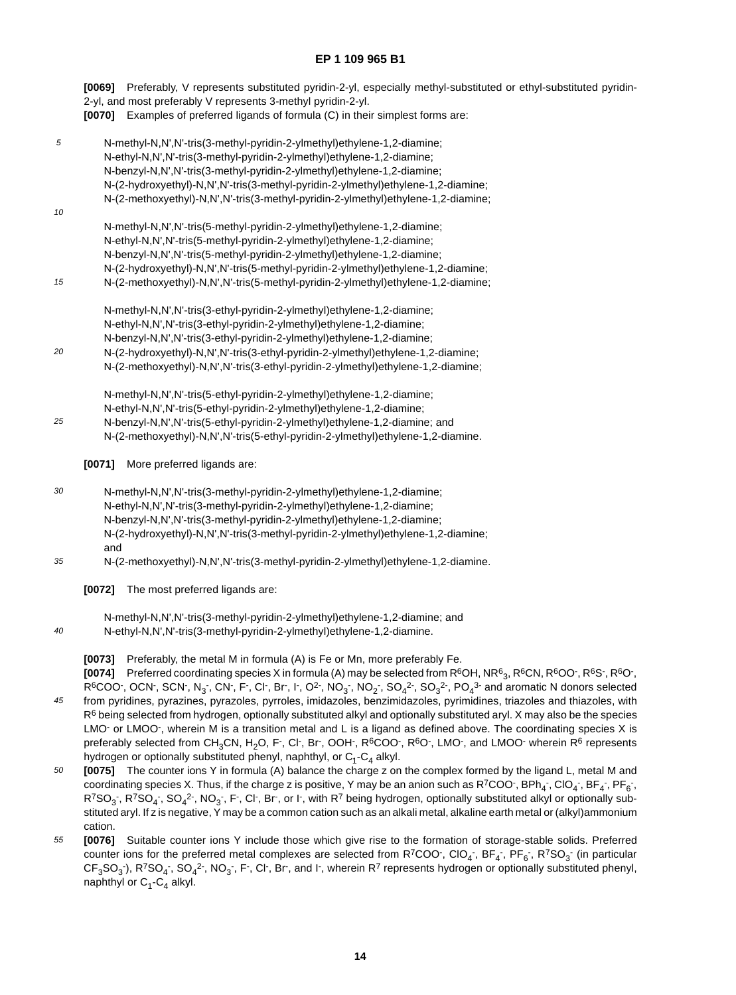**[0069]** Preferably, V represents substituted pyridin-2-yl, especially methyl-substituted or ethyl-substituted pyridin-2-yl, and most preferably V represents 3-methyl pyridin-2-yl. **[0070]** Examples of preferred ligands of formula (C) in their simplest forms are:

5 10 15  $20$ 25 N-methyl-N,N',N'-tris(3-methyl-pyridin-2-ylmethyl)ethylene-1,2-diamine; N-ethyl-N,N',N'-tris(3-methyl-pyridin-2-ylmethyl)ethylene-1,2-diamine; N-benzyl-N,N',N'-tris(3-methyl-pyridin-2-ylmethyl)ethylene-1,2-diamine; N-(2-hydroxyethyl)-N,N',N'-tris(3-methyl-pyridin-2-ylmethyl)ethylene-1,2-diamine; N-(2-methoxyethyl)-N,N',N'-tris(3-methyl-pyridin-2-ylmethyl)ethylene-1,2-diamine; N-methyl-N,N',N'-tris(5-methyl-pyridin-2-ylmethyl)ethylene-1,2-diamine; N-ethyl-N,N',N'-tris(5-methyl-pyridin-2-ylmethyl)ethylene-1,2-diamine; N-benzyl-N,N',N'-tris(5-methyl-pyridin-2-ylmethyl)ethylene-1,2-diamine; N-(2-hydroxyethyl)-N,N',N'-tris(5-methyl-pyridin-2-ylmethyl)ethylene-1,2-diamine; N-(2-methoxyethyl)-N,N',N'-tris(5-methyl-pyridin-2-ylmethyl)ethylene-1,2-diamine; N-methyl-N,N',N'-tris(3-ethyl-pyridin-2-ylmethyl)ethylene-1,2-diamine; N-ethyl-N,N',N'-tris(3-ethyl-pyridin-2-ylmethyl)ethylene-1,2-diamine; N-benzyl-N,N',N'-tris(3-ethyl-pyridin-2-ylmethyl)ethylene-1,2-diamine; N-(2-hydroxyethyl)-N,N',N'-tris(3-ethyl-pyridin-2-ylmethyl)ethylene-1,2-diamine; N-(2-methoxyethyl)-N,N',N'-tris(3-ethyl-pyridin-2-ylmethyl)ethylene-1,2-diamine; N-methyl-N,N',N'-tris(5-ethyl-pyridin-2-ylmethyl)ethylene-1,2-diamine; N-ethyl-N,N',N'-tris(5-ethyl-pyridin-2-ylmethyl)ethylene-1,2-diamine; N-benzyl-N,N',N'-tris(5-ethyl-pyridin-2-ylmethyl)ethylene-1,2-diamine; and N-(2-methoxyethyl)-N,N',N'-tris(5-ethyl-pyridin-2-ylmethyl)ethylene-1,2-diamine.

**[0071]** More preferred ligands are:

- 30 N-methyl-N,N',N'-tris(3-methyl-pyridin-2-ylmethyl)ethylene-1,2-diamine; N-ethyl-N,N',N'-tris(3-methyl-pyridin-2-ylmethyl)ethylene-1,2-diamine; N-benzyl-N,N',N'-tris(3-methyl-pyridin-2-ylmethyl)ethylene-1,2-diamine; N-(2-hydroxyethyl)-N,N',N'-tris(3-methyl-pyridin-2-ylmethyl)ethylene-1,2-diamine; and
- 35 N-(2-methoxyethyl)-N,N',N'-tris(3-methyl-pyridin-2-ylmethyl)ethylene-1,2-diamine.
	- **[0072]** The most preferred ligands are:

40 N-methyl-N,N',N'-tris(3-methyl-pyridin-2-ylmethyl)ethylene-1,2-diamine; and N-ethyl-N,N',N'-tris(3-methyl-pyridin-2-ylmethyl)ethylene-1,2-diamine.

- **[0073]** Preferably, the metal M in formula (A) is Fe or Mn, more preferably Fe.
- 45  $[0074]$  Preferred coordinating species X in formula (A) may be selected from R<sup>6</sup>OH, NR<sup>6</sup>3, R<sup>6</sup>CN, R<sup>6</sup>OO<sup>-</sup>, R<sup>6</sup>S<sup>-</sup>, R<sup>6</sup>O<sup>-</sup>,  $R^6$ COO $^-,$  OCN $^-,$  SCN $^-,$  N $^-,$  CN $^-,$  F $^-,$  Cl $^-,$  Br $^-,$  I $^-,$  O $^0_2$ ,  $\pi$ , NO $^-,$  SO $^2$ ,  $\pi$ , SO $^3$  and aromatic N donors selected from pyridines, pyrazines, pyrazoles, pyrroles, imidazoles, benzimidazoles, pyrimidines, triazoles and thiazoles, with  $R^6$  being selected from hydrogen, optionally substituted alkyl and optionally substituted aryl. X may also be the species LMO<sup>-</sup> or LMOO<sup>-</sup>, wherein M is a transition metal and L is a ligand as defined above. The coordinating species X is
- 50 preferably selected from CH<sub>3</sub>CN, H<sub>2</sub>O, F<sup>-</sup>, Cl<sup>-</sup>, Br<sup>-</sup>, OOH<sup>-</sup>, R<sup>6</sup>COO<sup>-</sup>, R<sup>6</sup>O<sup>-</sup>, LMO<sup>-</sup>, and LMOO<sup>-</sup> wherein R<sup>6</sup> represents hydrogen or optionally substituted phenyl, naphthyl, or  $C_1-C_4$  alkyl. **[0075]** The counter ions Y in formula (A) balance the charge z on the complex formed by the ligand L, metal M and
- coordinating species X. Thus, if the charge z is positive, Y may be an anion such as R<sup>7</sup>COO<sup>-</sup>, BPh<sub>4</sub><sup>-</sup>, ClO<sub>4</sub><sup>-</sup>, BF<sub>4</sub><sup>-</sup>, PF<sub>6</sub><sup>-</sup>,  $R^7$ SO<sub>3</sub> , R<sup>7</sup>SO<sub>4</sub> , SO<sub>4</sub><sup>2</sup> , NO<sub>3</sub> , F , Cl , Br , or I , with R<sup>7</sup> being hydrogen, optionally substituted alkyl or optionally substituted aryl. If z is negative, Y may be a common cation such as an alkali metal, alkaline earth metal or (alkyl)ammonium cation.
- 55 **[0076]** Suitable counter ions Y include those which give rise to the formation of storage-stable solids. Preferred counter ions for the preferred metal complexes are selected from R<sup>7</sup>COO<sup>-</sup>, ClO<sub>4</sub>-, BF<sub>4</sub>-, PF<sub>6</sub>-, R<sup>7</sup>SO<sub>3</sub>- (in particular  $\mathsf{CF_3SO_3}$ ), R<sup>7</sup>SO<sub>4</sub><sup>-</sup>, SO<sub>4</sub><sup>2-</sup>, NO<sub>3</sub>-, F<sup>-</sup>, Cl<sup>-</sup>, Br-, and I<sup>-</sup>, wherein R<sup>7</sup> represents hydrogen or optionally substituted phenyl, naphthyl or  $C_1$ - $C_4$  alkyl.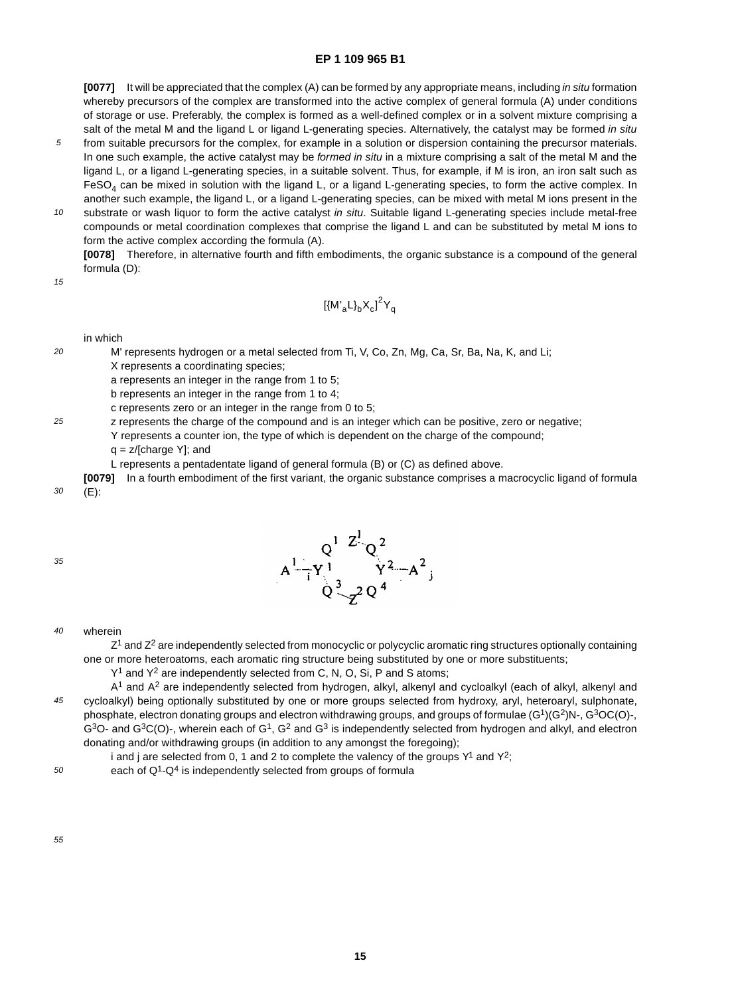**[0077]** It will be appreciated that the complex (A) can be formed by any appropriate means, including in situ formation whereby precursors of the complex are transformed into the active complex of general formula (A) under conditions of storage or use. Preferably, the complex is formed as a well-defined complex or in a solvent mixture comprising a salt of the metal M and the ligand L or ligand L-generating species. Alternatively, the catalyst may be formed in situ

- 5 from suitable precursors for the complex, for example in a solution or dispersion containing the precursor materials. In one such example, the active catalyst may be formed in situ in a mixture comprising a salt of the metal M and the ligand L, or a ligand L-generating species, in a suitable solvent. Thus, for example, if M is iron, an iron salt such as  $FESO<sub>4</sub>$  can be mixed in solution with the ligand L, or a ligand L-generating species, to form the active complex. In another such example, the ligand L, or a ligand L-generating species, can be mixed with metal M ions present in the
- 10 substrate or wash liquor to form the active catalyst in situ. Suitable ligand L-generating species include metal-free compounds or metal coordination complexes that comprise the ligand L and can be substituted by metal M ions to form the active complex according the formula (A).

**[0078]** Therefore, in alternative fourth and fifth embodiments, the organic substance is a compound of the general formula (D):

15

 $20$ 

25

$$
\left[\left\{M^{'}_{a}L\right\}_{b}X_{c}\right]^{2}Y_{q}
$$

in which

M' represents hydrogen or a metal selected from Ti, V, Co, Zn, Mg, Ca, Sr, Ba, Na, K, and Li;

X represents a coordinating species;

a represents an integer in the range from 1 to 5;

b represents an integer in the range from 1 to 4;

c represents zero or an integer in the range from 0 to 5;

z represents the charge of the compound and is an integer which can be positive, zero or negative;

Y represents a counter ion, the type of which is dependent on the charge of the compound;

q = z/[charge Y]; and

L represents a pentadentate ligand of general formula (B) or (C) as defined above.

**[0079]** In a fourth embodiment of the first variant, the organic substance comprises a macrocyclic ligand of formula (E):

35

30



#### 40 wherein

 $Z<sup>1</sup>$  and  $Z<sup>2</sup>$  are independently selected from monocyclic or polycyclic aromatic ring structures optionally containing one or more heteroatoms, each aromatic ring structure being substituted by one or more substituents;

Y<sup>1</sup> and Y<sup>2</sup> are independently selected from C, N, O, Si, P and S atoms;

45 A<sup>1</sup> and A<sup>2</sup> are independently selected from hydrogen, alkyl, alkenyl and cycloalkyl (each of alkyl, alkenyl and cycloalkyl) being optionally substituted by one or more groups selected from hydroxy, aryl, heteroaryl, sulphonate, phosphate, electron donating groups and electron withdrawing groups, and groups of formulae (G1)(G2)N-, G3OC(O)-,  $G<sup>3</sup>O$ - and  $G<sup>3</sup>C(O)$ -, wherein each of  $G<sup>1</sup>$ ,  $G<sup>2</sup>$  and  $G<sup>3</sup>$  is independently selected from hydrogen and alkyl, and electron donating and/or withdrawing groups (in addition to any amongst the foregoing);

i and j are selected from 0, 1 and 2 to complete the valency of the groups  $Y^1$  and  $Y^2$ ;

50 each of Q<sup>1</sup>-Q<sup>4</sup> is independently selected from groups of formula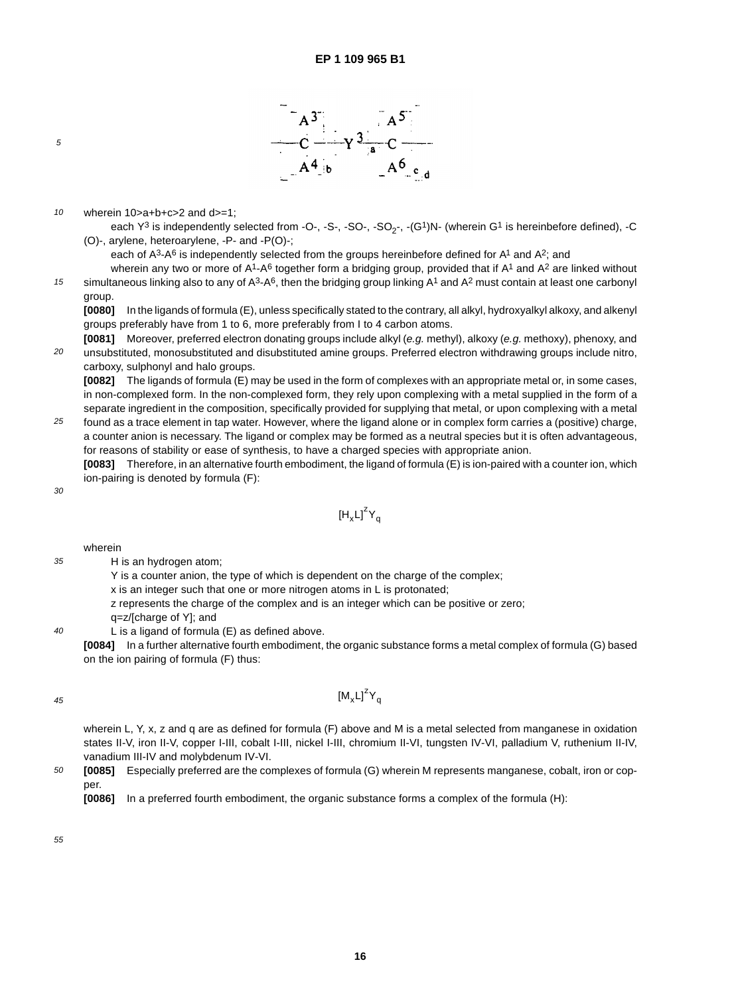

#### 10 wherein 10>a+b+c>2 and d>=1;

each  $Y^3$  is independently selected from -O-, -S-, -SO-, -SO<sub>2</sub>-, -(G<sup>1</sup>)N- (wherein G<sup>1</sup> is hereinbefore defined), -C (O)-, arylene, heteroarylene, -P- and -P(O)-;

each of  $A^3 - A^6$  is independently selected from the groups hereinbefore defined for  $A^1$  and  $A^2$ ; and

wherein any two or more of  $A^1$ - $A^6$  together form a bridging group, provided that if  $A^1$  and  $A^2$  are linked without simultaneous linking also to any of  $A^3 \text{-} A^6$ , then the bridging group linking  $A^1$  and  $A^2$  must contain at least one carbonyl group.

**[0080]** In the ligands of formula (E), unless specifically stated to the contrary, all alkyl, hydroxyalkyl alkoxy, and alkenyl groups preferably have from 1 to 6, more preferably from I to 4 carbon atoms.

 $20$ **[0081]** Moreover, preferred electron donating groups include alkyl (e.g. methyl), alkoxy (e.g. methoxy), phenoxy, and unsubstituted, monosubstituted and disubstituted amine groups. Preferred electron withdrawing groups include nitro, carboxy, sulphonyl and halo groups.

**[0082]** The ligands of formula (E) may be used in the form of complexes with an appropriate metal or, in some cases, in non-complexed form. In the non-complexed form, they rely upon complexing with a metal supplied in the form of a separate ingredient in the composition, specifically provided for supplying that metal, or upon complexing with a metal

25 found as a trace element in tap water. However, where the ligand alone or in complex form carries a (positive) charge, a counter anion is necessary. The ligand or complex may be formed as a neutral species but it is often advantageous, for reasons of stability or ease of synthesis, to have a charged species with appropriate anion.

**[0083]** Therefore, in an alternative fourth embodiment, the ligand of formula (E) is ion-paired with a counter ion, which ion-pairing is denoted by formula (F):

30

35

 $40$ 

5

15

$$
\left[H_xL\right]^zY_q
$$

wherein

- H is an hydrogen atom;
	- Y is a counter anion, the type of which is dependent on the charge of the complex;

x is an integer such that one or more nitrogen atoms in L is protonated;

- z represents the charge of the complex and is an integer which can be positive or zero;
- q=z/[charge of Y]; and
- L is a ligand of formula (E) as defined above.

**[0084]** In a further alternative fourth embodiment, the organic substance forms a metal complex of formula (G) based on the ion pairing of formula (F) thus:

 $[M_xL]^ZY_q$ 

$$
45\,
$$

wherein L, Y, x, z and q are as defined for formula (F) above and M is a metal selected from manganese in oxidation states II-V, iron II-V, copper I-III, cobalt I-III, nickel I-III, chromium II-VI, tungsten IV-VI, palladium V, ruthenium II-IV, vanadium III-IV and molybdenum IV-VI.

50 **[0085]** Especially preferred are the complexes of formula (G) wherein M represents manganese, cobalt, iron or copper.

**[0086]** In a preferred fourth embodiment, the organic substance forms a complex of the formula (H):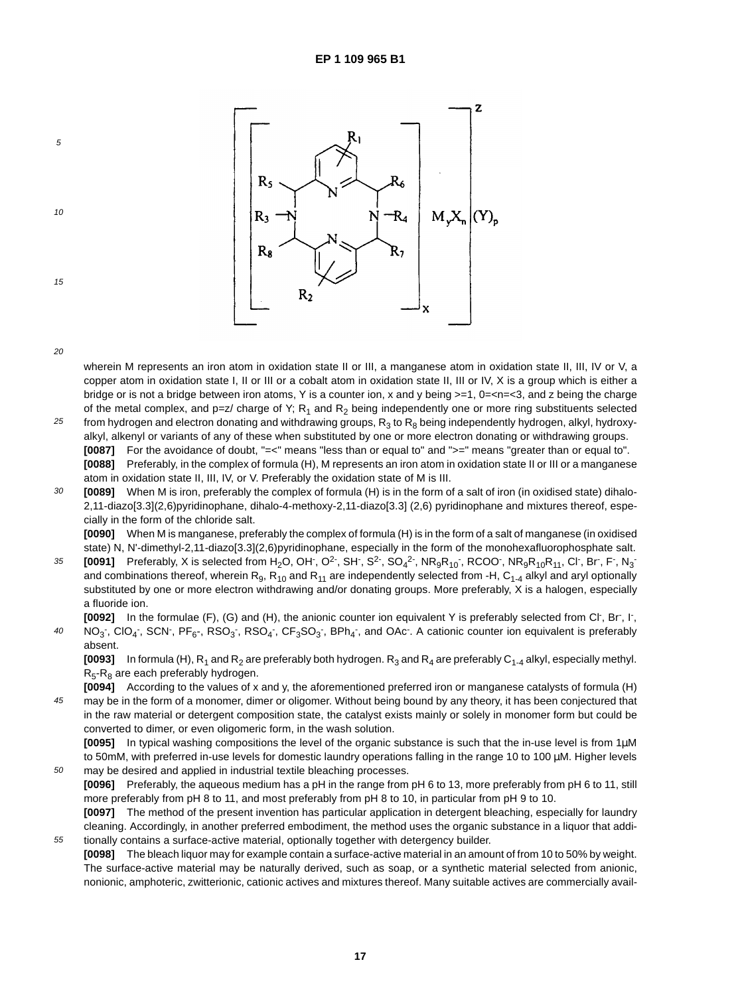

50

55

5

10

15

wherein M represents an iron atom in oxidation state II or III, a manganese atom in oxidation state II, III, IV or V, a copper atom in oxidation state I, II or III or a cobalt atom in oxidation state II, III or IV, X is a group which is either a bridge or is not a bridge between iron atoms, Y is a counter ion, x and y being  $>=1$ ,  $0=, and z being the charge$ of the metal complex, and p=z/ charge of Y;  $R_1$  and  $R_2$  being independently one or more ring substituents selected

- 25 from hydrogen and electron donating and withdrawing groups,  $R_3$  to  $R_8$  being independently hydrogen, alkyl, hydroxyalkyl, alkenyl or variants of any of these when substituted by one or more electron donating or withdrawing groups. **[0087]** For the avoidance of doubt, "=<" means "less than or equal to" and ">=" means "greater than or equal to". **[0088]** Preferably, in the complex of formula (H), M represents an iron atom in oxidation state II or III or a manganese atom in oxidation state II, III, IV, or V. Preferably the oxidation state of M is III.
- 30 **[0089]** When M is iron, preferably the complex of formula (H) is in the form of a salt of iron (in oxidised state) dihalo-2,11-diazo[3.3](2,6)pyridinophane, dihalo-4-methoxy-2,11-diazo[3.3] (2,6) pyridinophane and mixtures thereof, especially in the form of the chloride salt.

**[0090]** When M is manganese, preferably the complex of formula (H) is in the form of a salt of manganese (in oxidised state) N, N'-dimethyl-2,11-diazo[3.3](2,6)pyridinophane, especially in the form of the monohexafluorophosphate salt.

35  $[0091]$  Preferably, X is selected from H<sub>2</sub>O, OH<sup>-</sup>, O<sup>2-</sup>, SH<sup>-</sup>, S<sup>2-</sup>, SO<sub>4</sub><sup>2-</sup>, NR<sub>9</sub>R<sub>10</sub><sup>-</sup>, RCOO<sup>-</sup>, NR<sub>9</sub>R<sub>10</sub>R<sub>11</sub>, Cl<sup>-</sup>, Br<sup>-</sup>, F<sup>-</sup>, N<sub>3</sub><sup>-</sup> and combinations thereof, wherein R<sub>9</sub>, R<sub>10</sub> and R<sub>11</sub> are independently selected from -H, C<sub>1-4</sub> alkyl and aryl optionally substituted by one or more electron withdrawing and/or donating groups. More preferably, X is a halogen, especially a fluoride ion.

40 [0092] In the formulae (F), (G) and (H), the anionic counter ion equivalent Y is preferably selected from Cl<sup>-</sup>, Br<sup>-</sup>, I<sup>-</sup>, NO<sub>3</sub>, CIO<sub>4</sub>, SCN, PF<sub>6</sub>-, RSO<sub>3</sub>, RSO<sub>4</sub>, CF<sub>3</sub>SO<sub>3</sub>, BPh<sub>4</sub>, and OAc A cationic counter ion equivalent is preferably absent.

**[0093]** In formula (H),  $R_1$  and  $R_2$  are preferably both hydrogen.  $R_3$  and  $R_4$  are preferably C<sub>1-4</sub> alkyl, especially methyl.  $R_5-R_8$  are each preferably hydrogen.

45 **[0094]** According to the values of x and y, the aforementioned preferred iron or manganese catalysts of formula (H) may be in the form of a monomer, dimer or oligomer. Without being bound by any theory, it has been conjectured that in the raw material or detergent composition state, the catalyst exists mainly or solely in monomer form but could be converted to dimer, or even oligomeric form, in the wash solution.

**[0095]** In typical washing compositions the level of the organic substance is such that the in-use level is from 1µM to 50mM, with preferred in-use levels for domestic laundry operations falling in the range 10 to 100 µM. Higher levels may be desired and applied in industrial textile bleaching processes.

**[0096]** Preferably, the aqueous medium has a pH in the range from pH 6 to 13, more preferably from pH 6 to 11, still more preferably from pH 8 to 11, and most preferably from pH 8 to 10, in particular from pH 9 to 10.

**[0097]** The method of the present invention has particular application in detergent bleaching, especially for laundry cleaning. Accordingly, in another preferred embodiment, the method uses the organic substance in a liquor that additionally contains a surface-active material, optionally together with detergency builder.

**[0098]** The bleach liquor may for example contain a surface-active material in an amount of from 10 to 50% by weight. The surface-active material may be naturally derived, such as soap, or a synthetic material selected from anionic, nonionic, amphoteric, zwitterionic, cationic actives and mixtures thereof. Many suitable actives are commercially avail-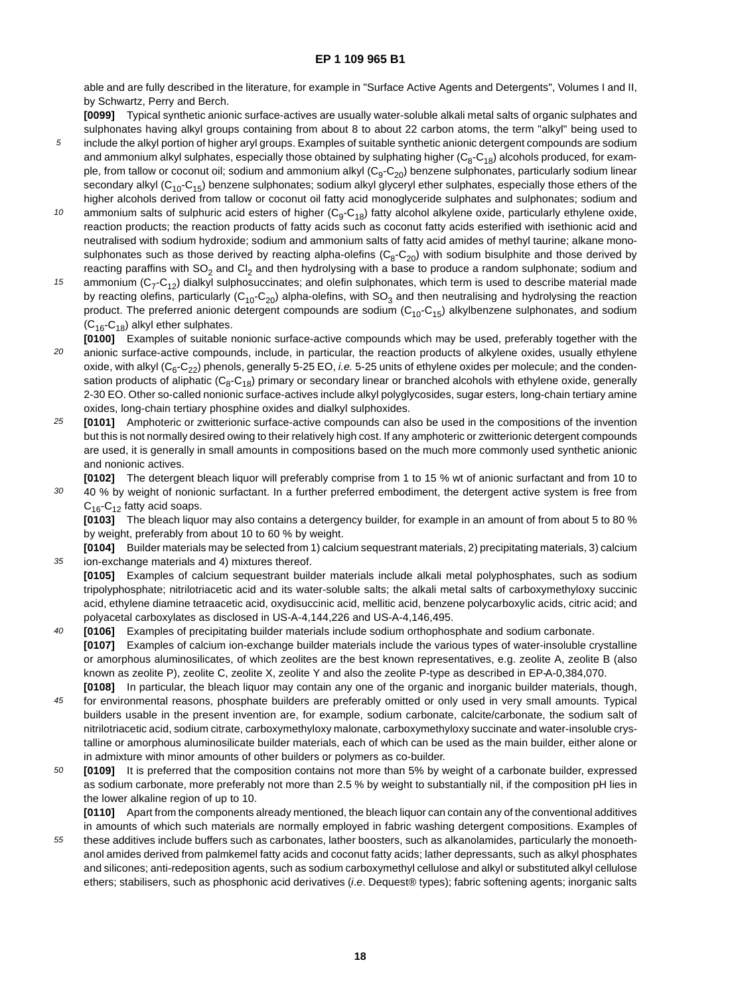able and are fully described in the literature, for example in "Surface Active Agents and Detergents", Volumes I and II, by Schwartz, Perry and Berch.

**[0099]** Typical synthetic anionic surface-actives are usually water-soluble alkali metal salts of organic sulphates and sulphonates having alkyl groups containing from about 8 to about 22 carbon atoms, the term "alkyl" being used to include the alkyl portion of higher aryl groups. Examples of suitable synthetic anionic detergent compounds are sodium and ammonium alkyl sulphates, especially those obtained by sulphating higher  $(C_8-C_{18})$  alcohols produced, for exam-

ple, from tallow or coconut oil; sodium and ammonium alkyl ( $C_9$ - $C_{20}$ ) benzene sulphonates, particularly sodium linear secondary alkyl  $(C_{10}-C_{15})$  benzene sulphonates; sodium alkyl glyceryl ether sulphates, especially those ethers of the higher alcohols derived from tallow or coconut oil fatty acid monoglyceride sulphates and sulphonates; sodium and

5

35

- 10 ammonium salts of sulphuric acid esters of higher  $(C_9-C_{18})$  fatty alcohol alkylene oxide, particularly ethylene oxide, reaction products; the reaction products of fatty acids such as coconut fatty acids esterified with isethionic acid and neutralised with sodium hydroxide; sodium and ammonium salts of fatty acid amides of methyl taurine; alkane monosulphonates such as those derived by reacting alpha-olefins  $(C_8-C_{20})$  with sodium bisulphite and those derived by reacting paraffins with  $SO_2$  and  $Cl_2$  and then hydrolysing with a base to produce a random sulphonate; sodium and
- 15 ammonium  $(C_7-C_{12})$  dialkyl sulphosuccinates; and olefin sulphonates, which term is used to describe material made by reacting olefins, particularly  $(C_{10}-C_{20})$  alpha-olefins, with SO<sub>3</sub> and then neutralising and hydrolysing the reaction product. The preferred anionic detergent compounds are sodium  $(C_{10}-C_{15})$  alkylbenzene sulphonates, and sodium  $(C_{16}$ -C<sub>18</sub>) alkyl ether sulphates.
- $20$ **[0100]** Examples of suitable nonionic surface-active compounds which may be used, preferably together with the anionic surface-active compounds, include, in particular, the reaction products of alkylene oxides, usually ethylene oxide, with alkyl  $(C_6-C_{22})$  phenols, generally 5-25 EO, *i.e.* 5-25 units of ethylene oxides per molecule; and the condensation products of aliphatic  $(C_8-C_{18})$  primary or secondary linear or branched alcohols with ethylene oxide, generally 2-30 EO. Other so-called nonionic surface-actives include alkyl polyglycosides, sugar esters, long-chain tertiary amine oxides, long-chain tertiary phosphine oxides and dialkyl sulphoxides.
- 25 **[0101]** Amphoteric or zwitterionic surface-active compounds can also be used in the compositions of the invention but this is not normally desired owing to their relatively high cost. If any amphoteric or zwitterionic detergent compounds are used, it is generally in small amounts in compositions based on the much more commonly used synthetic anionic and nonionic actives.

30 **[0102]** The detergent bleach liquor will preferably comprise from 1 to 15 % wt of anionic surfactant and from 10 to 40 % by weight of nonionic surfactant. In a further preferred embodiment, the detergent active system is free from  $C_{16}$ -C<sub>12</sub> fatty acid soaps.

**[0103]** The bleach liquor may also contains a detergency builder, for example in an amount of from about 5 to 80 % by weight, preferably from about 10 to 60 % by weight.

**[0104]** Builder materials may be selected from 1) calcium sequestrant materials, 2) precipitating materials, 3) calcium ion-exchange materials and 4) mixtures thereof.

- **[0105]** Examples of calcium sequestrant builder materials include alkali metal polyphosphates, such as sodium tripolyphosphate; nitrilotriacetic acid and its water-soluble salts; the alkali metal salts of carboxymethyloxy succinic acid, ethylene diamine tetraacetic acid, oxydisuccinic acid, mellitic acid, benzene polycarboxylic acids, citric acid; and polyacetal carboxylates as disclosed in US-A-4,144,226 and US-A-4,146,495.
- $40$ **[0106]** Examples of precipitating builder materials include sodium orthophosphate and sodium carbonate. **[0107]** Examples of calcium ion-exchange builder materials include the various types of water-insoluble crystalline or amorphous aluminosilicates, of which zeolites are the best known representatives, e.g. zeolite A, zeolite B (also known as zeolite P), zeolite C, zeolite X, zeolite Y and also the zeolite P-type as described in EP-A-0,384,070. **[0108]** In particular, the bleach liquor may contain any one of the organic and inorganic builder materials, though,
- 45 for environmental reasons, phosphate builders are preferably omitted or only used in very small amounts. Typical builders usable in the present invention are, for example, sodium carbonate, calcite/carbonate, the sodium salt of nitrilotriacetic acid, sodium citrate, carboxymethyloxy malonate, carboxymethyloxy succinate and water-insoluble crystalline or amorphous aluminosilicate builder materials, each of which can be used as the main builder, either alone or in admixture with minor amounts of other builders or polymers as co-builder.
- 50 **[0109]** It is preferred that the composition contains not more than 5% by weight of a carbonate builder, expressed as sodium carbonate, more preferably not more than 2.5 % by weight to substantially nil, if the composition pH lies in the lower alkaline region of up to 10.

**[0110]** Apart from the components already mentioned, the bleach liquor can contain any of the conventional additives in amounts of which such materials are normally employed in fabric washing detergent compositions. Examples of

55 these additives include buffers such as carbonates, lather boosters, such as alkanolamides, particularly the monoethanol amides derived from palmkemel fatty acids and coconut fatty acids; lather depressants, such as alkyl phosphates and silicones; anti-redeposition agents, such as sodium carboxymethyl cellulose and alkyl or substituted alkyl cellulose ethers; stabilisers, such as phosphonic acid derivatives (i.e. Dequest® types); fabric softening agents; inorganic salts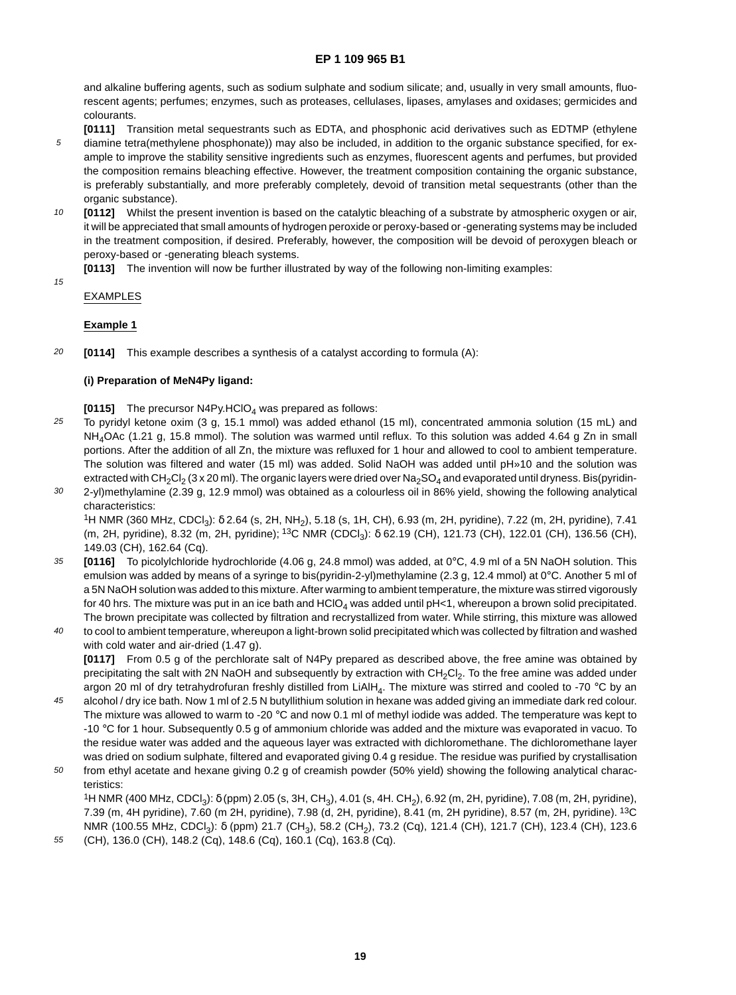and alkaline buffering agents, such as sodium sulphate and sodium silicate; and, usually in very small amounts, fluorescent agents; perfumes; enzymes, such as proteases, cellulases, lipases, amylases and oxidases; germicides and colourants.

- 5 **[0111]** Transition metal sequestrants such as EDTA, and phosphonic acid derivatives such as EDTMP (ethylene diamine tetra(methylene phosphonate)) may also be included, in addition to the organic substance specified, for example to improve the stability sensitive ingredients such as enzymes, fluorescent agents and perfumes, but provided the composition remains bleaching effective. However, the treatment composition containing the organic substance, is preferably substantially, and more preferably completely, devoid of transition metal sequestrants (other than the organic substance).
- 10 **[0112]** Whilst the present invention is based on the catalytic bleaching of a substrate by atmospheric oxygen or air, it will be appreciated that small amounts of hydrogen peroxide or peroxy-based or -generating systems may be included in the treatment composition, if desired. Preferably, however, the composition will be devoid of peroxygen bleach or peroxy-based or -generating bleach systems.
	- **[0113]** The invention will now be further illustrated by way of the following non-limiting examples:
- 15

55

## EXAMPLES

## **Example 1**

20 **[0114]** This example describes a synthesis of a catalyst according to formula (A):

## **(i) Preparation of MeN4Py ligand:**

**[0115]** The precursor N4Py.HClO<sub>4</sub> was prepared as follows:

- 25 To pyridyl ketone oxim (3 g, 15.1 mmol) was added ethanol (15 ml), concentrated ammonia solution (15 mL) and NH<sub>4</sub>OAc (1.21 g, 15.8 mmol). The solution was warmed until reflux. To this solution was added 4.64 g Zn in small portions. After the addition of all Zn, the mixture was refluxed for 1 hour and allowed to cool to ambient temperature. The solution was filtered and water (15 ml) was added. Solid NaOH was added until pH»10 and the solution was extracted with CH<sub>2</sub>Cl<sub>2</sub> (3 x 20 ml). The organic layers were dried over Na<sub>2</sub>SO<sub>4</sub> and evaporated until dryness. Bis(pyridin-
- 30 2-yl)methylamine (2.39 g, 12.9 mmol) was obtained as a colourless oil in 86% yield, showing the following analytical characteristics: 1H NMR (360 MHz, CDCl3): δ 2.64 (s, 2H, NH2), 5.18 (s, 1H, CH), 6.93 (m, 2H, pyridine), 7.22 (m, 2H, pyridine), 7.41 (m, 2H, pyridine), 8.32 (m, 2H, pyridine); <sup>13</sup>C NMR (CDCl<sub>3</sub>): δ 62.19 (CH), 121.73 (CH), 122.01 (CH), 136.56 (CH),

149.03 (CH), 162.64 (Cq).

- 35 **[0116]** To picolylchloride hydrochloride (4.06 g, 24.8 mmol) was added, at 0°C, 4.9 ml of a 5N NaOH solution. This emulsion was added by means of a syringe to bis(pyridin-2-yl)methylamine (2.3 g, 12.4 mmol) at 0°C. Another 5 ml of a 5N NaOH solution was added to this mixture. After warming to ambient temperature, the mixture was stirred vigorously for 40 hrs. The mixture was put in an ice bath and HClO<sub>4</sub> was added until pH<1, whereupon a brown solid precipitated. The brown precipitate was collected by filtration and recrystallized from water. While stirring, this mixture was allowed
- $40$ to cool to ambient temperature, whereupon a light-brown solid precipitated which was collected by filtration and washed with cold water and air-dried (1.47 g). **[0117]** From 0.5 g of the perchlorate salt of N4Py prepared as described above, the free amine was obtained by

precipitating the salt with 2N NaOH and subsequently by extraction with CH<sub>2</sub>Cl<sub>2</sub>. To the free amine was added under argon 20 ml of dry tetrahydrofuran freshly distilled from LiAlH<sub>4</sub>. The mixture was stirred and cooled to -70 °C by an

- 45 alcohol / dry ice bath. Now 1 ml of 2.5 N butyllithium solution in hexane was added giving an immediate dark red colour. The mixture was allowed to warm to -20 °C and now 0.1 ml of methyl iodide was added. The temperature was kept to -10 °C for 1 hour. Subsequently 0.5 g of ammonium chloride was added and the mixture was evaporated in vacuo. To the residue water was added and the aqueous layer was extracted with dichloromethane. The dichloromethane layer was dried on sodium sulphate, filtered and evaporated giving 0.4 g residue. The residue was purified by crystallisation
- 50 from ethyl acetate and hexane giving 0.2 g of creamish powder (50% yield) showing the following analytical characteristics: <sup>1</sup>H NMR (400 MHz, CDCl<sub>3</sub>): δ (ppm) 2.05 (s, 3H, CH<sub>3</sub>), 4.01 (s, 4H. CH<sub>2</sub>), 6.92 (m, 2H, pyridine), 7.08 (m, 2H, pyridine),

7.39 (m, 4H pyridine), 7.60 (m 2H, pyridine), 7.98 (d, 2H, pyridine), 8.41 (m, 2H pyridine), 8.57 (m, 2H, pyridine). 13C NMR (100.55 MHz, CDCl<sub>3</sub>): δ (ppm) 21.7 (CH<sub>3</sub>), 58.2 (CH<sub>2</sub>), 73.2 (Cq), 121.4 (CH), 121.7 (CH), 123.4 (CH), 123.6 (CH), 136.0 (CH), 148.2 (Cq), 148.6 (Cq), 160.1 (Cq), 163.8 (Cq).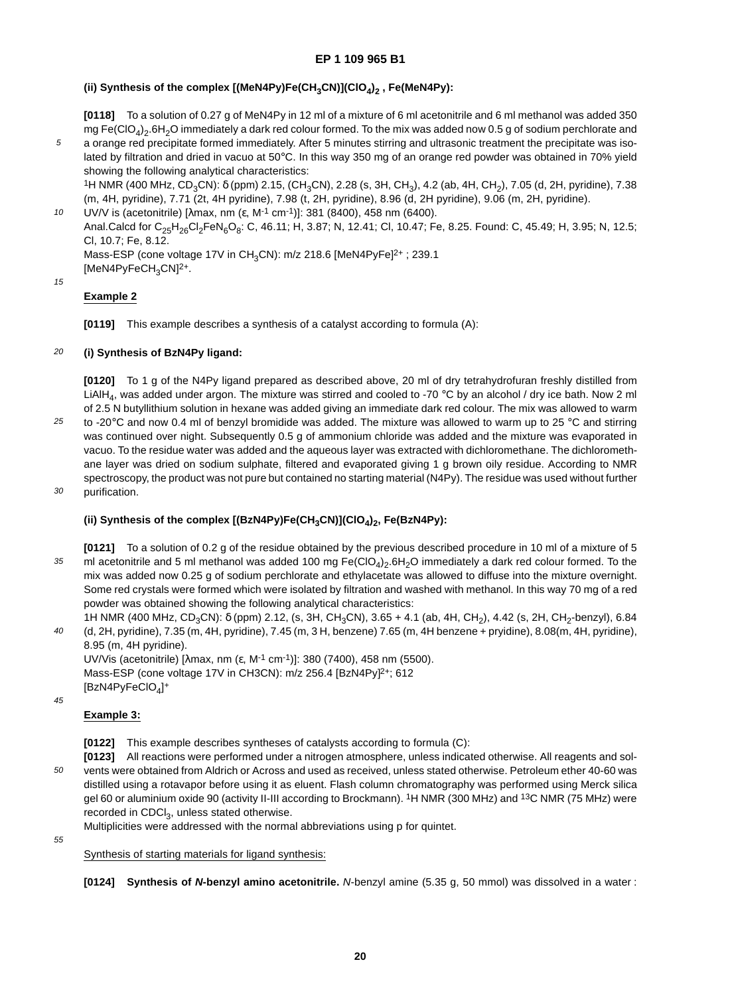## (ii) Synthesis of the complex [(MeN4Py)Fe(CH<sub>3</sub>CN)](ClO<sub>4</sub>)<sub>2</sub>, Fe(MeN4Py):

**[0118]** To a solution of 0.27 g of MeN4Py in 12 ml of a mixture of 6 ml acetonitrile and 6 ml methanol was added 350 mg Fe(ClO<sub>4</sub>)<sub>2</sub>.6H<sub>2</sub>O immediately a dark red colour formed. To the mix was added now 0.5 g of sodium perchlorate and

5 a orange red precipitate formed immediately. After 5 minutes stirring and ultrasonic treatment the precipitate was isolated by filtration and dried in vacuo at 50°C. In this way 350 mg of an orange red powder was obtained in 70% yield showing the following analytical characteristics:

<sup>1</sup>H NMR (400 MHz, CD<sub>3</sub>CN): δ (ppm) 2.15, (CH<sub>3</sub>CN), 2.28 (s, 3H, CH<sub>3</sub>), 4.2 (ab, 4H, CH<sub>2</sub>), 7.05 (d, 2H, pyridine), 7.38 (m, 4H, pyridine), 7.71 (2t, 4H pyridine), 7.98 (t, 2H, pyridine), 8.96 (d, 2H pyridine), 9.06 (m, 2H, pyridine).

10 UV/V is (acetonitrile) [λmax, nm (ε, M-1 cm-1)]: 381 (8400), 458 nm (6400).

Anal.Calcd for C<sub>25</sub>H<sub>26</sub>Cl<sub>2</sub>FeN<sub>6</sub>O<sub>8</sub>: C, 46.11; H, 3.87; N, 12.41; Cl, 10.47; Fe, 8.25. Found: C, 45.49; H, 3.95; N, 12.5; Cl, 10.7; Fe, 8.12.

Mass-ESP (cone voltage 17V in CH<sub>3</sub>CN): m/z 218.6 [MeN4PyFe]<sup>2+</sup>; 239.1 [MeN4PyFeCH<sub>3</sub>CN]<sup>2+</sup>.

15

## **Example 2**

**[0119]** This example describes a synthesis of a catalyst according to formula (A):

#### 20 **(i) Synthesis of BzN4Py ligand:**

**[0120]** To 1 g of the N4Py ligand prepared as described above, 20 ml of dry tetrahydrofuran freshly distilled from LiAlH<sub>4</sub>, was added under argon. The mixture was stirred and cooled to -70 °C by an alcohol / dry ice bath. Now 2 ml of 2.5 N butyllithium solution in hexane was added giving an immediate dark red colour. The mix was allowed to warm

- 25 to -20 $^{\circ}$ C and now 0.4 ml of benzyl bromidide was added. The mixture was allowed to warm up to 25  $^{\circ}$ C and stirring was continued over night. Subsequently 0.5 g of ammonium chloride was added and the mixture was evaporated in vacuo. To the residue water was added and the aqueous layer was extracted with dichloromethane. The dichloromethane layer was dried on sodium sulphate, filtered and evaporated giving 1 g brown oily residue. According to NMR spectroscopy, the product was not pure but contained no starting material (N4Py). The residue was used without further purification.
- 30

## (ii) Synthesis of the complex [(BzN4Py)Fe(CH<sub>3</sub>CN)](ClO<sub>4</sub>)<sub>2</sub>, Fe(BzN4Py):

35 **[0121]** To a solution of 0.2 g of the residue obtained by the previous described procedure in 10 ml of a mixture of 5 ml acetonitrile and 5 ml methanol was added 100 mg  $Fe(CIO_4)_2.6H_2O$  immediately a dark red colour formed. To the mix was added now 0.25 g of sodium perchlorate and ethylacetate was allowed to diffuse into the mixture overnight. Some red crystals were formed which were isolated by filtration and washed with methanol. In this way 70 mg of a red powder was obtained showing the following analytical characteristics:

 $40$ 1H NMR (400 MHz, CD<sub>3</sub>CN): δ (ppm) 2.12, (s, 3H, CH<sub>3</sub>CN), 3.65 + 4.1 (ab, 4H, CH<sub>2</sub>), 4.42 (s, 2H, CH<sub>2</sub>-benzyl), 6.84 (d, 2H, pyridine), 7.35 (m, 4H, pyridine), 7.45 (m, 3 H, benzene) 7.65 (m, 4H benzene + pryidine), 8.08(m, 4H, pyridine), 8.95 (m, 4H pyridine).

UV/Vis (acetonitrile) [λmax, nm (ε, M<sup>-1</sup> cm<sup>-1</sup>)]: 380 (7400), 458 nm (5500). Mass-ESP (cone voltage 17V in CH3CN): m/z 256.4 [BzN4Py]<sup>2+</sup>; 612 [BzN4PyFeClO<sub>4</sub>]+

45

55

## **Example 3:**

**[0122]** This example describes syntheses of catalysts according to formula (C):

50 **[0123]** All reactions were performed under a nitrogen atmosphere, unless indicated otherwise. All reagents and solvents were obtained from Aldrich or Across and used as received, unless stated otherwise. Petroleum ether 40-60 was distilled using a rotavapor before using it as eluent. Flash column chromatography was performed using Merck silica gel 60 or aluminium oxide 90 (activity II-III according to Brockmann). <sup>1</sup>H NMR (300 MHz) and <sup>13</sup>C NMR (75 MHz) were recorded in CDCl<sub>3</sub>, unless stated otherwise.

Multiplicities were addressed with the normal abbreviations using p for quintet.

Synthesis of starting materials for ligand synthesis:

**[0124] Synthesis of N-benzyl amino acetonitrile.** N-benzyl amine (5.35 g, 50 mmol) was dissolved in a water :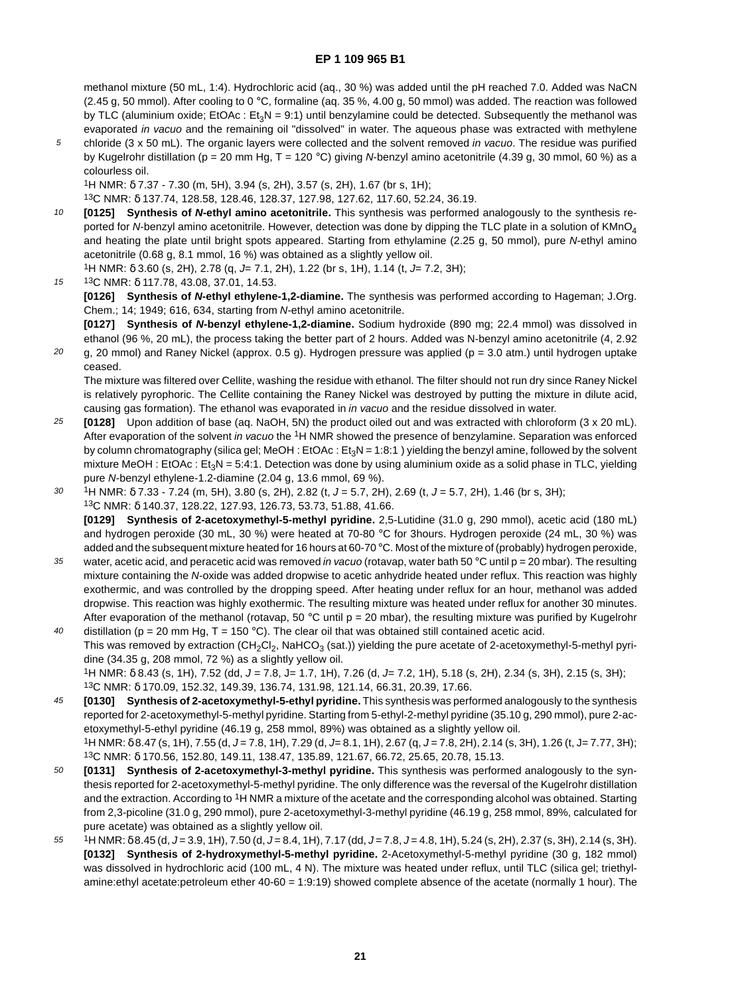methanol mixture (50 mL, 1:4). Hydrochloric acid (aq., 30 %) was added until the pH reached 7.0. Added was NaCN (2.45 g, 50 mmol). After cooling to 0 °C, formaline (aq. 35 %, 4.00 g, 50 mmol) was added. The reaction was followed by TLC (aluminium oxide;  $EtORc : Et<sub>3</sub>N = 9:1$ ) until benzylamine could be detected. Subsequently the methanol was evaporated *in vacuo* and the remaining oil "dissolved" in water. The aqueous phase was extracted with methylene

5 chloride  $(3 \times 50 \text{ mL})$ . The organic layers were collected and the solvent removed in vacuo. The residue was purified by Kugelrohr distillation (p = 20 mm Hg, T = 120 °C) giving N-benzyl amino acetonitrile (4.39 g, 30 mmol, 60 %) as a colourless oil.

1H NMR: δ 7.37 - 7.30 (m, 5H), 3.94 (s, 2H), 3.57 (s, 2H), 1.67 (br s, 1H);

13C NMR: δ 137.74, 128.58, 128.46, 128.37, 127.98, 127.62, 117.60, 52.24, 36.19.

10 **[0125] Synthesis of N-ethyl amino acetonitrile.** This synthesis was performed analogously to the synthesis reported for N-benzyl amino acetonitrile. However, detection was done by dipping the TLC plate in a solution of  $KMnO<sub>4</sub>$ and heating the plate until bright spots appeared. Starting from ethylamine (2.25 g, 50 mmol), pure N-ethyl amino acetonitrile (0.68 g, 8.1 mmol, 16 %) was obtained as a slightly yellow oil.

<sup>1</sup>H NMR: δ 3.60 (s, 2H), 2.78 (q, J= 7.1, 2H), 1.22 (br s, 1H), 1.14 (t, J= 7.2, 3H);

15 13C NMR: δ 117.78, 43.08, 37.01, 14.53.

**[0126] Synthesis of N-ethyl ethylene-1,2-diamine.** The synthesis was performed according to Hageman; J.Org. Chem.; 14; 1949; 616, 634, starting from N-ethyl amino acetonitrile.

**[0127] Synthesis of N-benzyl ethylene-1,2-diamine.** Sodium hydroxide (890 mg; 22.4 mmol) was dissolved in ethanol (96 %, 20 mL), the process taking the better part of 2 hours. Added was N-benzyl amino acetonitrile (4, 2.92

20 g, 20 mmol) and Raney Nickel (approx. 0.5 g). Hydrogen pressure was applied ( $p = 3.0$  atm.) until hydrogen uptake ceased.

The mixture was filtered over Cellite, washing the residue with ethanol. The filter should not run dry since Raney Nickel is relatively pyrophoric. The Cellite containing the Raney Nickel was destroyed by putting the mixture in dilute acid, causing gas formation). The ethanol was evaporated in in vacuo and the residue dissolved in water.

- 25 **[0128]** Upon addition of base (aq. NaOH, 5N) the product oiled out and was extracted with chloroform (3 x 20 mL). After evaporation of the solvent in vacuo the <sup>1</sup>H NMR showed the presence of benzylamine. Separation was enforced by column chromatography (silica gel; MeOH : EtOAc :  $Et_2N = 1:8:1$  ) yielding the benzyl amine, followed by the solvent mixture MeOH : EtOAc : Et<sub>3</sub>N = 5:4:1. Detection was done by using aluminium oxide as a solid phase in TLC, yielding pure N-benzyl ethylene-1.2-diamine (2.04 g, 13.6 mmol, 69 %).
- 30  $1H$  NMR:  $\delta$  7.33 - 7.24 (m, 5H), 3.80 (s, 2H), 2.82 (t, J = 5.7, 2H), 2.69 (t, J = 5.7, 2H), 1.46 (br s, 3H); 13C NMR: δ 140.37, 128.22, 127.93, 126.73, 53.73, 51.88, 41.66. **[0129] Synthesis of 2-acetoxymethyl-5-methyl pyridine.** 2,5-Lutidine (31.0 g, 290 mmol), acetic acid (180 mL) and hydrogen peroxide (30 mL, 30 %) were heated at 70-80 °C for 3hours. Hydrogen peroxide (24 mL, 30 %) was
- 35 added and the subsequent mixture heated for 16 hours at 60-70 °C. Most of the mixture of (probably) hydrogen peroxide, water, acetic acid, and peracetic acid was removed in vacuo (rotavap, water bath 50 °C until p = 20 mbar). The resulting mixture containing the N-oxide was added dropwise to acetic anhydride heated under reflux. This reaction was highly exothermic, and was controlled by the dropping speed. After heating under reflux for an hour, methanol was added dropwise. This reaction was highly exothermic. The resulting mixture was heated under reflux for another 30 minutes.
- $40$ After evaporation of the methanol (rotavap, 50 °C until  $p = 20$  mbar), the resulting mixture was purified by Kugelrohr distillation (p = 20 mm Hg, T = 150 °C). The clear oil that was obtained still contained acetic acid. This was removed by extraction (CH<sub>2</sub>Cl<sub>2</sub>, NaHCO<sub>3</sub> (sat.)) yielding the pure acetate of 2-acetoxymethyl-5-methyl pyridine (34.35 g, 208 mmol, 72 %) as a slightly yellow oil.  $1H$  NMR:  $\delta$  8.43 (s, 1H), 7.52 (dd,  $J = 7.8$ ,  $J = 1.7$ , 1H), 7.26 (d,  $J = 7.2$ , 1H), 5.18 (s, 2H), 2.34 (s, 3H), 2.15 (s, 3H); 13C NMR: δ 170.09, 152.32, 149.39, 136.74, 131.98, 121.14, 66.31, 20.39, 17.66.
- 45 **[0130] Synthesis of 2-acetoxymethyl-5-ethyl pyridine.** This synthesis was performed analogously to the synthesis reported for 2-acetoxymethyl-5-methyl pyridine. Starting from 5-ethyl-2-methyl pyridine (35.10 g, 290 mmol), pure 2-acetoxymethyl-5-ethyl pyridine (46.19 g, 258 mmol, 89%) was obtained as a slightly yellow oil. 1H NMR: δ 8.47 (s, 1H), 7.55 (d, J = 7.8, 1H), 7.29 (d, J = 8.1, 1H), 2.67 (q, J = 7.8, 2H), 2.14 (s, 3H), 1.26 (t, J = 7.77, 3H);
- 13C NMR: δ 170.56, 152.80, 149.11, 138.47, 135.89, 121.67, 66.72, 25.65, 20.78, 15.13.
- 50 **[0131] Synthesis of 2-acetoxymethyl-3-methyl pyridine.** This synthesis was performed analogously to the synthesis reported for 2-acetoxymethyl-5-methyl pyridine. The only difference was the reversal of the Kugelrohr distillation and the extraction. According to 1H NMR a mixture of the acetate and the corresponding alcohol was obtained. Starting from 2,3-picoline (31.0 g, 290 mmol), pure 2-acetoxymethyl-3-methyl pyridine (46.19 g, 258 mmol, 89%, calculated for pure acetate) was obtained as a slightly yellow oil.
- 55  $1H NMR: \delta 8.45$  (d, J = 3.9, 1H), 7.50 (d, J = 8.4, 1H), 7.17 (dd, J = 7.8, J = 4.8, 1H), 5.24 (s, 2H), 2.37 (s, 3H), 2.14 (s, 3H). **[0132] Synthesis of 2-hydroxymethyl-5-methyl pyridine.** 2-Acetoxymethyl-5-methyl pyridine (30 g, 182 mmol) was dissolved in hydrochloric acid (100 mL, 4 N). The mixture was heated under reflux, until TLC (silica gel; triethylamine:ethyl acetate:petroleum ether 40-60 = 1:9:19) showed complete absence of the acetate (normally 1 hour). The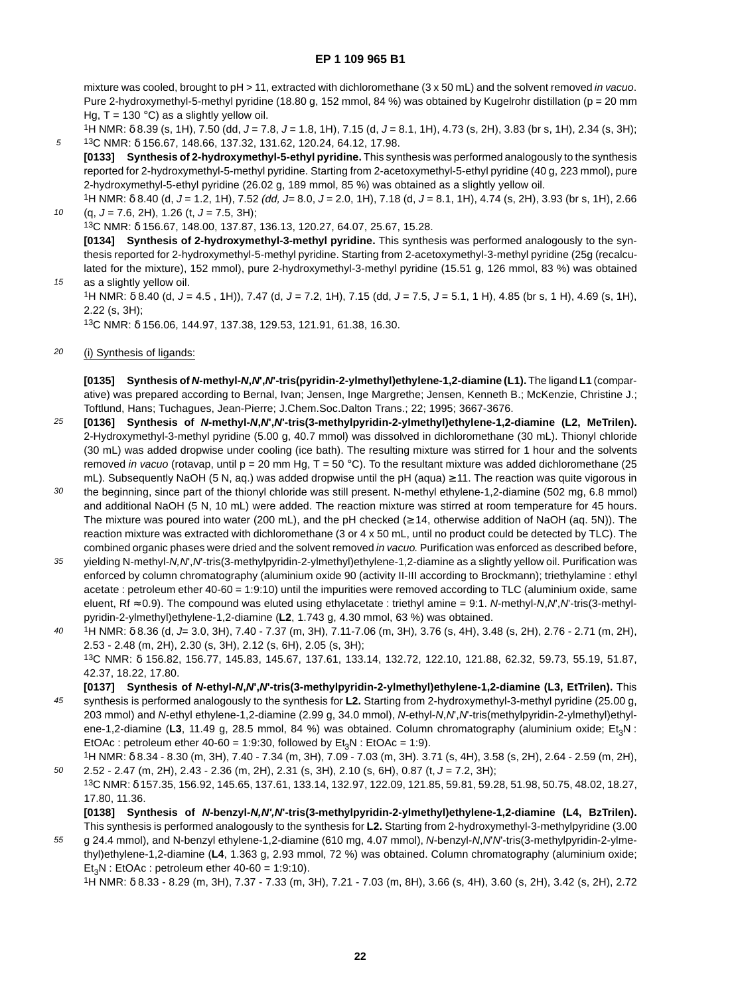mixture was cooled, brought to pH > 11, extracted with dichloromethane (3 x 50 mL) and the solvent removed in vacuo. Pure 2-hydroxymethyl-5-methyl pyridine (18.80 g, 152 mmol, 84 %) was obtained by Kugelrohr distillation (p = 20 mm Hg,  $T = 130$  °C) as a slightly yellow oil.

5  $1H$  NMR:  $\delta$  8.39 (s, 1H), 7.50 (dd,  $J = 7.8$ ,  $J = 1.8$ , 1H), 7.15 (d,  $J = 8.1$ , 1H), 4.73 (s, 2H), 3.83 (br s, 1H), 2.34 (s, 3H); 13C NMR: δ 156.67, 148.66, 137.32, 131.62, 120.24, 64.12, 17.98.

**[0133] Synthesis of 2-hydroxymethyl-5-ethyl pyridine.** This synthesis was performed analogously to the synthesis reported for 2-hydroxymethyl-5-methyl pyridine. Starting from 2-acetoxymethyl-5-ethyl pyridine (40 g, 223 mmol), pure 2-hydroxymethyl-5-ethyl pyridine (26.02 g, 189 mmol, 85 %) was obtained as a slightly yellow oil.

 $1H$  NMR:  $\delta$  8.40 (d,  $J = 1.2$ , 1H), 7.52 (dd,  $J = 8.0$ ,  $J = 2.0$ , 1H), 7.18 (d,  $J = 8.1$ , 1H), 4.74 (s, 2H), 3.93 (br s, 1H), 2.66  $(q, J = 7.6, 2H), 1.26$  (t,  $J = 7.5, 3H)$ ;

13C NMR: δ 156.67, 148.00, 137.87, 136.13, 120.27, 64.07, 25.67, 15.28.

**[0134] Synthesis of 2-hydroxymethyl-3-methyl pyridine.** This synthesis was performed analogously to the synthesis reported for 2-hydroxymethyl-5-methyl pyridine. Starting from 2-acetoxymethyl-3-methyl pyridine (25g (recalculated for the mixture), 152 mmol), pure 2-hydroxymethyl-3-methyl pyridine (15.51 g, 126 mmol, 83 %) was obtained as a slightly yellow oil.

1H NMR:  $\delta$  8.40 (d, J = 4.5, 1H)), 7.47 (d, J = 7.2, 1H), 7.15 (dd, J = 7.5, J = 5.1, 1 H), 4.85 (br s, 1 H), 4.69 (s, 1H), 2.22 (s, 3H);

13C NMR: δ 156.06, 144.97, 137.38, 129.53, 121.91, 61.38, 16.30.

20 (i) Synthesis of ligands:

10

15

**[0135] Synthesis of N-methyl-N,N',N'-tris(pyridin-2-ylmethyl)ethylene-1,2-diamine (L1).** The ligand **L1** (comparative) was prepared according to Bernal, Ivan; Jensen, Inge Margrethe; Jensen, Kenneth B.; McKenzie, Christine J.; Toftlund, Hans; Tuchagues, Jean-Pierre; J.Chem.Soc.Dalton Trans.; 22; 1995; 3667-3676.

- 25 **[0136] Synthesis of N-methyl-N,N',N'-tris(3-methylpyridin-2-ylmethyl)ethylene-1,2-diamine (L2, MeTrilen).** 2-Hydroxymethyl-3-methyl pyridine (5.00 g, 40.7 mmol) was dissolved in dichloromethane (30 mL). Thionyl chloride (30 mL) was added dropwise under cooling (ice bath). The resulting mixture was stirred for 1 hour and the solvents removed in vacuo (rotavap, until  $p = 20$  mm Hg, T = 50 °C). To the resultant mixture was added dichloromethane (25 mL). Subsequently NaOH (5 N, aq.) was added dropwise until the pH (aqua) ≥ 11. The reaction was quite vigorous in
- 30 the beginning, since part of the thionyl chloride was still present. N-methyl ethylene-1,2-diamine (502 mg, 6.8 mmol) and additional NaOH (5 N, 10 mL) were added. The reaction mixture was stirred at room temperature for 45 hours. The mixture was poured into water (200 mL), and the pH checked (≥ 14, otherwise addition of NaOH (aq. 5N)). The reaction mixture was extracted with dichloromethane (3 or 4 x 50 mL, until no product could be detected by TLC). The combined organic phases were dried and the solvent removed in vacuo. Purification was enforced as described before,
- 35 yielding N-methyl-N,N',N'-tris(3-methylpyridin-2-ylmethyl)ethylene-1,2-diamine as a slightly yellow oil. Purification was enforced by column chromatography (aluminium oxide 90 (activity II-III according to Brockmann); triethylamine : ethyl acetate : petroleum ether 40-60 = 1:9:10) until the impurities were removed according to TLC (aluminium oxide, same eluent, Rf ≈ 0.9). The compound was eluted using ethylacetate : triethyl amine = 9:1. N-methyl-N,N',N'-tris(3-methylpyridin-2-ylmethyl)ethylene-1,2-diamine (**L2**, 1.743 g, 4.30 mmol, 63 %) was obtained.
- $40$ 1H NMR: δ 8.36 (d, J= 3.0, 3H), 7.40 - 7.37 (m, 3H), 7.11-7.06 (m, 3H), 3.76 (s, 4H), 3.48 (s, 2H), 2.76 - 2.71 (m, 2H), 2.53 - 2.48 (m, 2H), 2.30 (s, 3H), 2.12 (s, 6H), 2.05 (s, 3H); 13C NMR: δ 156.82, 156.77, 145.83, 145.67, 137.61, 133.14, 132.72, 122.10, 121.88, 62.32, 59.73, 55.19, 51.87, 42.37, 18.22, 17.80.
- 45 **[0137] Synthesis of N-ethyl-N,N',N'-tris(3-methylpyridin-2-ylmethyl)ethylene-1,2-diamine (L3, EtTrilen).** This synthesis is performed analogously to the synthesis for **L2.** Starting from 2-hydroxymethyl-3-methyl pyridine (25.00 g, 203 mmol) and N-ethyl ethylene-1,2-diamine (2.99 g, 34.0 mmol), N-ethyl-N,N',N'-tris(methylpyridin-2-ylmethyl)ethylene-1,2-diamine (L3, 11.49 g, 28.5 mmol, 84 %) was obtained. Column chromatography (aluminium oxide; Et<sub>3</sub>N : EtOAc : petroleum ether  $40-60 = 1:9:30$ , followed by  $Et_2N$  : EtOAc = 1:9).

50 1H NMR: δ 8.34 - 8.30 (m, 3H), 7.40 - 7.34 (m, 3H), 7.09 - 7.03 (m, 3H). 3.71 (s, 4H), 3.58 (s, 2H), 2.64 - 2.59 (m, 2H), 2.52 - 2.47 (m, 2H), 2.43 - 2.36 (m, 2H), 2.31 (s, 3H), 2.10 (s, 6H), 0.87 (t, J = 7.2, 3H);

13C NMR: δ 157.35, 156.92, 145.65, 137.61, 133.14, 132.97, 122.09, 121.85, 59.81, 59.28, 51.98, 50.75, 48.02, 18.27, 17.80, 11.36.

**[0138] Synthesis of N-benzyl-N,N',N'-tris(3-methylpyridin-2-ylmethyl)ethylene-1,2-diamine (L4, BzTrilen).** This synthesis is performed analogously to the synthesis for **L2.** Starting from 2-hydroxymethyl-3-methylpyridine (3.00

55 g 24.4 mmol), and N-benzyl ethylene-1,2-diamine (610 mg, 4.07 mmol), N-benzyl-N,N'N'-tris(3-methylpyridin-2-ylmethyl)ethylene-1,2-diamine (**L4**, 1.363 g, 2.93 mmol, 72 %) was obtained. Column chromatography (aluminium oxide;  $Et<sub>3</sub>N$  : EtOAc : petroleum ether 40-60 = 1:9:10).

1H NMR: δ 8.33 - 8.29 (m, 3H), 7.37 - 7.33 (m, 3H), 7.21 - 7.03 (m, 8H), 3.66 (s, 4H), 3.60 (s, 2H), 3.42 (s, 2H), 2.72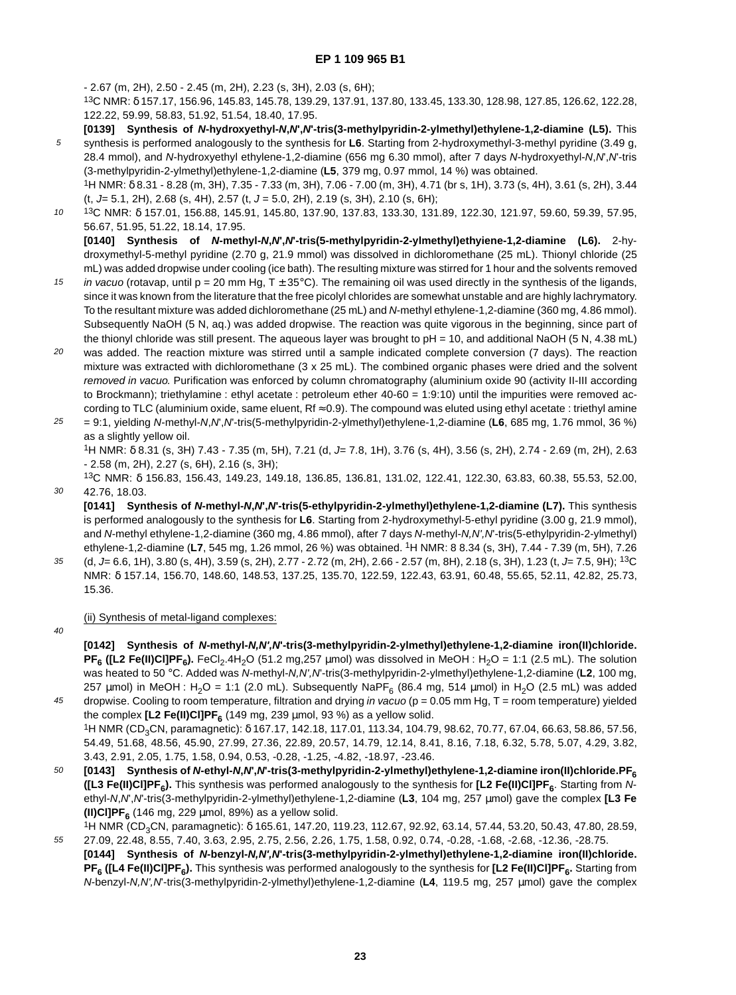- 2.67 (m, 2H), 2.50 - 2.45 (m, 2H), 2.23 (s, 3H), 2.03 (s, 6H);

13C NMR: δ 157.17, 156.96, 145.83, 145.78, 139.29, 137.91, 137.80, 133.45, 133.30, 128.98, 127.85, 126.62, 122.28, 122.22, 59.99, 58.83, 51.92, 51.54, 18.40, 17.95.

- 5 **[0139] Synthesis of N-hydroxyethyl-N,N',N'-tris(3-methylpyridin-2-ylmethyl)ethylene-1,2-diamine (L5).** This synthesis is performed analogously to the synthesis for **L6**. Starting from 2-hydroxymethyl-3-methyl pyridine (3.49 g, 28.4 mmol), and N-hydroxyethyl ethylene-1,2-diamine (656 mg 6.30 mmol), after 7 days N-hydroxyethyl-N,N',N'-tris (3-methylpyridin-2-ylmethyl)ethylene-1,2-diamine (**L5**, 379 mg, 0.97 mmol, 14 %) was obtained.
	- 1H NMR: δ 8.31 8.28 (m, 3H), 7.35 7.33 (m, 3H), 7.06 7.00 (m, 3H), 4.71 (br s, 1H), 3.73 (s, 4H), 3.61 (s, 2H), 3.44  $(t, J= 5.1, 2H)$ , 2.68 (s, 4H), 2.57 (t,  $J = 5.0, 2H$ ), 2.19 (s, 3H), 2.10 (s, 6H);
- 10 13C NMR: δ 157.01, 156.88, 145.91, 145.80, 137.90, 137.83, 133.30, 131.89, 122.30, 121.97, 59.60, 59.39, 57.95, 56.67, 51.95, 51.22, 18.14, 17.95.

**[0140] Synthesis of N-methyl-N,N',N'-tris(5-methylpyridin-2-ylmethyl)ethyiene-1,2-diamine (L6).** 2-hydroxymethyl-5-methyl pyridine (2.70 g, 21.9 mmol) was dissolved in dichloromethane (25 mL). Thionyl chloride (25 mL) was added dropwise under cooling (ice bath). The resulting mixture was stirred for 1 hour and the solvents removed

- 15 in vacuo (rotavap, until  $p = 20$  mm Hg, T  $\pm$  35°C). The remaining oil was used directly in the synthesis of the ligands, since it was known from the literature that the free picolyl chlorides are somewhat unstable and are highly lachrymatory. To the resultant mixture was added dichloromethane (25 mL) and N-methyl ethylene-1,2-diamine (360 mg, 4.86 mmol). Subsequently NaOH (5 N, aq.) was added dropwise. The reaction was quite vigorous in the beginning, since part of the thionyl chloride was still present. The aqueous layer was brought to  $pH = 10$ , and additional NaOH (5 N, 4.38 mL)
- 20 was added. The reaction mixture was stirred until a sample indicated complete conversion (7 days). The reaction mixture was extracted with dichloromethane (3 x 25 mL). The combined organic phases were dried and the solvent removed in vacuo. Purification was enforced by column chromatography (aluminium oxide 90 (activity II-III according to Brockmann); triethylamine : ethyl acetate : petroleum ether 40-60 = 1:9:10) until the impurities were removed according to TLC (aluminium oxide, same eluent, Rf ≈ 0.9). The compound was eluted using ethyl acetate : triethyl amine
- 25 = 9:1, yielding N-methyl-N,N',N'-tris(5-methylpyridin-2-ylmethyl)ethylene-1,2-diamine (**L6**, 685 mg, 1.76 mmol, 36 %) as a slightly yellow oil.

1H NMR: δ 8.31 (s, 3H) 7.43 - 7.35 (m, 5H), 7.21 (d, J= 7.8, 1H), 3.76 (s, 4H), 3.56 (s, 2H), 2.74 - 2.69 (m, 2H), 2.63 - 2.58 (m, 2H), 2.27 (s, 6H), 2.16 (s, 3H);

30 13C NMR: δ 156.83, 156.43, 149.23, 149.18, 136.85, 136.81, 131.02, 122.41, 122.30, 63.83, 60.38, 55.53, 52.00, 42.76, 18.03.

**[0141] Synthesis of N-methyl-N,N',N'-tris(5-ethylpyridin-2-ylmethyl)ethylene-1,2-diamine (L7).** This synthesis is performed analogously to the synthesis for **L6**. Starting from 2-hydroxymethyl-5-ethyl pyridine (3.00 g, 21.9 mmol), and N-methyl ethylene-1,2-diamine (360 mg, 4.86 mmol), after 7 days N-methyl-N,N',N'-tris(5-ethylpyridin-2-ylmethyl) ethylene-1,2-diamine (**L7**, 545 mg, 1.26 mmol, 26 %) was obtained. 1H NMR: 8 8.34 (s, 3H), 7.44 - 7.39 (m, 5H), 7.26

- 35 (d, J= 6.6, 1H), 3.80 (s, 4H), 3.59 (s, 2H), 2.77 - 2.72 (m, 2H), 2.66 - 2.57 (m, 8H), 2.18 (s, 3H), 1.23 (t, J= 7.5, 9H); 13C NMR: δ 157.14, 156.70, 148.60, 148.53, 137.25, 135.70, 122.59, 122.43, 63.91, 60.48, 55.65, 52.11, 42.82, 25.73, 15.36.
- $40$

(ii) Synthesis of metal-ligand complexes:

**[0142] Synthesis of N-methyl-N,N',N'-tris(3-methylpyridin-2-ylmethyl)ethylene-1,2-diamine iron(II)chloride. PF<sub>6</sub>** ([L2 Fe(II)CI]PF<sub>6</sub>). FeCl<sub>2</sub>.4H<sub>2</sub>O (51.2 mg,257 µmol) was dissolved in MeOH : H<sub>2</sub>O = 1:1 (2.5 mL). The solution was heated to 50 °C. Added was N-methyl-N,N',N'-tris(3-methylpyridin-2-ylmethyl)ethylene-1,2-diamine (**L2**, 100 mg, 257  $\mu$ mol) in MeOH : H<sub>2</sub>O = 1:1 (2.0 mL). Subsequently NaPF<sub>6</sub> (86.4 mg, 514  $\mu$ mol) in H<sub>2</sub>O (2.5 mL) was added

45 dropwise. Cooling to room temperature, filtration and drying in vacuo ( $p = 0.05$  mm Hg,  $T =$  room temperature) yielded the complex  $[L2 \text{Fe(H)Cl}$ PF<sub>6</sub> (149 mg, 239 µmol, 93 %) as a yellow solid. <sup>1</sup>H NMR (CD<sub>3</sub>CN, paramagnetic): δ 167.17, 142.18, 117.01, 113.34, 104.79, 98.62, 70.77, 67.04, 66.63, 58.86, 57.56, 54.49, 51.68, 48.56, 45.90, 27.99, 27.36, 22.89, 20.57, 14.79, 12.14, 8.41, 8.16, 7.18, 6.32, 5.78, 5.07, 4.29, 3.82, 3.43, 2.91, 2.05, 1.75, 1.58, 0.94, 0.53, -0.28, -1.25, -4.82, -18.97, -23.46.

- 50 **[0143] Synthesis of N-ethyl-N,N',N'-tris(3-methylpyridin-2-ylmethyl)ethylene-1,2-diamine iron(II)chloride.PF6 ([L3 Fe(II)Cl]PF<sub>6</sub>).** This synthesis was performed analogously to the synthesis for **[L2 Fe(II)Cl]PF<sub>6</sub>**. Starting from Nethyl-N,N',N'-tris(3-methylpyridin-2-ylmethyl)ethylene-1,2-diamine (**L3**, 104 mg, 257 µmol) gave the complex **[L3 Fe (II)CI]PF**<sub>6</sub> (146 mg, 229  $\mu$ mol, 89%) as a yellow solid.
- 55 <sup>1</sup>H NMR (CD<sub>3</sub>CN, paramagnetic): δ 165.61, 147.20, 119.23, 112.67, 92.92, 63.14, 57.44, 53.20, 50.43, 47.80, 28.59, 27.09, 22.48, 8.55, 7.40, 3.63, 2.95, 2.75, 2.56, 2.26, 1.75, 1.58, 0.92, 0.74, -0.28, -1.68, -2.68, -12.36, -28.75.
- **[0144] Synthesis of N-benzyl-N,N',N'-tris(3-methylpyridin-2-ylmethyl)ethylene-1,2-diamine iron(II)chloride. PF<sub>6</sub>** ([L4 Fe(II)Cl]PF<sub>6</sub>). This synthesis was performed analogously to the synthesis for [L2 Fe(II)Cl]PF<sub>6</sub>. Starting from N-benzyl-N,N',N'-tris(3-methylpyridin-2-ylmethyl)ethylene-1,2-diamine (**L4**, 119.5 mg, 257 µmol) gave the complex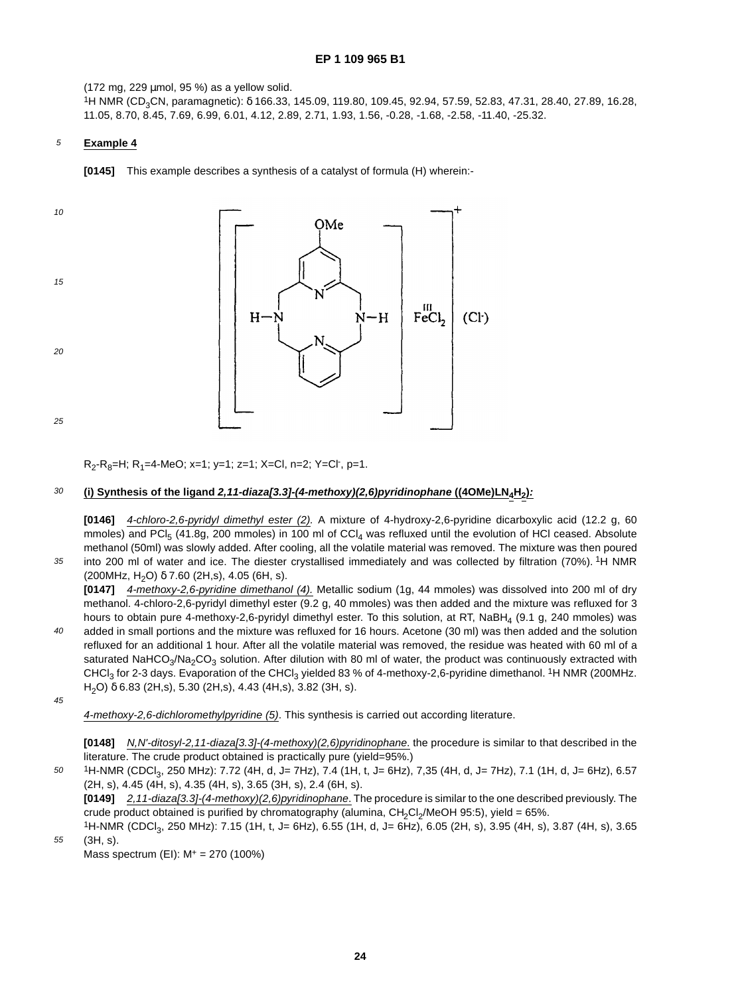(172 mg, 229 µmol, 95 %) as a yellow solid.

1H NMR (CD3CN, paramagnetic): δ 166.33, 145.09, 119.80, 109.45, 92.94, 57.59, 52.83, 47.31, 28.40, 27.89, 16.28, 11.05, 8.70, 8.45, 7.69, 6.99, 6.01, 4.12, 2.89, 2.71, 1.93, 1.56, -0.28, -1.68, -2.58, -11.40, -25.32.

#### 5 **Example 4**

**[0145]** This example describes a synthesis of a catalyst of formula (H) wherein:-



R<sub>2</sub>-R<sub>8</sub>=H; R<sub>1</sub>=4-MeO; x=1; y=1; z=1; X=Cl, n=2; Y=Cl<sup>-</sup>, p=1.

#### 30 **(i) Synthesis of the ligand 2,11-diaza[3.3]-(4-methoxy)(2,6)pyridinophane ((4OMe)LN4H2):**

**[0146]** 4-chloro-2,6-pyridyl dimethyl ester (2). A mixture of 4-hydroxy-2,6-pyridine dicarboxylic acid (12.2 g, 60 mmoles) and PCI<sub>5</sub> (41.8g, 200 mmoles) in 100 ml of CCI<sub>4</sub> was refluxed until the evolution of HCI ceased. Absolute methanol (50ml) was slowly added. After cooling, all the volatile material was removed. The mixture was then poured into 200 ml of water and ice. The diester crystallised immediately and was collected by filtration (70%). 1H NMR

(200MHz, H<sub>2</sub>O)  $\delta$  7.60 (2H,s), 4.05 (6H, s).

**[0147]** 4-methoxy-2,6-pyridine dimethanol (4). Metallic sodium (1g, 44 mmoles) was dissolved into 200 ml of dry methanol. 4-chloro-2,6-pyridyl dimethyl ester (9.2 g, 40 mmoles) was then added and the mixture was refluxed for 3 hours to obtain pure 4-methoxy-2,6-pyridyl dimethyl ester. To this solution, at RT, NaBH<sub>4</sub> (9.1 g, 240 mmoles) was added in small portions and the mixture was refluxed for 16 hours. Acetone (30 ml) was then added and the solution refluxed for an additional 1 hour. After all the volatile material was removed, the residue was heated with 60 ml of a saturated NaHCO<sub>3</sub>/Na<sub>2</sub>CO<sub>3</sub> solution. After dilution with 80 ml of water, the product was continuously extracted with CHCl<sub>3</sub> for 2-3 days. Evaporation of the CHCl<sub>3</sub> yielded 83 % of 4-methoxy-2,6-pyridine dimethanol. <sup>1</sup>H NMR (200MHz. H2O) δ 6.83 (2H,s), 5.30 (2H,s), 4.43 (4H,s), 3.82 (3H, s).

45

55

35

 $40$ 

4-methoxy-2,6-dichloromethylpyridine (5). This synthesis is carried out according literature.

**[0148]** N,N'-ditosyl-2,11-diaza[3.3]-(4-methoxy)(2,6)pyridinophane. the procedure is similar to that described in the literature. The crude product obtained is practically pure (yield=95%.)

50 1H-NMR (CDCl<sub>3</sub>, 250 MHz): 7.72 (4H, d, J= 7Hz), 7.4 (1H, t, J= 6Hz), 7,35 (4H, d, J= 7Hz), 7.1 (1H, d, J= 6Hz), 6.57 (2H, s), 4.45 (4H, s), 4.35 (4H, s), 3.65 (3H, s), 2.4 (6H, s).

**[0149]** 2,11-diaza[3.3]-(4-methoxy)(2,6)pyridinophane. The procedure is similar to the one described previously. The crude product obtained is purified by chromatography (alumina,  $CH<sub>2</sub>Cl<sub>2</sub>/MeOH$  95:5), yield = 65%.

1H-NMR (CDCl3, 250 MHz): 7.15 (1H, t, J= 6Hz), 6.55 (1H, d, J= 6Hz), 6.05 (2H, s), 3.95 (4H, s), 3.87 (4H, s), 3.65 (3H, s).

Mass spectrum (EI): M+ = 270 (100%)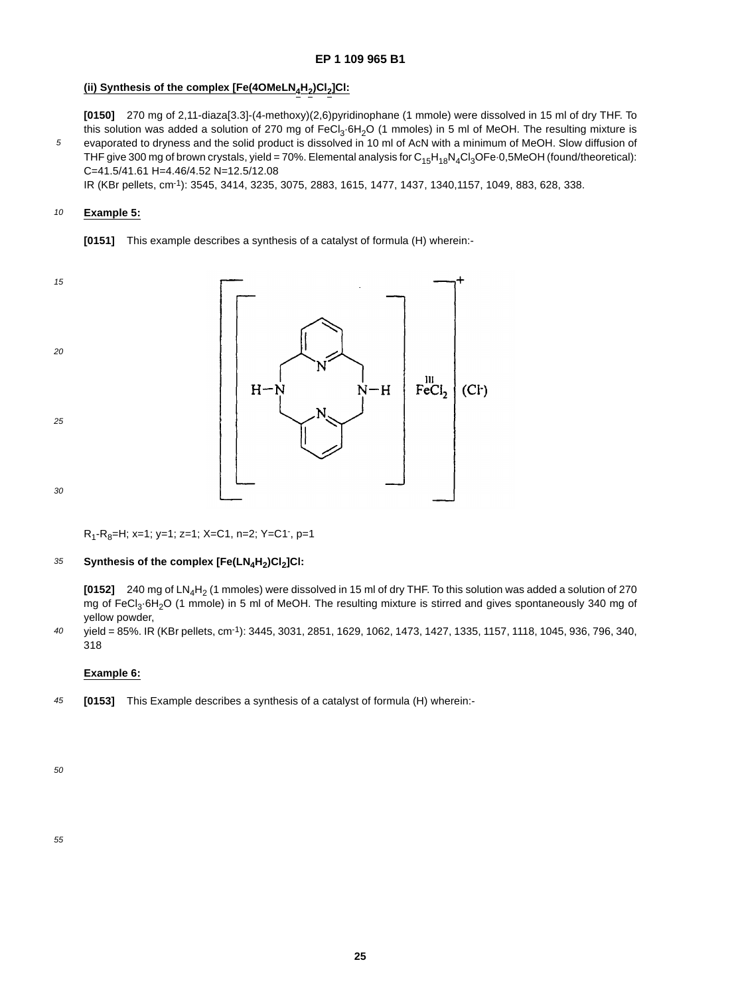## (ii) Synthesis of the complex [Fe(4OMeLN<sub>4</sub>H<sub>2</sub>)Cl<sub>2</sub>]Cl:

**[0150]** 270 mg of 2,11-diaza[3.3]-(4-methoxy)(2,6)pyridinophane (1 mmole) were dissolved in 15 ml of dry THF. To this solution was added a solution of 270 mg of FeCl<sub>3</sub>·6H<sub>2</sub>O (1 mmoles) in 5 ml of MeOH. The resulting mixture is evaporated to dryness and the solid product is dissolved in 10 ml of AcN with a minimum of MeOH. Slow diffusion of THF give 300 mg of brown crystals, yield = 70%. Elemental analysis for  $C_{15}H_{18}N_4Cl_3OFe·0,5MeOH$  (found/theoretical): C=41.5/41.61 H=4.46/4.52 N=12.5/12.08

IR (KBr pellets, cm-1): 3545, 3414, 3235, 3075, 2883, 1615, 1477, 1437, 1340,1157, 1049, 883, 628, 338.

### 10 **Example 5:**

5

**[0151]** This example describes a synthesis of a catalyst of formula (H) wherein:-



R<sub>1</sub>-R<sub>8</sub>=H; x=1; y=1; z=1; X=C1, n=2; Y=C1<sup>-</sup>, p=1

#### 35 Synthesis of the complex [Fe(LN<sub>4</sub>H<sub>2</sub>)Cl<sub>2</sub>]Cl:

**[0152]** 240 mg of LN<sub>4</sub>H<sub>2</sub> (1 mmoles) were dissolved in 15 ml of dry THF. To this solution was added a solution of 270 mg of FeCl<sub>3</sub>·6H<sub>2</sub>O (1 mmole) in 5 ml of MeOH. The resulting mixture is stirred and gives spontaneously 340 mg of yellow powder,

40 yield = 85%. IR (KBr pellets, cm-1): 3445, 3031, 2851, 1629, 1062, 1473, 1427, 1335, 1157, 1118, 1045, 936, 796, 340, 318

## **Example 6:**

45 **[0153]** This Example describes a synthesis of a catalyst of formula (H) wherein:-

50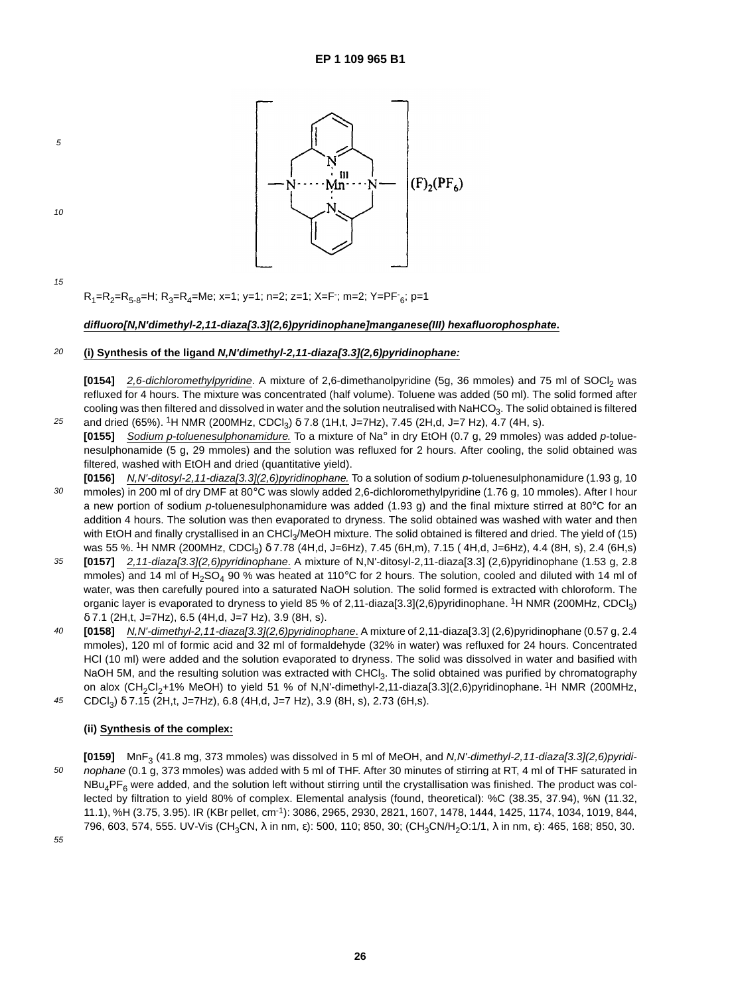

10

5

R<sub>1</sub>=R<sub>2</sub>=R<sub>5-8</sub>=H; R<sub>3</sub>=R<sub>4</sub>=Me; x=1; y=1; n=2; z=1; X=F<sup>-</sup>; m=2; Y=PF<sup>-</sup><sub>6</sub>; p=1

## **difluoro[N,N'dimethyl-2,11-diaza[3.3](2,6)pyridinophane]manganese(III) hexafluorophosphate.**

#### 20 **(i) Synthesis of the ligand N,N'dimethyl-2,11-diaza[3.3](2,6)pyridinophane:**

**[0154]** 2,6-dichloromethylpyridine. A mixture of 2,6-dimethanolpyridine (5g, 36 mmoles) and 75 ml of SOCl<sub>2</sub> was refluxed for 4 hours. The mixture was concentrated (half volume). Toluene was added (50 ml). The solid formed after cooling was then filtered and dissolved in water and the solution neutralised with NaHCO<sub>3</sub>. The solid obtained is filtered and dried (65%). <sup>1</sup>H NMR (200MHz, CDCl<sub>3</sub>) δ 7.8 (1H,t, J=7Hz), 7.45 (2H,d, J=7 Hz), 4.7 (4H, s).

- 25 **[0155]** Sodium p-toluenesulphonamidure. To a mixture of Na° in dry EtOH (0.7 g, 29 mmoles) was added p-toluenesulphonamide (5 g, 29 mmoles) and the solution was refluxed for 2 hours. After cooling, the solid obtained was filtered, washed with EtOH and dried (quantitative yield).
- 30 **[0156]** N,N'-ditosyl-2,11-diaza[3.3](2,6)pyridinophane. To a solution of sodium p-toluenesulphonamidure (1.93 g, 10 mmoles) in 200 ml of dry DMF at 80°C was slowly added 2,6-dichloromethylpyridine (1.76 g, 10 mmoles). After I hour a new portion of sodium p-toluenesulphonamidure was added (1.93 g) and the final mixture stirred at 80 $\degree$ C for an addition 4 hours. The solution was then evaporated to dryness. The solid obtained was washed with water and then with EtOH and finally crystallised in an CHCl<sub>3</sub>/MeOH mixture. The solid obtained is filtered and dried. The yield of (15) was 55 %. <sup>1</sup>H NMR (200MHz, CDCl<sub>3</sub>) δ 7.78 (4H,d, J=6Hz), 7.45 (6H,m), 7.15 (4H,d, J=6Hz), 4.4 (8H, s), 2.4 (6H,s)
- 35 **[0157]** 2,11-diaza[3.3](2,6)pyridinophane. A mixture of N,N'-ditosyl-2,11-diaza[3.3] (2,6)pyridinophane (1.53 g, 2.8 mmoles) and 14 ml of  $H_2SO_4$  90 % was heated at 110°C for 2 hours. The solution, cooled and diluted with 14 ml of water, was then carefully poured into a saturated NaOH solution. The solid formed is extracted with chloroform. The organic layer is evaporated to dryness to yield 85 % of 2,11-diaza[3.3](2,6)pyridinophane. 1H NMR (200MHz, CDCl3)  $\delta$  7.1 (2H,t, J=7Hz), 6.5 (4H,d, J=7 Hz), 3.9 (8H, s).
- $40$ 45 **[0158]** N,N'-dimethyl-2,11-diaza[3.3](2,6)pyridinophane. A mixture of 2,11-diaza[3.3] (2,6)pyridinophane (0.57 g, 2.4 mmoles), 120 ml of formic acid and 32 ml of formaldehyde (32% in water) was refluxed for 24 hours. Concentrated HCl (10 ml) were added and the solution evaporated to dryness. The solid was dissolved in water and basified with NaOH 5M, and the resulting solution was extracted with CHCl<sub>3</sub>. The solid obtained was purified by chromatography on alox (CH<sub>2</sub>Cl<sub>2</sub>+1% MeOH) to yield 51 % of N,N'-dimethyl-2,11-diaza[3.3](2,6)pyridinophane. <sup>1</sup>H NMR (200MHz, CDCl<sub>3</sub>) δ 7.15 (2H,t, J=7Hz), 6.8 (4H,d, J=7 Hz), 3.9 (8H, s), 2.73 (6H,s).

## **(ii) Synthesis of the complex:**

50 **[0159]** MnF<sub>3</sub> (41.8 mg, 373 mmoles) was dissolved in 5 ml of MeOH, and N,N'-dimethyl-2,11-diaza[3.3](2,6)pyridinophane (0.1 g, 373 mmoles) was added with 5 ml of THF. After 30 minutes of stirring at RT, 4 ml of THF saturated in  $NBu_4PF_6$  were added, and the solution left without stirring until the crystallisation was finished. The product was collected by filtration to yield 80% of complex. Elemental analysis (found, theoretical): %C (38.35, 37.94), %N (11.32, 11.1), %H (3.75, 3.95). IR (KBr pellet, cm-1): 3086, 2965, 2930, 2821, 1607, 1478, 1444, 1425, 1174, 1034, 1019, 844, 796, 603, 574, 555. UV-Vis (CH<sub>3</sub>CN, λ in nm, ε): 500, 110; 850, 30; (CH<sub>3</sub>CN/H<sub>2</sub>O:1/1, λ in nm, ε): 465, 168; 850, 30.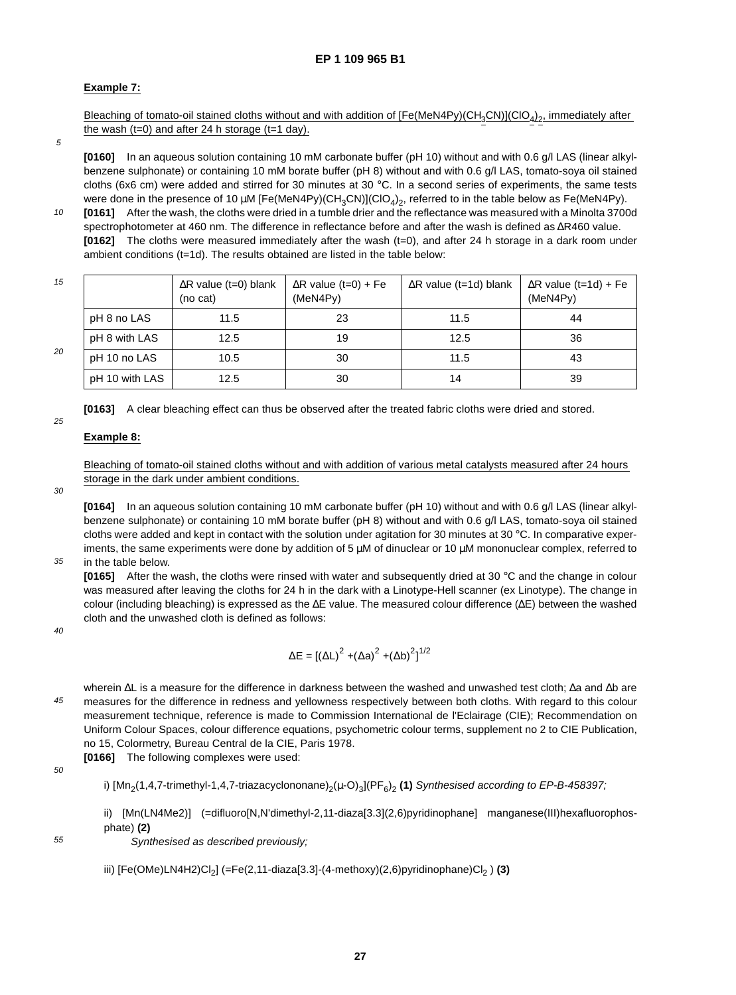## **Example 7:**

Bleaching of tomato-oil stained cloths without and with addition of  $[Fe(MeN4Py)(CH_3CN)](ClO_4)_2$ , immediately after the wash  $(t=0)$  and after 24 h storage  $(t=1$  day).

5

**[0160]** In an aqueous solution containing 10 mM carbonate buffer (pH 10) without and with 0.6 g/l LAS (linear alkylbenzene sulphonate) or containing 10 mM borate buffer (pH 8) without and with 0.6 g/l LAS, tomato-soya oil stained cloths (6x6 cm) were added and stirred for 30 minutes at 30 °C. In a second series of experiments, the same tests were done in the presence of 10  $\mu$ M [Fe(MeN4Py)(CH<sub>3</sub>CN)](ClO<sub>4</sub>)<sub>2</sub>, referred to in the table below as Fe(MeN4Py).

10 **[0161]** After the wash, the cloths were dried in a tumble drier and the reflectance was measured with a Minolta 3700d spectrophotometer at 460 nm. The difference in reflectance before and after the wash is defined as ∆R460 value. **[0162]** The cloths were measured immediately after the wash (t=0), and after 24 h storage in a dark room under ambient conditions (t=1d). The results obtained are listed in the table below:

15  $20$ ∆R value (t=0) blank (no cat) ∆R value (t=0) + Fe (MeN4Py) ∆R value (t=1d) blank  $\Delta$ R value (t=1d) + Fe (MeN4Py) pH 8 no LAS 11.5 23 11.5 44 pH 8 with LAS | 12.5 19 19 12.5 12.5 136 pH 10 no LAS  $\begin{array}{|c|c|c|c|c|c|} \hline \text{pH 10 no LAS} & \text{10.5} & \text{30} & \text{11.5} & \text{13.5} \ \hline \end{array}$ pH 10 with LAS 12.5 30 14 39

**[0163]** A clear bleaching effect can thus be observed after the treated fabric cloths were dried and stored.

## **Example 8:**

Bleaching of tomato-oil stained cloths without and with addition of various metal catalysts measured after 24 hours storage in the dark under ambient conditions.

30

25

**[0164]** In an aqueous solution containing 10 mM carbonate buffer (pH 10) without and with 0.6 g/l LAS (linear alkylbenzene sulphonate) or containing 10 mM borate buffer (pH 8) without and with 0.6 g/l LAS, tomato-soya oil stained cloths were added and kept in contact with the solution under agitation for 30 minutes at 30 °C. In comparative experiments, the same experiments were done by addition of 5  $\mu$ M of dinuclear or 10  $\mu$ M mononuclear complex, referred to in the table below.

35

**[0165]** After the wash, the cloths were rinsed with water and subsequently dried at 30 °C and the change in colour was measured after leaving the cloths for 24 h in the dark with a Linotype-Hell scanner (ex Linotype). The change in colour (including bleaching) is expressed as the ∆E value. The measured colour difference (∆E) between the washed cloth and the unwashed cloth is defined as follows:

 $40$ 

$$
\Delta E = \left[ \left( \Delta L \right)^2 + \left( \Delta a \right)^2 + \left( \Delta b \right)^2 \right]^{1/2}
$$

45 wherein ∆L is a measure for the difference in darkness between the washed and unwashed test cloth; ∆a and ∆b are measures for the difference in redness and yellowness respectively between both cloths. With regard to this colour measurement technique, reference is made to Commission International de l'Eclairage (CIE); Recommendation on Uniform Colour Spaces, colour difference equations, psychometric colour terms, supplement no 2 to CIE Publication, no 15, Colormetry, Bureau Central de la CIE, Paris 1978.

**[0166]** The following complexes were used:

50

i)  $[Mn_2(1,4,7-$ trimethyl-1,4,7-triazacyclononane $C_2(\mu$ -O)<sub>3</sub>](PF<sub>6</sub>)<sub>2</sub> (1) Synthesised according to EP-B-458397;

ii)  $[Mn(LN4Me2)]$  (=difluoro[N,N'dimethyl-2,11-diaza[3.3](2,6)pyridinophane] manganese(III)hexafluorophosphate) **(2)**

55

Synthesised as described previously;

iii)  $[Fe(OMe) LNAH2|Cl<sub>2</sub>]$  (=Fe(2,11-diaza[3.3]-(4-methoxy)(2,6)pyridinophane) $Cl<sub>2</sub>$ ) (3)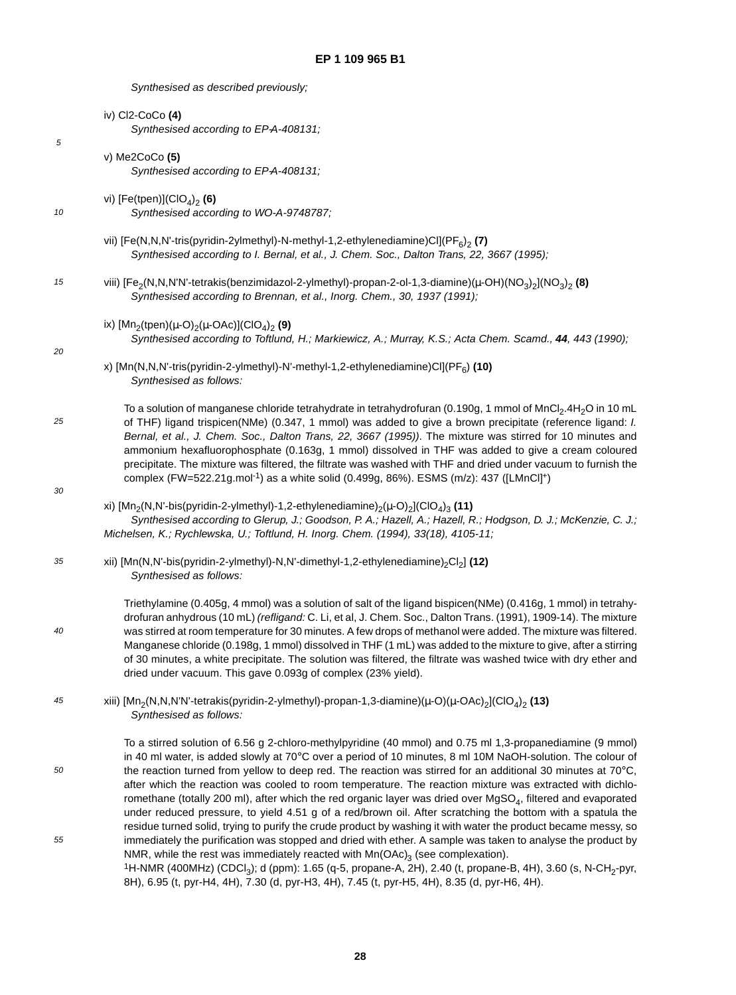Synthesised as described previously;

|    | iv) Cl2-CoCo (4)<br>Synthesised according to EP-A-408131;                                                                                                                                                                                                                                                                                                                                                                                                                                                                                                                                                                                                                                               |
|----|---------------------------------------------------------------------------------------------------------------------------------------------------------------------------------------------------------------------------------------------------------------------------------------------------------------------------------------------------------------------------------------------------------------------------------------------------------------------------------------------------------------------------------------------------------------------------------------------------------------------------------------------------------------------------------------------------------|
| 5  | $v)$ Me2CoCo $(5)$<br>Synthesised according to EP-A-408131;                                                                                                                                                                                                                                                                                                                                                                                                                                                                                                                                                                                                                                             |
| 10 | vi) [Fe(tpen)]( $ClO_4$ ) <sub>2</sub> (6)<br>Synthesised according to WO-A-9748787;                                                                                                                                                                                                                                                                                                                                                                                                                                                                                                                                                                                                                    |
|    | vii) [Fe(N,N,N'-tris(pyridin-2ylmethyl)-N-methyl-1,2-ethylenediamine)Cl](PF6) <sub>2</sub> (7)<br>Synthesised according to I. Bernal, et al., J. Chem. Soc., Dalton Trans, 22, 3667 (1995);                                                                                                                                                                                                                                                                                                                                                                                                                                                                                                             |
| 15 | viii) [Fe <sub>2</sub> (N,N,N'N'-tetrakis(benzimidazol-2-ylmethyl)-propan-2-ol-1,3-diamine)( $\mu$ -OH)(NO <sub>3</sub> ) <sub>2</sub> (NO <sub>3</sub> ) <sub>2</sub> (8)<br>Synthesised according to Brennan, et al., Inorg. Chem., 30, 1937 (1991);                                                                                                                                                                                                                                                                                                                                                                                                                                                  |
| 20 | ix) [Mn <sub>2</sub> (tpen)( $\mu$ -O) <sub>2</sub> ( $\mu$ -OAc)](ClO <sub>4</sub> ) <sub>2</sub> (9)<br>Synthesised according to Toftlund, H.; Markiewicz, A.; Murray, K.S.; Acta Chem. Scamd., 44, 443 (1990);                                                                                                                                                                                                                                                                                                                                                                                                                                                                                       |
|    | x) [Mn(N,N,N'-tris(pyridin-2-ylmethyl)-N'-methyl-1,2-ethylenediamine)Cl](PF <sub>6</sub> ) (10)<br>Synthesised as follows:                                                                                                                                                                                                                                                                                                                                                                                                                                                                                                                                                                              |
| 25 | To a solution of manganese chloride tetrahydrate in tetrahydrofuran (0.190g, 1 mmol of MnCl <sub>2</sub> .4H <sub>2</sub> O in 10 mL<br>of THF) ligand trispicen(NMe) (0.347, 1 mmol) was added to give a brown precipitate (reference ligand: I.<br>Bernal, et al., J. Chem. Soc., Dalton Trans, 22, 3667 (1995)). The mixture was stirred for 10 minutes and<br>ammonium hexafluorophosphate (0.163g, 1 mmol) dissolved in THF was added to give a cream coloured<br>precipitate. The mixture was filtered, the filtrate was washed with THF and dried under vacuum to furnish the<br>complex (FW=522.21g.mol <sup>-1</sup> ) as a white solid (0.499g, 86%). ESMS (m/z): 437 ([LMnCl] <sup>+</sup> ) |
| 30 | xi) [Mn <sub>2</sub> (N,N'-bis(pyridin-2-ylmethyl)-1,2-ethylenediamine) <sub>2</sub> ( $\mu$ -O) <sub>2</sub> ](ClO <sub>4</sub> ) <sub>3</sub> (11)<br>Synthesised according to Glerup, J.; Goodson, P. A.; Hazell, A.; Hazell, R.; Hodgson, D. J.; McKenzie, C. J.;<br>Michelsen, K.; Rychlewska, U.; Toftlund, H. Inorg. Chem. (1994), 33(18), 4105-11;                                                                                                                                                                                                                                                                                                                                              |
| 35 | xii) [Mn(N,N'-bis(pyridin-2-ylmethyl)-N,N'-dimethyl-1,2-ethylenediamine) <sub>2</sub> Cl <sub>2</sub> ] (12)<br>Synthesised as follows:                                                                                                                                                                                                                                                                                                                                                                                                                                                                                                                                                                 |
| 40 | Triethylamine (0.405g, 4 mmol) was a solution of salt of the ligand bispicen(NMe) (0.416g, 1 mmol) in tetrahy-<br>drofuran anhydrous (10 mL) (refligand: C. Li, et al, J. Chem. Soc., Dalton Trans. (1991), 1909-14). The mixture<br>was stirred at room temperature for 30 minutes. A few drops of methanol were added. The mixture was filtered.<br>Manganese chloride (0.198g, 1 mmol) dissolved in THF (1 mL) was added to the mixture to give, after a stirring<br>of 30 minutes, a white precipitate. The solution was filtered, the filtrate was washed twice with dry ether and<br>dried under vacuum. This gave 0.093g of complex (23% yield).                                                 |
| 45 | xiii) [Mn <sub>2</sub> (N,N,N'N'-tetrakis(pyridin-2-ylmethyl)-propan-1,3-diamine)( $\mu$ -O)( $\mu$ -OAc) <sub>2</sub> ](ClO <sub>4</sub> ) <sub>2</sub> (13)<br>Synthesised as follows:                                                                                                                                                                                                                                                                                                                                                                                                                                                                                                                |
| 50 | To a stirred solution of 6.56 g 2-chloro-methylpyridine (40 mmol) and 0.75 ml 1,3-propanediamine (9 mmol)<br>in 40 ml water, is added slowly at 70°C over a period of 10 minutes, 8 ml 10M NaOH-solution. The colour of<br>the reaction turned from yellow to deep red. The reaction was stirred for an additional 30 minutes at 70°C,<br>after which the reaction was cooled to room temperature. The reaction mixture was extracted with dichlo-<br>romethane (totally 200 ml), after which the red organic layer was dried over MgSO <sub>4</sub> , filtered and evaporated                                                                                                                          |
| 55 | under reduced pressure, to yield 4.51 g of a red/brown oil. After scratching the bottom with a spatula the<br>residue turned solid, trying to purify the crude product by washing it with water the product became messy, so<br>immediately the purification was stopped and dried with ether. A sample was taken to analyse the product by<br>NMR, while the rest was immediately reacted with $Mn(OAc)3$ (see complexation).<br><sup>1</sup> H-NMR (400MHz) (CDCl <sub>3</sub> ); d (ppm): 1.65 (q-5, propane-A, 2H), 2.40 (t, propane-B, 4H), 3.60 (s, N-CH <sub>2</sub> -pyr,<br>8H), 6.95 (t, pyr-H4, 4H), 7.30 (d, pyr-H3, 4H), 7.45 (t, pyr-H5, 4H), 8.35 (d, pyr-H6, 4H).                       |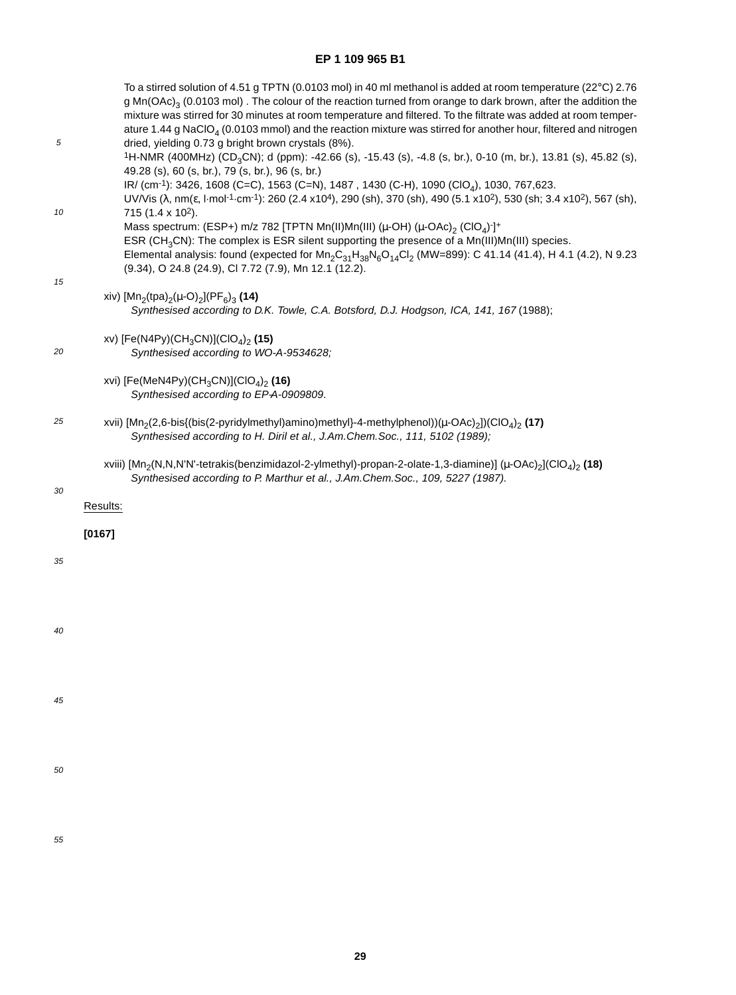| 5  | To a stirred solution of 4.51 g TPTN (0.0103 mol) in 40 ml methanol is added at room temperature (22°C) 2.76<br>$g$ Mn(OAc) <sub>3</sub> (0.0103 mol). The colour of the reaction turned from orange to dark brown, after the addition the<br>mixture was stirred for 30 minutes at room temperature and filtered. To the filtrate was added at room temper-<br>ature 1.44 g NaClO <sub>4</sub> (0.0103 mmol) and the reaction mixture was stirred for another hour, filtered and nitrogen<br>dried, yielding 0.73 g bright brown crystals (8%).<br>1H-NMR (400MHz) (CD <sub>3</sub> CN); d (ppm): -42.66 (s), -15.43 (s), -4.8 (s, br.), 0-10 (m, br.), 13.81 (s), 45.82 (s),<br>49.28 (s), 60 (s, br.), 79 (s, br.), 96 (s, br.)<br>IR/ (cm <sup>-1</sup> ): 3426, 1608 (C=C), 1563 (C=N), 1487, 1430 (C-H), 1090 (ClO <sub>4</sub> ), 1030, 767,623. |
|----|---------------------------------------------------------------------------------------------------------------------------------------------------------------------------------------------------------------------------------------------------------------------------------------------------------------------------------------------------------------------------------------------------------------------------------------------------------------------------------------------------------------------------------------------------------------------------------------------------------------------------------------------------------------------------------------------------------------------------------------------------------------------------------------------------------------------------------------------------------|
| 10 | UV/Vis ( $\lambda$ , nm( $\varepsilon$ , l·mol <sup>-1</sup> ·cm <sup>-1</sup> ): 260 (2.4 x10 <sup>4</sup> ), 290 (sh), 370 (sh), 490 (5.1 x10 <sup>2</sup> ), 530 (sh; 3.4 x10 <sup>2</sup> ), 567 (sh),<br>715 (1.4 x 10 <sup>2</sup> ).<br>Mass spectrum: (ESP+) m/z 782 [TPTN Mn(II)Mn(III) ( $\mu$ -OH) ( $\mu$ -OAc) <sub>2</sub> (ClO <sub>4</sub> ) <sup>-</sup> ] <sup>+</sup><br>ESR (CH <sub>3</sub> CN): The complex is ESR silent supporting the presence of a Mn(III)Mn(III) species.<br>Elemental analysis: found (expected for $Mn_2C_{31}H_{38}N_6O_{14}Cl_2$ (MW=899): C 41.14 (41.4), H 4.1 (4.2), N 9.23<br>(9.34), O 24.8 (24.9), Cl 7.72 (7.9), Mn 12.1 (12.2).                                                                                                                                                                  |
| 15 | xiv) [Mn <sub>2</sub> (tpa) <sub>2</sub> ( $\mu$ -O) <sub>2</sub> ](PF <sub>6</sub> ) <sub>3</sub> (14)<br>Synthesised according to D.K. Towle, C.A. Botsford, D.J. Hodgson, ICA, 141, 167 (1988);                                                                                                                                                                                                                                                                                                                                                                                                                                                                                                                                                                                                                                                      |
| 20 | xv) [Fe(N4Py)(CH <sub>3</sub> CN)](ClO <sub>4</sub> ) <sub>2</sub> (15)<br>Synthesised according to WO-A-9534628;                                                                                                                                                                                                                                                                                                                                                                                                                                                                                                                                                                                                                                                                                                                                       |
|    | xvi) [Fe(MeN4Py)(CH <sub>3</sub> CN)](ClO <sub>4</sub> ) <sub>2</sub> (16)<br>Synthesised according to EP-A-0909809.                                                                                                                                                                                                                                                                                                                                                                                                                                                                                                                                                                                                                                                                                                                                    |
| 25 | xvii) [Mn <sub>2</sub> (2,6-bis{(bis(2-pyridylmethyl)amino)methyl}-4-methylphenol))( $\mu$ -OAc) <sub>2</sub> ])(ClO <sub>4</sub> ) <sub>2</sub> (17)<br>Synthesised according to H. Diril et al., J.Am.Chem.Soc., 111, 5102 (1989);                                                                                                                                                                                                                                                                                                                                                                                                                                                                                                                                                                                                                    |
| 30 | xviii) [Mn <sub>2</sub> (N,N,N'N'-tetrakis(benzimidazol-2-ylmethyl)-propan-2-olate-1,3-diamine)] (µ-OAc) <sub>2</sub> ](ClO <sub>4</sub> ) <sub>2</sub> (18)<br>Synthesised according to P. Marthur et al., J.Am.Chem.Soc., 109, 5227 (1987).<br>Results:                                                                                                                                                                                                                                                                                                                                                                                                                                                                                                                                                                                               |
|    | [0167]                                                                                                                                                                                                                                                                                                                                                                                                                                                                                                                                                                                                                                                                                                                                                                                                                                                  |
| 35 |                                                                                                                                                                                                                                                                                                                                                                                                                                                                                                                                                                                                                                                                                                                                                                                                                                                         |
| 40 |                                                                                                                                                                                                                                                                                                                                                                                                                                                                                                                                                                                                                                                                                                                                                                                                                                                         |
|    |                                                                                                                                                                                                                                                                                                                                                                                                                                                                                                                                                                                                                                                                                                                                                                                                                                                         |
| 45 |                                                                                                                                                                                                                                                                                                                                                                                                                                                                                                                                                                                                                                                                                                                                                                                                                                                         |
| 50 |                                                                                                                                                                                                                                                                                                                                                                                                                                                                                                                                                                                                                                                                                                                                                                                                                                                         |
|    |                                                                                                                                                                                                                                                                                                                                                                                                                                                                                                                                                                                                                                                                                                                                                                                                                                                         |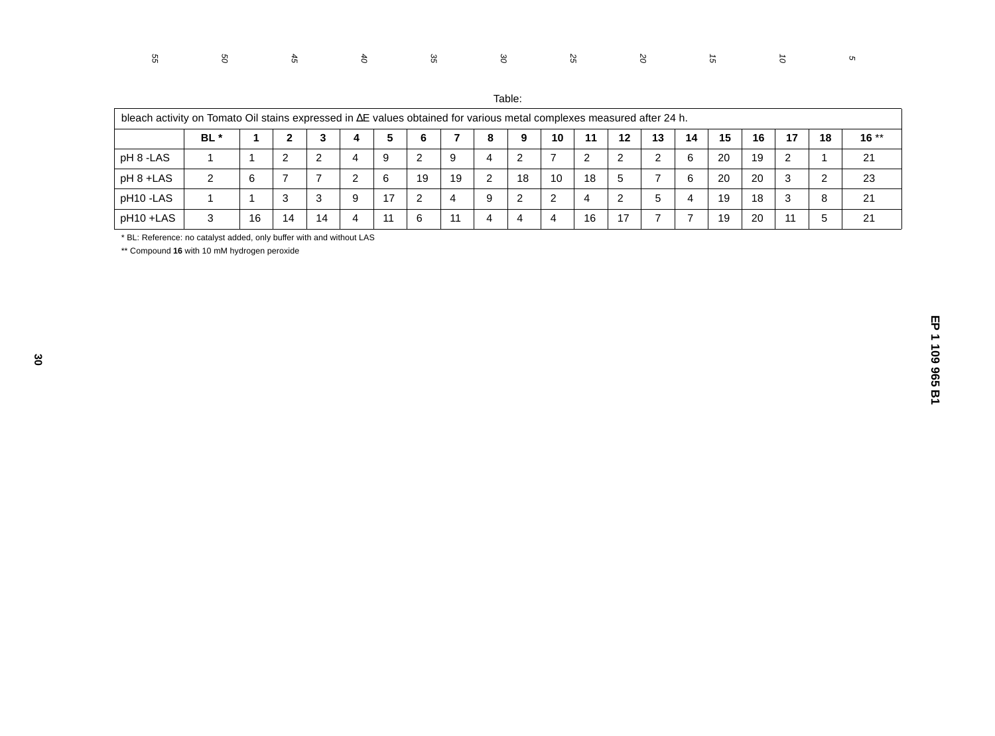| Table: |  |
|--------|--|

| bleach activity on Tomato Oil stains expressed in AE values obtained for various metal complexes measured after 24 h. |      |    |    |    |   |    |    |    |   |        |    |    |    |    |    |    |    |    |    |        |
|-----------------------------------------------------------------------------------------------------------------------|------|----|----|----|---|----|----|----|---|--------|----|----|----|----|----|----|----|----|----|--------|
|                                                                                                                       | BL * |    | n  |    | 4 | 5  |    |    | 8 | Q      | 10 | 11 | 12 | 13 | 14 | 15 | 16 | 17 | 18 | $16**$ |
| pH 8 -LAS                                                                                                             |      |    | ົ  | -2 |   | 9  | റ  | 9  | 4 | 2<br>∼ |    | ◠  | ົ  |    | 6  | 20 | 19 | 2  |    | 21     |
| pH 8 +LAS                                                                                                             | ◠    |    |    |    |   | 6  | 19 | 19 | ົ | 18     | 10 | 18 | 5  |    | -6 | 20 | 20 | 3  |    | 23     |
| pH10-LAS                                                                                                              |      |    | 3  | 3  | 9 | 17 |    | 4  | 9 | 2      | ົ  | 4  | റ  | b  | 4  | 19 | 18 | -3 | 8  | 21     |
| pH10+LAS                                                                                                              | 3    | 16 | 14 | 14 | 4 | 11 | 6  | 11 | 4 | 4      | 4  | 16 | 17 |    |    | 19 | 20 | 11 |    | 21     |

\* BL: Reference: no catalyst added, only buffer with and without LAS

\*\* Compound **16** with 10 mM hydrogen peroxide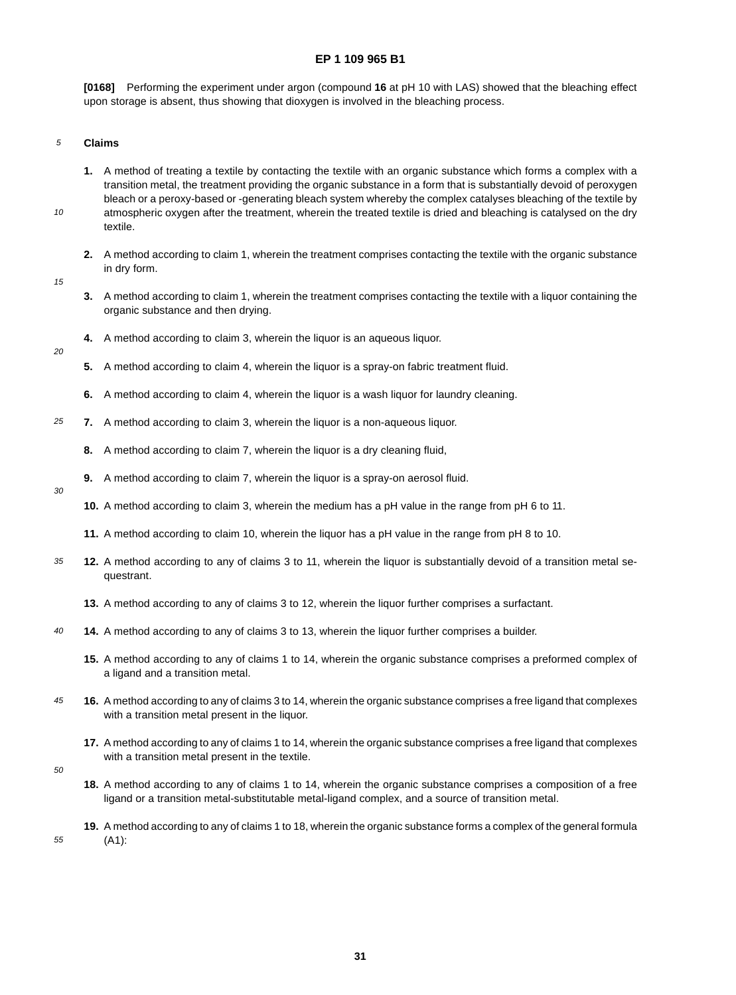**[0168]** Performing the experiment under argon (compound **16** at pH 10 with LAS) showed that the bleaching effect upon storage is absent, thus showing that dioxygen is involved in the bleaching process.

#### 5 **Claims**

- **1.** A method of treating a textile by contacting the textile with an organic substance which forms a complex with a transition metal, the treatment providing the organic substance in a form that is substantially devoid of peroxygen bleach or a peroxy-based or -generating bleach system whereby the complex catalyses bleaching of the textile by atmospheric oxygen after the treatment, wherein the treated textile is dried and bleaching is catalysed on the dry textile.
- **2.** A method according to claim 1, wherein the treatment comprises contacting the textile with the organic substance in dry form.
- 15

20

30

10

- **3.** A method according to claim 1, wherein the treatment comprises contacting the textile with a liquor containing the organic substance and then drying.
- **4.** A method according to claim 3, wherein the liquor is an aqueous liquor.
- **5.** A method according to claim 4, wherein the liquor is a spray-on fabric treatment fluid.
- **6.** A method according to claim 4, wherein the liquor is a wash liquor for laundry cleaning.
- 25 **7.** A method according to claim 3, wherein the liquor is a non-aqueous liquor.
	- **8.** A method according to claim 7, wherein the liquor is a dry cleaning fluid,
	- **9.** A method according to claim 7, wherein the liquor is a spray-on aerosol fluid.
		- **10.** A method according to claim 3, wherein the medium has a pH value in the range from pH 6 to 11.
		- **11.** A method according to claim 10, wherein the liquor has a pH value in the range from pH 8 to 10.
- 35 **12.** A method according to any of claims 3 to 11, wherein the liquor is substantially devoid of a transition metal sequestrant.
	- **13.** A method according to any of claims 3 to 12, wherein the liquor further comprises a surfactant.
- 40 **14.** A method according to any of claims 3 to 13, wherein the liquor further comprises a builder.
	- **15.** A method according to any of claims 1 to 14, wherein the organic substance comprises a preformed complex of a ligand and a transition metal.
- 45 **16.** A method according to any of claims 3 to 14, wherein the organic substance comprises a free ligand that complexes with a transition metal present in the liquor.
	- **17.** A method according to any of claims 1 to 14, wherein the organic substance comprises a free ligand that complexes with a transition metal present in the textile.
- 50

55

- **18.** A method according to any of claims 1 to 14, wherein the organic substance comprises a composition of a free ligand or a transition metal-substitutable metal-ligand complex, and a source of transition metal.
- **19.** A method according to any of claims 1 to 18, wherein the organic substance forms a complex of the general formula (A1):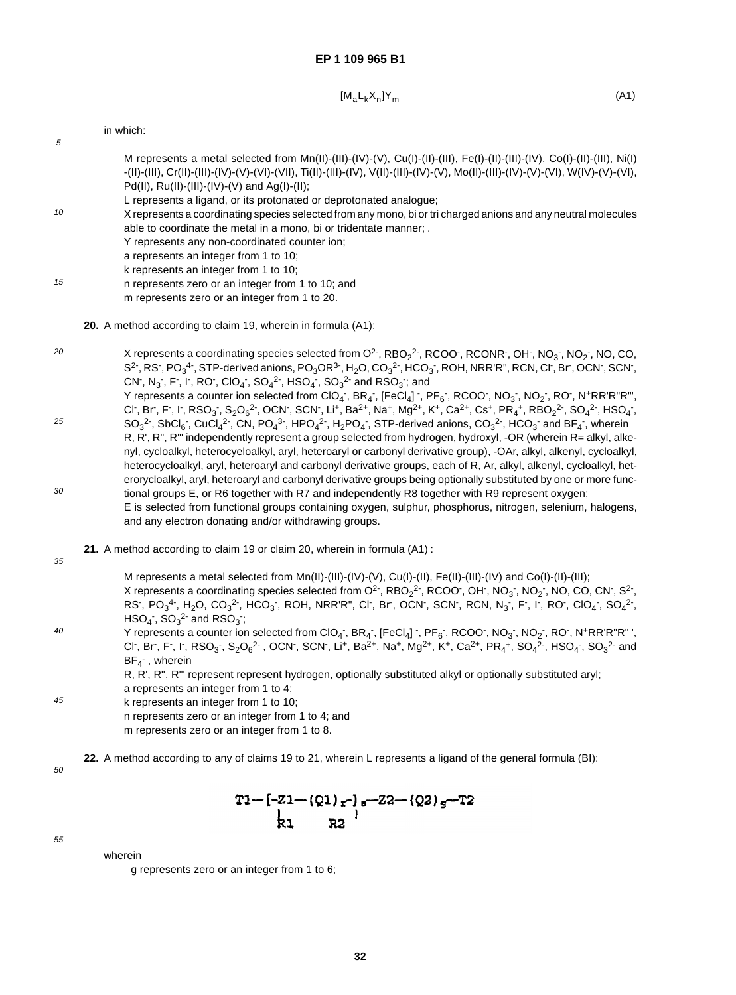$$
[M_a L_k X_n] Y_m \tag{A1}
$$

|                | in which:                                                                                                                                                                                                                                                                                                                                                                                      |
|----------------|------------------------------------------------------------------------------------------------------------------------------------------------------------------------------------------------------------------------------------------------------------------------------------------------------------------------------------------------------------------------------------------------|
| 5              |                                                                                                                                                                                                                                                                                                                                                                                                |
|                | M represents a metal selected from $Mn(II)$ -(III)-(IV)-(V), Cu(I)-(II)-(III), Fe(I)-(II)-(III)-(IV), Co(I)-(II)-(III), Ni(I)<br>-(II)-(III), Cr(II)-(III)-(IV)-(V)-(VI)-(VII), Ti(II)-(III)-(IV), V(II)-(III)-(IV)-(V), Mo(II)-(III)-(IV)-(V)-(VI), W(IV)-(V)-(VI),<br>Pd(II), $Ru(II)$ -(III)-(IV)-(V) and Ag(I)-(II);<br>L represents a ligand, or its protonated or deprotonated analogue; |
| 10             | X represents a coordinating species selected from any mono, bi or tri charged anions and any neutral molecules<br>able to coordinate the metal in a mono, bi or tridentate manner; .<br>Y represents any non-coordinated counter ion;<br>a represents an integer from 1 to 10;<br>k represents an integer from 1 to 10;                                                                        |
| 4 <sup>E</sup> |                                                                                                                                                                                                                                                                                                                                                                                                |

- 15 n represents zero or an integer from 1 to 10; and m represents zero or an integer from 1 to 20.
	- **20.** A method according to claim 19, wherein in formula (A1):
- 20 X represents a coordinating species selected from O<sup>2-</sup>, RBO<sub>2</sub><sup>2-</sup>, RCOO<sup>-</sup>, RCONR<sup>-</sup>, OH<sup>-</sup>, NO<sub>3</sub><sup>-</sup>, NO<sub>2</sub><sup>-</sup>, NO, CO, S<sup>2-</sup>, RS<sup>-</sup>, PO<sub>3</sub><sup>4-</sup>, STP-derived anions, PO<sub>3</sub>OR<sup>3-</sup>, H<sub>2</sub>O, CO<sub>3</sub><sup>2-</sup>, HCO<sub>3</sub><sup>-</sup>, ROH, NRR'R", RCN, Cl<sup>-</sup>, Br<sup>-</sup>, OCN<sup>-</sup>, SCN<sup>-</sup>, CN , N<sub>3</sub> , F , I , RO , CIO<sub>4</sub> , SO<sub>4</sub><sup>2</sup> , HSO<sub>4</sub> , SO<sub>3</sub><sup>2</sup> and RSO<sub>3</sub> , and
- 25 30 Y represents a counter ion selected from ClO<sub>4</sub> , BR<sub>4</sub> , [FeCl<sub>4</sub>] , PF<sub>6</sub> , RCOO , NO<sub>3</sub> , NO<sub>2</sub> , RO , N+RR'R"R"', Cl , Br , F , I , RSO<sub>3</sub> , S<sub>2</sub>O<sub>6</sub><sup>2</sup> , OCN , SCN , Li , Ba<sup>2+</sup>, Na , Mg<sup>2+</sup>, K +, Ca<sup>2+</sup>, Cs +, PR<sub>4</sub>+, RBO<sub>2</sub><sup>2</sup> , SO<sub>4</sub><sup>2</sup> , HSO<sub>4</sub> ,  $SO_3^2$ , SbCl<sub>6</sub>, CuCl<sub>4</sub><sup>2</sup>, CN, PO<sub>4</sub>3, HPO<sub>4</sub><sup>2</sup>, H<sub>2</sub>PO<sub>4</sub>, STP-derived anions, CO<sub>3</sub><sup>2</sup>, HCO<sub>3</sub> and BF<sub>4</sub>, wherein R, R', R", R"' independently represent a group selected from hydrogen, hydroxyl, -OR (wherein R= alkyl, alkenyl, cycloalkyl, heterocyeloalkyl, aryl, heteroaryl or carbonyl derivative group), -OAr, alkyl, alkenyl, cycloalkyl, heterocycloalkyl, aryl, heteroaryl and carbonyl derivative groups, each of R, Ar, alkyl, alkenyl, cycloalkyl, heterorycloalkyl, aryl, heteroaryl and carbonyl derivative groups being optionally substituted by one or more functional groups E, or R6 together with R7 and independently R8 together with R9 represent oxygen; E is selected from functional groups containing oxygen, sulphur, phosphorus, nitrogen, selenium, halogens, and any electron donating and/or withdrawing groups.
	- **21.** A method according to claim 19 or claim 20, wherein in formula (A1) :
- 35

M represents a metal selected from Mn(II)-(III)-(IV)-(V), Cu(I)-(II), Fe(II)-(III)-(IV) and Co(I)-(II)-(III); X represents a coordinating species selected from O<sup>2-</sup>, RBO<sub>2</sub><sup>2-</sup>, RCOO<sup>-</sup>, OH<sup>-</sup>, NO<sub>3</sub><sup>-</sup>, NO<sub>2</sub><sup>-</sup>, NO, CO, CN<sup>-</sup>, S<sup>2-</sup>, RS , PO<sub>3</sub><sup>4</sup> , H<sub>2</sub>O, CO<sub>3</sub><sup>2</sup> , HCO<sub>3</sub> , ROH, NRR'R", CI , Br , OCN , SCN , RCN, N<sub>3</sub> , F , I , RO , CIO<sub>4</sub> , SO<sub>4</sub><sup>2</sup> ,  $\mathsf{HSO}_4$  ,  $\mathsf{SO}_3^2$  and  $\mathsf{RSO}_3$  ;

 $40$ Y represents a counter ion selected from ClO<sub>4</sub> , BR<sub>4</sub> , [FeCl<sub>4</sub>] , PF<sub>6</sub> , RCOO , NO<sub>3</sub> , NO<sub>2</sub> , RO , N+RR'R"R" ', Cl , Br , F , I , RSO<sub>3</sub> , S<sub>2</sub>O<sub>6</sub><sup>2</sup> , OCN , SCN , Li , Ba<sup>2+</sup>, Na , Mg<sup>2+</sup>, K<sup>+</sup>, Ca<sup>2+</sup>, PR<sub>4</sub>+, SO<sub>4</sub><sup>2</sup> , HSO<sub>4</sub> , SO<sub>3</sub><sup>2</sup> and  $BF_4$ <sup>-</sup>, wherein

R, R', R", R"' represent represent hydrogen, optionally substituted alkyl or optionally substituted aryl; a represents an integer from 1 to 4;

45 k represents an integer from 1 to 10; n represents zero or an integer from 1 to 4; and m represents zero or an integer from 1 to 8.

**22.** A method according to any of claims 19 to 21, wherein L represents a ligand of the general formula (BI):

50

$$
T1 - [-21 - (Q1)_{r}]_{s} - 22 - (Q2)_{g} - T2
$$
  
kl R2

55

wherein

g represents zero or an integer from 1 to 6;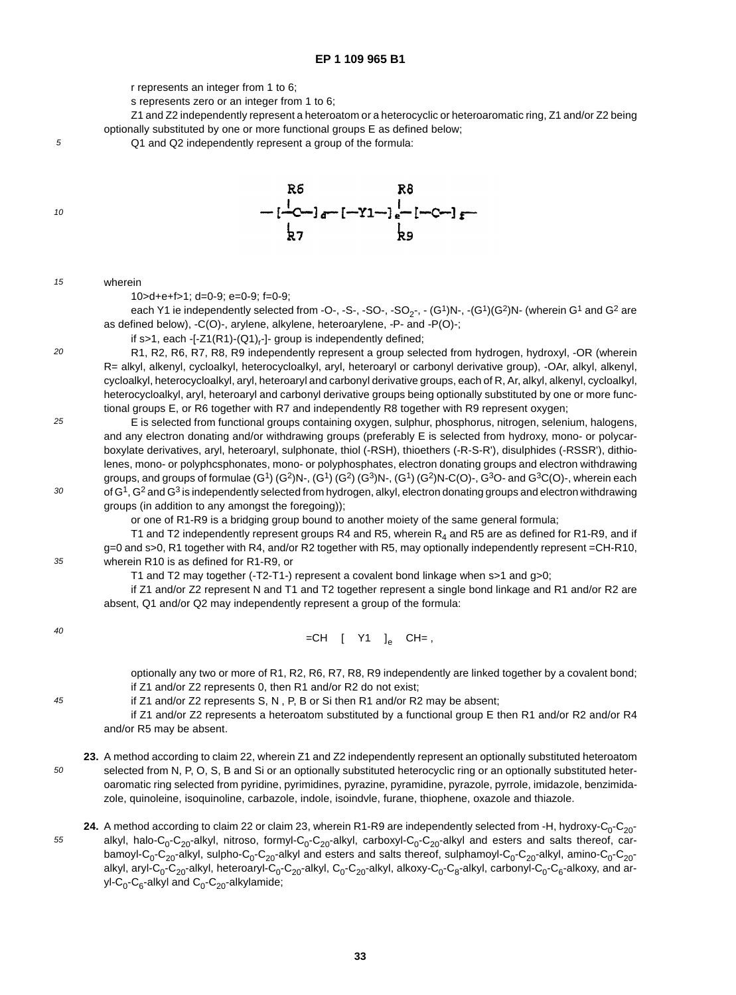r represents an integer from 1 to 6;

s represents zero or an integer from 1 to 6;

Z1 and Z2 independently represent a heteroatom or a heterocyclic or heteroaromatic ring, Z1 and/or Z2 being optionally substituted by one or more functional groups E as defined below;

Q1 and Q2 independently represent a group of the formula:

10

5



15

wherein

 $20$ 

30

45

55

10>d+e+f>1; d=0-9; e=0-9; f=0-9;

each Y1 ie independently selected from -O-, -S-, -SO-, -SO<sub>2-</sub>, -  $(G<sup>1</sup>)N$ -, - $(G<sup>1</sup>)(G<sup>2</sup>)N$ - (wherein G<sup>1</sup> and G<sup>2</sup> are as defined below), -C(O)-, arylene, alkylene, heteroarylene, -P- and -P(O)-;

if s>1, each -[-Z1(R1)-(Q1)<sub>r</sub>-]- group is independently defined;

R1, R2, R6, R7, R8, R9 independently represent a group selected from hydrogen, hydroxyl, -OR (wherein R= alkyl, alkenyl, cycloalkyl, heterocycloalkyl, aryl, heteroaryl or carbonyl derivative group), -OAr, alkyl, alkenyl, cycloalkyl, heterocycloalkyl, aryl, heteroaryl and carbonyl derivative groups, each of R, Ar, alkyl, alkenyl, cycloalkyl, heterocycloalkyl, aryl, heteroaryl and carbonyl derivative groups being optionally substituted by one or more functional groups E, or R6 together with R7 and independently R8 together with R9 represent oxygen;

25 E is selected from functional groups containing oxygen, sulphur, phosphorus, nitrogen, selenium, halogens, and any electron donating and/or withdrawing groups (preferably E is selected from hydroxy, mono- or polycarboxylate derivatives, aryl, heteroaryl, sulphonate, thiol (-RSH), thioethers (-R-S-R'), disulphides (-RSSR'), dithiolenes, mono- or polyphcsphonates, mono- or polyphosphates, electron donating groups and electron withdrawing groups, and groups of formulae  $(G<sup>1</sup>) (G<sup>2</sup>)N<sub>1</sub> (G<sup>1</sup>) (G<sup>2</sup>)N<sub>1</sub> (G<sup>1</sup>) (G<sup>2</sup>)N<sub>1</sub> (G<sup>0</sup>)<sub>1</sub> (G<sup>0</sup>)<sub>1</sub> (G<sup>2</sup>)<sub>0</sub> (G<sup>1</sup>) (G<sup>2</sup>)<sub>0</sub>$ of  $G<sup>1</sup>$ ,  $G<sup>2</sup>$  and  $G<sup>3</sup>$  is independently selected from hydrogen, alkyl, electron donating groups and electron withdrawing groups (in addition to any amongst the foregoing));

or one of R1-R9 is a bridging group bound to another moiety of the same general formula;

35 T1 and T2 independently represent groups R4 and R5, wherein  $R_4$  and R5 are as defined for R1-R9, and if g=0 and s>0, R1 together with R4, and/or R2 together with R5, may optionally independently represent =CH-R10, wherein R10 is as defined for R1-R9, or

T1 and T2 may together (-T2-T1-) represent a covalent bond linkage when s>1 and g>0;

if Z1 and/or Z2 represent N and T1 and T2 together represent a single bond linkage and R1 and/or R2 are absent, Q1 and/or Q2 may independently represent a group of the formula:

40 =CH— [— Y1— ]<sub>e</sub>— CH= ,

> optionally any two or more of R1, R2, R6, R7, R8, R9 independently are linked together by a covalent bond; if Z1 and/or Z2 represents 0, then R1 and/or R2 do not exist;

if Z1 and/or Z2 represents S, N , P, B or Si then R1 and/or R2 may be absent;

if Z1 and/or Z2 represents a heteroatom substituted by a functional group E then R1 and/or R2 and/or R4 and/or R5 may be absent.

- 50 **23.** A method according to claim 22, wherein Z1 and Z2 independently represent an optionally substituted heteroatom selected from N, P, O, S, B and Si or an optionally substituted heterocyclic ring or an optionally substituted heteroaromatic ring selected from pyridine, pyrimidines, pyrazine, pyramidine, pyrazole, pyrrole, imidazole, benzimidazole, quinoleine, isoquinoline, carbazole, indole, isoindvle, furane, thiophene, oxazole and thiazole.
	- **24.** A method according to claim 22 or claim 23, wherein R1-R9 are independently selected from -H, hydroxy-C<sub>0</sub>-C<sub>20</sub>alkyl, halo-C<sub>0</sub>-C<sub>20</sub>-alkyl, nitroso, formyl-C<sub>0</sub>-C<sub>20</sub>-alkyl, carboxyl-C<sub>0</sub>-C<sub>20</sub>-alkyl and esters and salts thereof, carbamoyl-C<sub>0</sub>-C<sub>20</sub>-alkyl, sulpho-C<sub>0</sub>-C<sub>20</sub>-alkyl and esters and salts thereof, sulphamoyl-C<sub>0</sub>-C<sub>20</sub>-alkyl, amino-C<sub>0</sub>-C<sub>20</sub>alkyl, aryl-C<sub>0</sub>-C<sub>20</sub>-alkyl, heteroaryl-C<sub>0</sub>-C<sub>20</sub>-alkyl, C<sub>0</sub>-C<sub>20</sub>-alkyl, alkoxy-C<sub>0</sub>-C<sub>8</sub>-alkyl, carbonyl-C<sub>0</sub>-C<sub>6</sub>-alkoxy, and aryl-C<sub>0</sub>-C<sub>6</sub>-alkyl and C<sub>0</sub>-C<sub>20</sub>-alkylamide;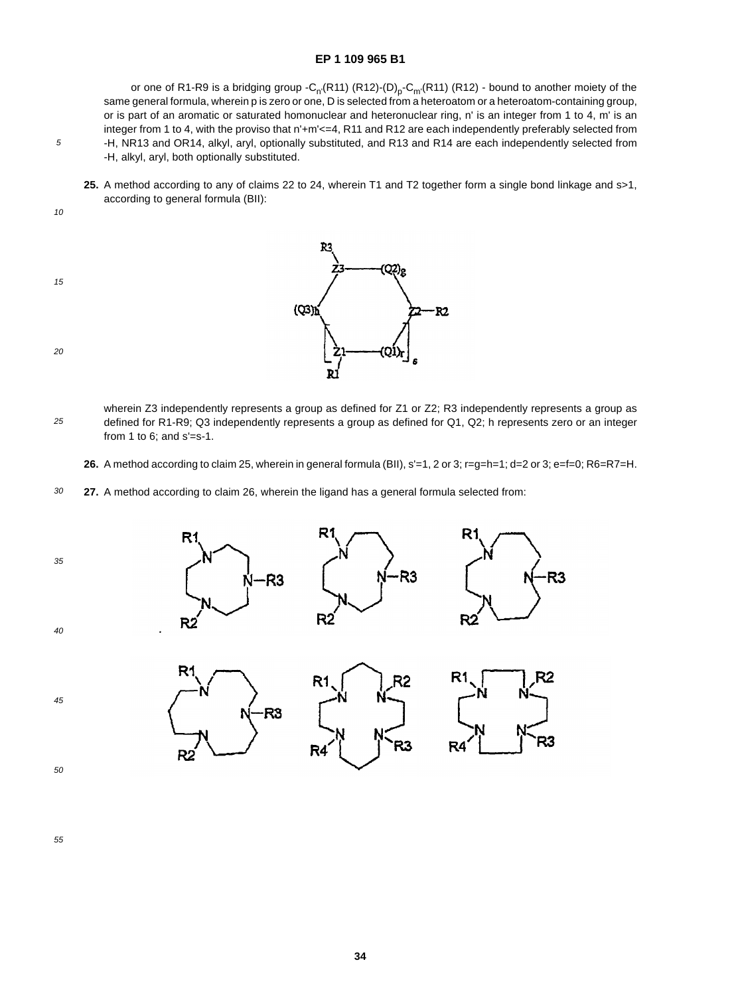or one of R1-R9 is a bridging group - $C_n(R11)$  (R12)-(D)<sub>p</sub>- $C_m(R11)$  (R12) - bound to another moiety of the same general formula, wherein p is zero or one, D is selected from a heteroatom or a heteroatom-containing group, or is part of an aromatic or saturated homonuclear and heteronuclear ring, n' is an integer from 1 to 4, m' is an integer from 1 to 4, with the proviso that n'+m'<=4, R11 and R12 are each independently preferably selected from -H, NR13 and OR14, alkyl, aryl, optionally substituted, and R13 and R14 are each independently selected from -H, alkyl, aryl, both optionally substituted.

**25.** A method according to any of claims 22 to 24, wherein T1 and T2 together form a single bond linkage and s>1, according to general formula (BII):

10

5

15



- 20
- 25 wherein Z3 independently represents a group as defined for Z1 or Z2; R3 independently represents a group as defined for R1-R9; Q3 independently represents a group as defined for Q1, Q2; h represents zero or an integer from 1 to 6; and  $s' = s-1$ .
	- **26.** A method according to claim 25, wherein in general formula (BII), s'=1, 2 or 3; r=g=h=1; d=2 or 3; e=f=0; R6=R7=H.
- 30 **27.** A method according to claim 26, wherein the ligand has a general formula selected from:





55

45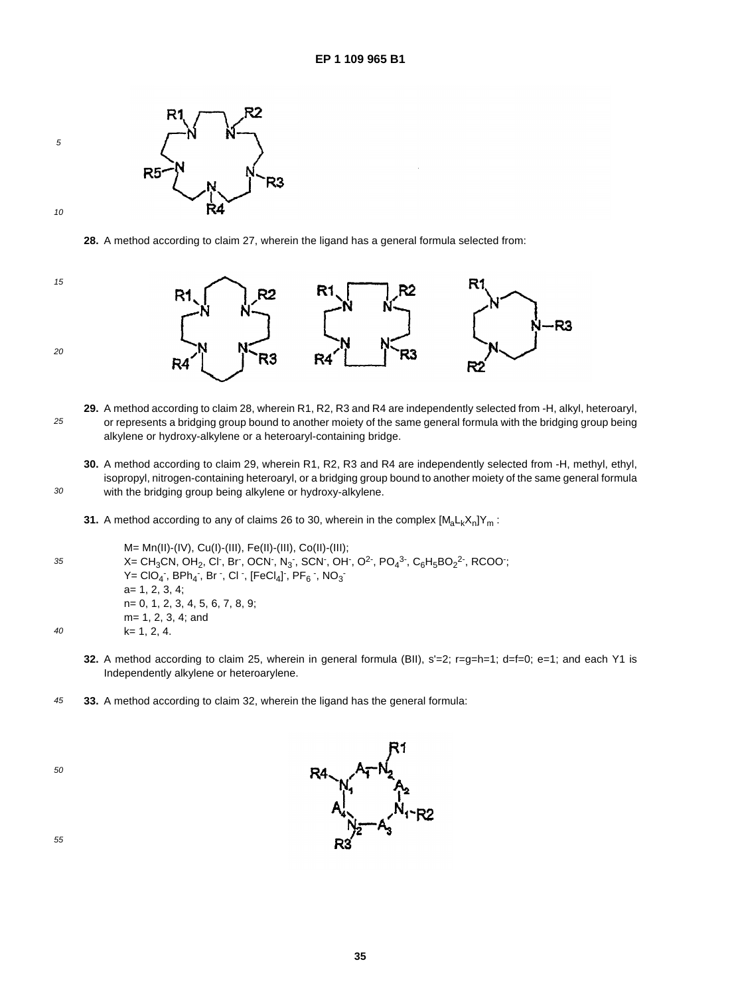

30

5

**28.** A method according to claim 27, wherein the ligand has a general formula selected from:



- 25 **29.** A method according to claim 28, wherein R1, R2, R3 and R4 are independently selected from -H, alkyl, heteroaryl, or represents a bridging group bound to another moiety of the same general formula with the bridging group being alkylene or hydroxy-alkylene or a heteroaryl-containing bridge.
	- **30.** A method according to claim 29, wherein R1, R2, R3 and R4 are independently selected from -H, methyl, ethyl, isopropyl, nitrogen-containing heteroaryl, or a bridging group bound to another moiety of the same general formula with the bridging group being alkylene or hydroxy-alkylene.
	- **31.** A method according to any of claims 26 to 30, wherein in the complex  $[M_a L_k X_n]Y_m$ :

35 40 M= Mn(II)-(IV), Cu(I)-(III), Fe(II)-(III), Co(II)-(III); X= CH $_3$ CN, OH $_2$ , Cl $\cdot$ , Br $\cdot$ , OCN $\cdot$ , N $_3$  $\cdot$ , SCN $\cdot$ , OH $\cdot$ , O<sup>2</sup> $\cdot$ , PO $_4$ 3 $\cdot$ , C $_6$ H $_5$ BO $_2$ 2 $\cdot$ , RCOO $\cdot$ ;  $Y = ClO_4$  ,  $BPh_4$  ,  $Br$  ,  $Cl$  ,  $[FeCl_4]$  ,  $PF_6$  ,  $NO_3$ a= 1, 2, 3, 4; n= 0, 1, 2, 3, 4, 5, 6, 7, 8, 9; m= 1, 2, 3, 4; and k= 1, 2, 4.

- **32.** A method according to claim 25, wherein in general formula (BII), s'=2; r=g=h=1; d=f=0; e=1; and each Y1 is Independently alkylene or heteroarylene.
- 45 **33.** A method according to claim 32, wherein the ligand has the general formula:

50

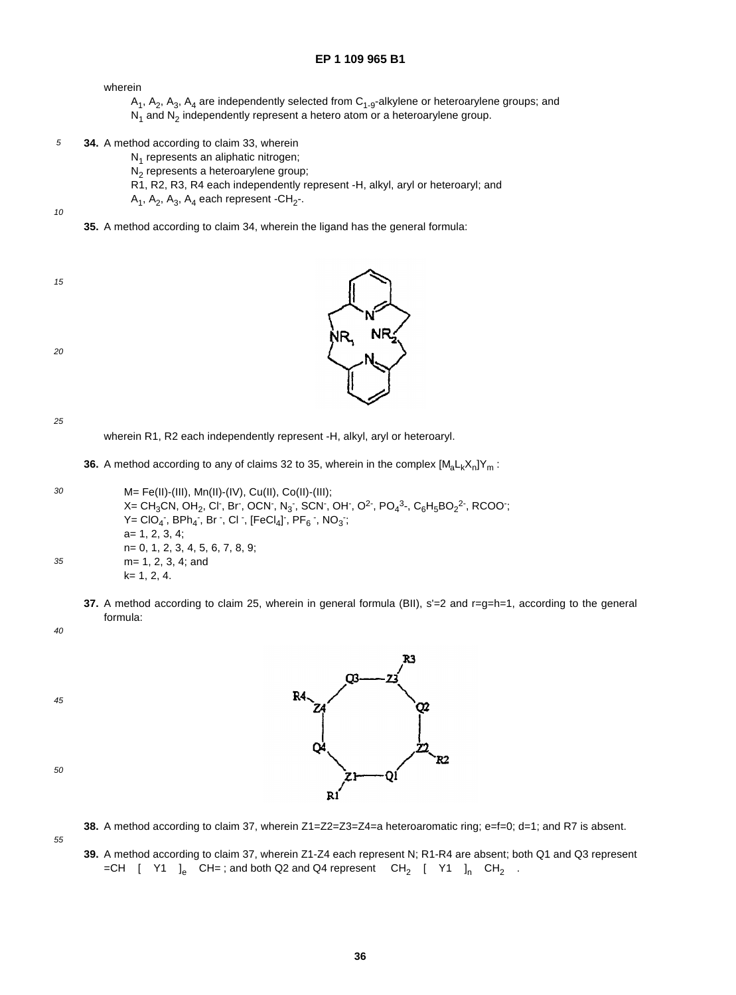## wherein

- $A_1$ ,  $A_2$ ,  $A_3$ ,  $A_4$  are independently selected from  $C_{1-9}$ -alkylene or heteroarylene groups; and  $N_1$  and  $N_2$  independently represent a hetero atom or a heteroarylene group.
- 5 **34.** A method according to claim 33, wherein
	- $N_1$  represents an aliphatic nitrogen;
	- N<sub>2</sub> represents a heteroarylene group;
	- R1, R2, R3, R4 each independently represent -H, alkyl, aryl or heteroaryl; and
	- $A_1$ ,  $A_2$ ,  $A_3$ ,  $A_4$  each represent -CH<sub>2</sub>-.

10

**35.** A method according to claim 34, wherein the ligand has the general formula:

15



25



wherein R1, R2 each independently represent -H, alkyl, aryl or heteroaryl.

**36.** A method according to any of claims 32 to 35, wherein in the complex  $[M_A L_k X_n]Y_m$ :

| 30 | $M = Fe(II)$ -(III), Mn(II)-(IV), Cu(II), Co(II)-(III);                                                                                                                                                                                                                                                                        |
|----|--------------------------------------------------------------------------------------------------------------------------------------------------------------------------------------------------------------------------------------------------------------------------------------------------------------------------------|
|    | X= CH <sub>3</sub> CN, OH <sub>2</sub> , Cl <sup>-</sup> , Br <sup>-</sup> , OCN <sup>-</sup> , N <sub>3</sub> <sup>-</sup> , SCN <sup>-</sup> , OH <sup>-</sup> , O <sup>2</sup> <sup>-</sup> , PO <sub>4</sub> <sup>3</sup> -, C <sub>6</sub> H <sub>5</sub> BO <sub>2</sub> <sup>2</sup> <sup>-</sup> , RCOO <sup>-</sup> ; |
|    | Y= ClO <sub>4</sub> , BPh <sub>4</sub> , Br, Cl, [FeCl <sub>4</sub> ], PF <sub>6</sub> , NO <sub>3</sub> ;                                                                                                                                                                                                                     |
|    | $a=1, 2, 3, 4$ :                                                                                                                                                                                                                                                                                                               |
|    | $n=0, 1, 2, 3, 4, 5, 6, 7, 8, 9;$                                                                                                                                                                                                                                                                                              |
| 35 | $m = 1, 2, 3, 4$ ; and                                                                                                                                                                                                                                                                                                         |
|    | $k=1, 2, 4.$                                                                                                                                                                                                                                                                                                                   |

**37.** A method according to claim 25, wherein in general formula (BII), s'=2 and r=g=h=1, according to the general formula:

40

45



55

- **38.** A method according to claim 37, wherein Z1=Z2=Z3=Z4=a heteroaromatic ring; e=f=0; d=1; and R7 is absent.
- **39.** A method according to claim 37, wherein Z1-Z4 each represent N; R1-R4 are absent; both Q1 and Q3 represent  $=$ CH—[-Y1—]<sub>e</sub>—CH=; and both Q2 and Q4 represent --CH<sub>2</sub>-[-Y1-]<sub>n</sub>-CH<sub>2</sub>-.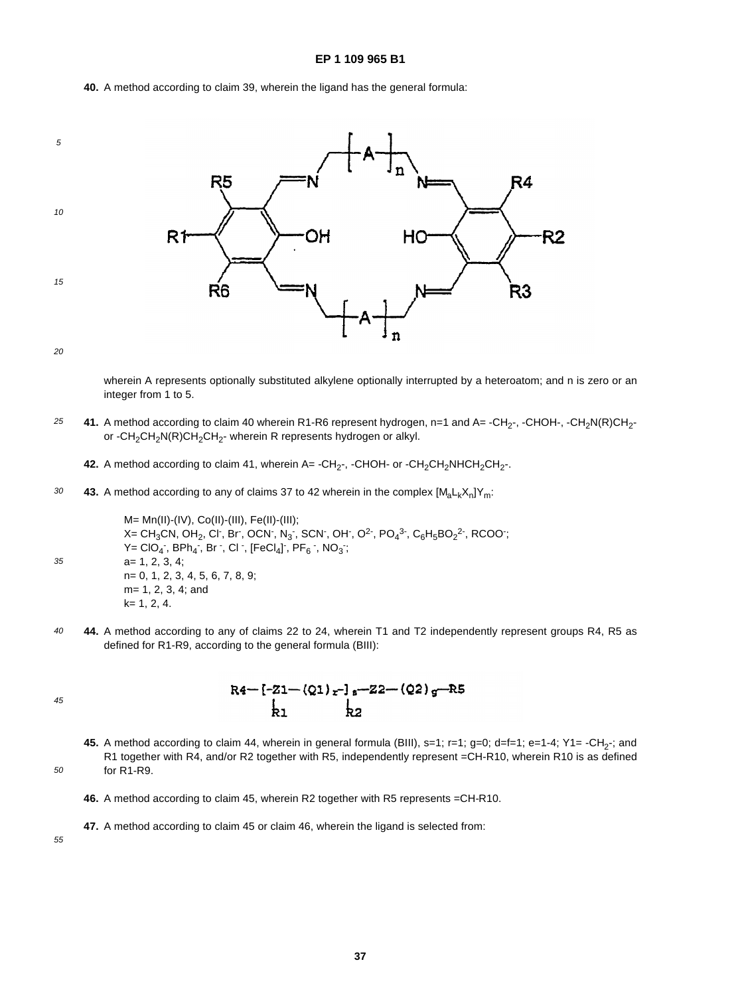**40.** A method according to claim 39, wherein the ligand has the general formula:



20

wherein A represents optionally substituted alkylene optionally interrupted by a heteroatom; and n is zero or an integer from 1 to 5.

25 41. A method according to claim 40 wherein R1-R6 represent hydrogen, n=1 and A= -CH<sub>2</sub>-, -CHOH-, -CH<sub>2</sub>N(R)CH<sub>2</sub>or -CH<sub>2</sub>CH<sub>2</sub>N(R)CH<sub>2</sub>CH<sub>2</sub>- wherein R represents hydrogen or alkyl.

42. A method according to claim 41, wherein A= -CH<sub>2</sub>-, -CHOH- or -CH<sub>2</sub>CH<sub>2</sub>NHCH<sub>2</sub>CH<sub>2</sub>-.

30 **43.** A method according to any of claims 37 to 42 wherein in the complex  $[M_a L_k X_n]Y_m$ :

> M= Mn(II)-(IV), Co(II)-(III), Fe(II)-(III); X= CH $_3$ CN, OH $_2$ , Cl $\cdot$ , Br $\cdot$ , OCN $\cdot$ , N $_3$  $\cdot$ , SCN $\cdot$ , OH $\cdot$ , O<sup>2</sup> $\cdot$ , PO $_4$ 3 $\cdot$ , C $_6$ H $_5$ BO $_2$ 2 $\cdot$ , RCOO $\cdot$ ;  $Y = ClO_4$  ,  $BPh_4$  ,  $Br \text{ }$  ,  $Cl \text{ }$  ,  $[FeCl_4]$  ,  $PF_6 \text{ }$  ,  $NO_3$  ; a= 1, 2, 3, 4; n= 0, 1, 2, 3, 4, 5, 6, 7, 8, 9; m= 1, 2, 3, 4; and k= 1, 2, 4.

40 **44.** A method according to any of claims 22 to 24, wherein T1 and T2 independently represent groups R4, R5 as defined for R1-R9, according to the general formula (BIII):

45

50

35

 $R4 - [-Z1 - (Q1)_x -]_8 - Z2 - (Q2)_9 - R5$  $\mathbf{L}$  $\mathsf{P}^{\mathsf{c}}$ 

- 45. A method according to claim 44, wherein in general formula (BIII), s=1; r=1; g=0; d=f=1; e=1-4; Y1= -CH<sub>2</sub>-; and R1 together with R4, and/or R2 together with R5, independently represent =CH-R10, wherein R10 is as defined for R1-R9.
- **46.** A method according to claim 45, wherein R2 together with R5 represents =CH-R10.
- **47.** A method according to claim 45 or claim 46, wherein the ligand is selected from: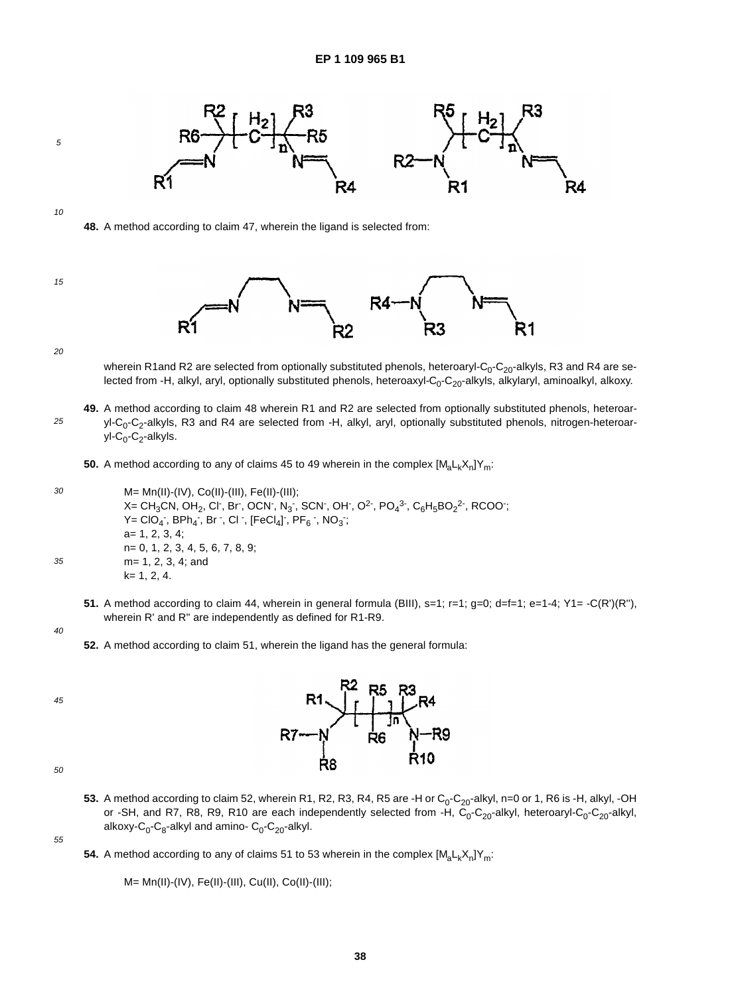

5

**48.** A method according to claim 47, wherein the ligand is selected from:





20

wherein R1and R2 are selected from optionally substituted phenols, heteroaryl- $C_0$ -C<sub>20</sub>-alkyls, R3 and R4 are selected from -H, alkyl, aryl, optionally substituted phenols, heteroaxyl-C<sub>0</sub>-C<sub>20</sub>-alkyls, alkylaryl, aminoalkyl, alkoxy.

?1

25 **49.** A method according to claim 48 wherein R1 and R2 are selected from optionally substituted phenols, heteroaryl-C<sub>0</sub>-C<sub>2</sub>-alkyls, R3 and R4 are selected from -H, alkyl, aryl, optionally substituted phenols, nitrogen-heteroaryl-C<sub>0</sub>-C<sub>2</sub>-alkyls.

**50.** A method according to any of claims 45 to 49 wherein in the complex  $[M_{a}L_{k}X_{n}]Y_{m}$ :

- 30 35 M= Mn(II)-(IV), Co(II)-(III), Fe(II)-(III); X= CH $_3$ CN, OH $_2$ , Cl $\cdot$ , Br $\cdot$ , OCN $\cdot$ , N $_3$  $\cdot$ , SCN $\cdot$ , OH $\cdot$ , O<sup>2</sup> $\cdot$ , PO $_4$ 3 $\cdot$ , C $_6$ H $_5$ BO $_2$ 2 $\cdot$ , RCOO $\cdot$ ;  $Y = ClO_4$  ,  $BPh_4$  ,  $Br \cdot$ ,  $Cl \cdot$ ,  $[FeCl_4]$  ,  $PF_6 \cdot$ ,  $NO_3$  ; a= 1, 2, 3, 4; n= 0, 1, 2, 3, 4, 5, 6, 7, 8, 9; m= 1, 2, 3, 4; and k= 1, 2, 4.
	- **51.** A method according to claim 44, wherein in general formula (BIII),  $s=1$ ;  $r=1$ ;  $a=0$ ;  $d=f=1$ ;  $e=1-4$ ;  $Y=$  -C(R')(R''). wherein R' and R'' are independently as defined for R1-R9.
- 40

45



50

**53.** A method according to claim 52, wherein R1, R2, R3, R4, R5 are -H or  $C_0$ - $C_{20}$ -alkyl, n=0 or 1, R6 is -H, alkyl, -OH or -SH, and R7, R8, R9, R10 are each independently selected from -H,  $C_0$ -C<sub>20</sub>-alkyl, heteroaryl-C<sub>0</sub>-C<sub>20</sub>-alkyl, alkoxy- $C_0$ - $C_8$ -alkyl and amino-  $C_0$ - $C_{20}$ -alkyl.

55

**54.** A method according to any of claims 51 to 53 wherein in the complex  $[M_a L_k X_n]Y_m$ :

M= Mn(II)-(IV), Fe(II)-(III), Cu(II), Co(II)-(III);

**<sup>52.</sup>** A method according to claim 51, wherein the ligand has the general formula: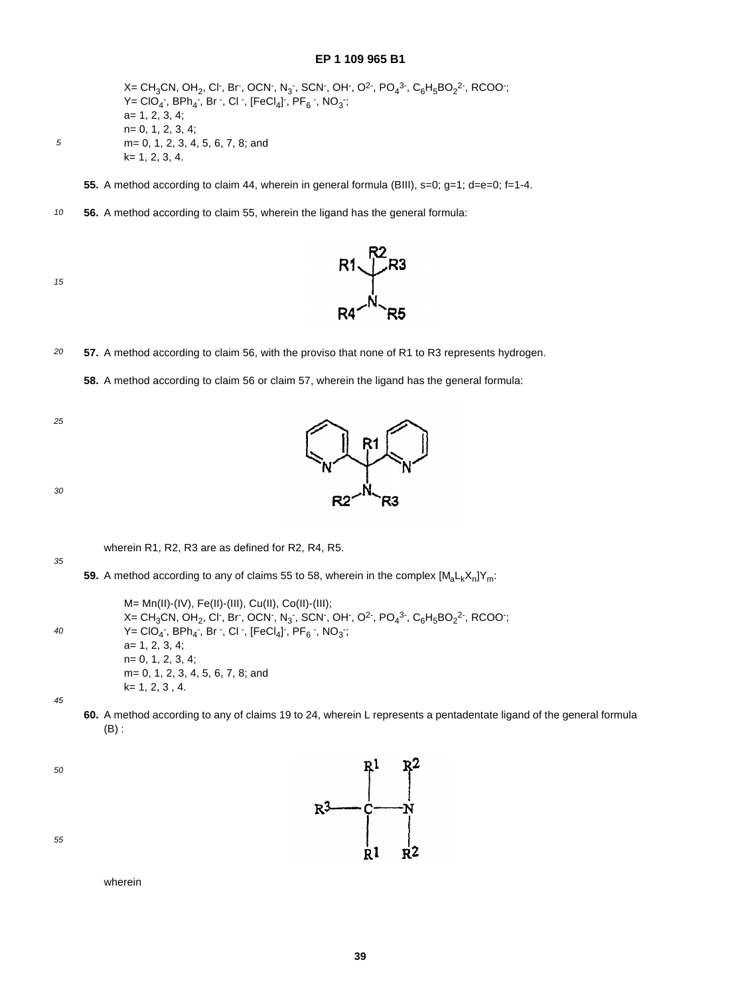X= CH $_3$ CN, OH $_2$ , Cl , Br , OCN , N $_3$  , SCN , OH , O<sup>2</sup> , PO $_4$ <sup>3 ,</sup> C $_6$ H $_5$ BO $_2$ <sup>2</sup> , RCOO ;  $Y = ClO_4$  ,  $BPh_4$  ,  $Br$  ,  $Cl$  ,  $[FeCl_4]$  ,  $PF_6$  ,  $NO_3$  ; a= 1, 2, 3, 4; n= 0, 1, 2, 3, 4; m= 0, 1, 2, 3, 4, 5, 6, 7, 8; and k= 1, 2, 3, 4.

**55.** A method according to claim 44, wherein in general formula (BIII), s=0; g=1; d=e=0; f=1-4.

10 **56.** A method according to claim 55, wherein the ligand has the general formula:



5



20 **57.** A method according to claim 56, with the proviso that none of R1 to R3 represents hydrogen.

**58.** A method according to claim 56 or claim 57, wherein the ligand has the general formula:

25



30

wherein R1, R2, R3 are as defined for R2, R4, R5.

35

40 M= Mn(II)-(IV), Fe(II)-(III), Cu(II), Co(II)-(III); X= CH $_3$ CN, OH $_2$ , Cl $\cdot$ , Br $\cdot$ , OCN $\cdot$ , N $_3$  $\cdot$ , SCN $\cdot$ , OH $\cdot$ , O<sup>2</sup> $\cdot$ , PO $_4$ 3 $\cdot$ , C $_6$ H $_5$ BO $_2$ 2 $\cdot$ , RCOO $\cdot$ ;  $Y = ClO_4$  ,  $BPh_4$  ,  $Br$  ,  $Cl$  ,  $[FeCl_4]$  ,  $PF_6$  ,  $NO_3$  ; a= 1, 2, 3, 4; n= 0, 1, 2, 3, 4; m= 0, 1, 2, 3, 4, 5, 6, 7, 8; and k= 1, 2, 3 , 4.

**59.** A method according to any of claims 55 to 58, wherein in the complex  $[M_{n}L_{k}X_{n}]Y_{m}$ :

45

**60.** A method according to any of claims 19 to 24, wherein L represents a pentadentate ligand of the general formula (B) :

 $R^3$ 

50



wherein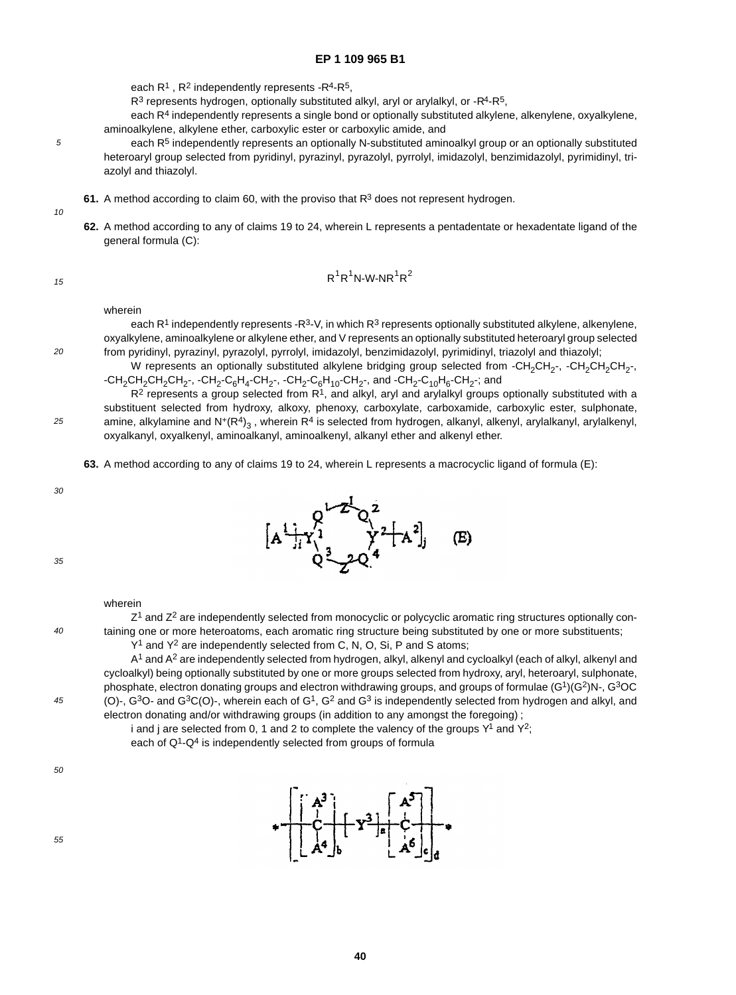each  $R^1$ ,  $R^2$  independently represents - $R^4$ - $R^5$ ,

 $R<sup>3</sup>$  represents hydrogen, optionally substituted alkyl, aryl or arylalkyl, or - $R<sup>4</sup>$ - $R<sup>5</sup>$ ,

each R4 independently represents a single bond or optionally substituted alkylene, alkenylene, oxyalkylene, aminoalkylene, alkylene ether, carboxylic ester or carboxylic amide, and

- each R<sup>5</sup> independently represents an optionally N-substituted aminoalkyl group or an optionally substituted heteroaryl group selected from pyridinyl, pyrazinyl, pyrazolyl, pyrrolyl, imidazolyl, benzimidazolyl, pyrimidinyl, triazolyl and thiazolyl.
- **61.** A method according to claim 60, with the proviso that R<sup>3</sup> does not represent hydrogen.
- 10

5

**62.** A method according to any of claims 19 to 24, wherein L represents a pentadentate or hexadentate ligand of the general formula (C):

15

 $20$ 

25

$$
R^1R^1N\text{-}W\text{-}NR^1R^2
$$

wherein

each R<sup>1</sup> independently represents -R<sup>3</sup>-V, in which R<sup>3</sup> represents optionally substituted alkylene, alkenylene, oxyalkylene, aminoalkylene or alkylene ether, and V represents an optionally substituted heteroaryl group selected from pyridinyl, pyrazinyl, pyrazolyl, pyrrolyl, imidazolyl, benzimidazolyl, pyrimidinyl, triazolyl and thiazolyl;

W represents an optionally substituted alkylene bridging group selected from -CH<sub>2</sub>CH<sub>2</sub>-, -CH<sub>2</sub>CH<sub>2</sub>CH<sub>2</sub>-,  $-CH_2CH_2CH_2CH_2$ -,  $-CH_2-C_6H_4-CH_2$ -,  $-CH_2-C_6H_{10}$ -CH<sub>2</sub>-, and  $-CH_2-C_{10}H_6$ -CH<sub>2</sub>-; and

 $R<sup>2</sup>$  represents a group selected from  $R<sup>1</sup>$ , and alkyl, aryl and arylalkyl groups optionally substituted with a substituent selected from hydroxy, alkoxy, phenoxy, carboxylate, carboxamide, carboxylic ester, sulphonate, amine, alkylamine and  $N^+(R^4)_{3}$ , wherein R<sup>4</sup> is selected from hydrogen, alkanyl, alkenyl, arylalkanyl, arylalkenyl, oxyalkanyl, oxyalkenyl, aminoalkanyl, aminoalkenyl, alkanyl ether and alkenyl ether.

**63.** A method according to any of claims 19 to 24, wherein L represents a macrocyclic ligand of formula (E):

 $[A^1]_i Y_1^1$   $Y^2[A^2]_j$ 

(E)

30



| 40<br>45 | taining one or more heteroatoms, each aromatic ring structure being substituted by one or more substituents;<br>Y <sup>1</sup> and Y <sup>2</sup> are independently selected from C, N, O, Si, P and S atoms;<br>A <sup>1</sup> and A <sup>2</sup> are independently selected from hydrogen, alkyl, alkenyl and cycloalkyl (each of alkyl, alkenyl and<br>cycloalkyl) being optionally substituted by one or more groups selected from hydroxy, aryl, heteroaryl, sulphonate,<br>phosphate, electron donating groups and electron withdrawing groups, and groups of formulae (G <sup>1</sup> )(G <sup>2</sup> )N-, G <sup>3</sup> OC<br>(O)-, $G^3O$ - and $G^3C(O)$ -, wherein each of $G^1$ , $G^2$ and $G^3$ is independently selected from hydrogen and alkyl, and |
|----------|------------------------------------------------------------------------------------------------------------------------------------------------------------------------------------------------------------------------------------------------------------------------------------------------------------------------------------------------------------------------------------------------------------------------------------------------------------------------------------------------------------------------------------------------------------------------------------------------------------------------------------------------------------------------------------------------------------------------------------------------------------------------|
|          | electron donating and/or withdrawing groups (in addition to any amongst the foregoing);<br>i and j are selected from 0, 1 and 2 to complete the valency of the groups $Y^1$ and $Y^2$ ;<br>each of Q <sup>1</sup> -Q <sup>4</sup> is independently selected from groups of formula                                                                                                                                                                                                                                                                                                                                                                                                                                                                                     |
| 50       | $\left  \begin{array}{ccc} 1 & 3 \\ 1 & 4 \end{array} \right $                                                                                                                                                                                                                                                                                                                                                                                                                                                                                                                                                                                                                                                                                                         |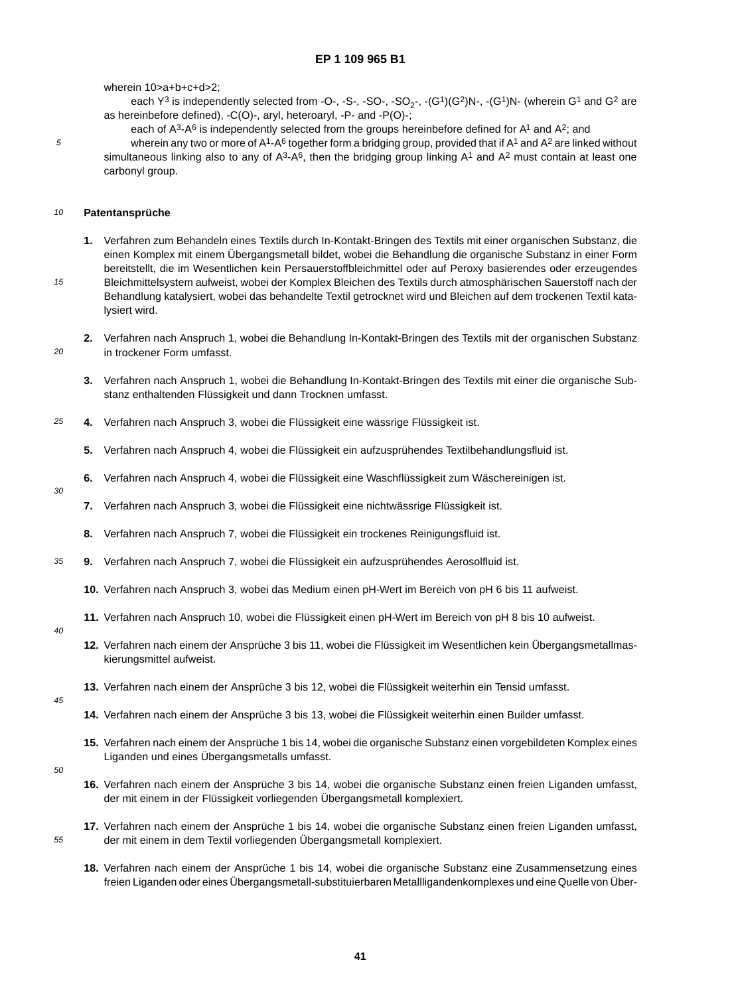wherein 10>a+b+c+d>2;

each  $Y^3$  is independently selected from -O-, -S-, -SO-, -SO<sub>2</sub>-, -(G<sup>1</sup>)(G<sup>2</sup>)N-, -(G<sup>1</sup>)N- (wherein G<sup>1</sup> and G<sup>2</sup> are as hereinbefore defined), -C(O)-, aryl, heteroaryl, -P- and -P(O)-;

each of  $A^3 - A^6$  is independently selected from the groups hereinbefore defined for  $A^1$  and  $A^2$ ; and wherein any two or more of A<sup>1</sup>-A<sup>6</sup> together form a bridging group, provided that if A<sup>1</sup> and A<sup>2</sup> are linked without simultaneous linking also to any of  $A^3-A^6$ , then the bridging group linking  $A^1$  and  $A^2$  must contain at least one carbonyl group.

#### 10 **Patentansprüche**

5

15

 $20$ 

30

- **1.** Verfahren zum Behandeln eines Textils durch In-Kontakt-Bringen des Textils mit einer organischen Substanz, die einen Komplex mit einem Übergangsmetall bildet, wobei die Behandlung die organische Substanz in einer Form bereitstellt, die im Wesentlichen kein Persauerstoffbleichmittel oder auf Peroxy basierendes oder erzeugendes Bleichmittelsystem aufweist, wobei der Komplex Bleichen des Textils durch atmosphärischen Sauerstoff nach der
- Behandlung katalysiert, wobei das behandelte Textil getrocknet wird und Bleichen auf dem trockenen Textil katalysiert wird.
- **2.** Verfahren nach Anspruch 1, wobei die Behandlung In-Kontakt-Bringen des Textils mit der organischen Substanz in trockener Form umfasst.
	- **3.** Verfahren nach Anspruch 1, wobei die Behandlung In-Kontakt-Bringen des Textils mit einer die organische Substanz enthaltenden Flüssigkeit und dann Trocknen umfasst.
- 25 **4.** Verfahren nach Anspruch 3, wobei die Flüssigkeit eine wässrige Flüssigkeit ist.
	- **5.** Verfahren nach Anspruch 4, wobei die Flüssigkeit ein aufzusprühendes Textilbehandlungsfluid ist.
	- **6.** Verfahren nach Anspruch 4, wobei die Flüssigkeit eine Waschflüssigkeit zum Wäschereinigen ist.
		- **7.** Verfahren nach Anspruch 3, wobei die Flüssigkeit eine nichtwässrige Flüssigkeit ist.
		- **8.** Verfahren nach Anspruch 7, wobei die Flüssigkeit ein trockenes Reinigungsfluid ist.
- 35 **9.** Verfahren nach Anspruch 7, wobei die Flüssigkeit ein aufzusprühendes Aerosolfluid ist.
	- **10.** Verfahren nach Anspruch 3, wobei das Medium einen pH-Wert im Bereich von pH 6 bis 11 aufweist.
	- **11.** Verfahren nach Anspruch 10, wobei die Flüssigkeit einen pH-Wert im Bereich von pH 8 bis 10 aufweist.
- $40$
- **12.** Verfahren nach einem der Ansprüche 3 bis 11, wobei die Flüssigkeit im Wesentlichen kein Übergangsmetallmaskierungsmittel aufweist.
- **13.** Verfahren nach einem der Ansprüche 3 bis 12, wobei die Flüssigkeit weiterhin ein Tensid umfasst.
- 45
- **14.** Verfahren nach einem der Ansprüche 3 bis 13, wobei die Flüssigkeit weiterhin einen Builder umfasst.
- **15.** Verfahren nach einem der Ansprüche 1 bis 14, wobei die organische Substanz einen vorgebildeten Komplex eines Liganden und eines Übergangsmetalls umfasst.
- 50

- **16.** Verfahren nach einem der Ansprüche 3 bis 14, wobei die organische Substanz einen freien Liganden umfasst, der mit einem in der Flüssigkeit vorliegenden Übergangsmetall komplexiert.
- **17.** Verfahren nach einem der Ansprüche 1 bis 14, wobei die organische Substanz einen freien Liganden umfasst, der mit einem in dem Textil vorliegenden Übergangsmetall komplexiert.
	- **18.** Verfahren nach einem der Ansprüche 1 bis 14, wobei die organische Substanz eine Zusammensetzung eines freien Liganden oder eines Übergangsmetall-substituierbaren Metallligandenkomplexes und eine Quelle von Über-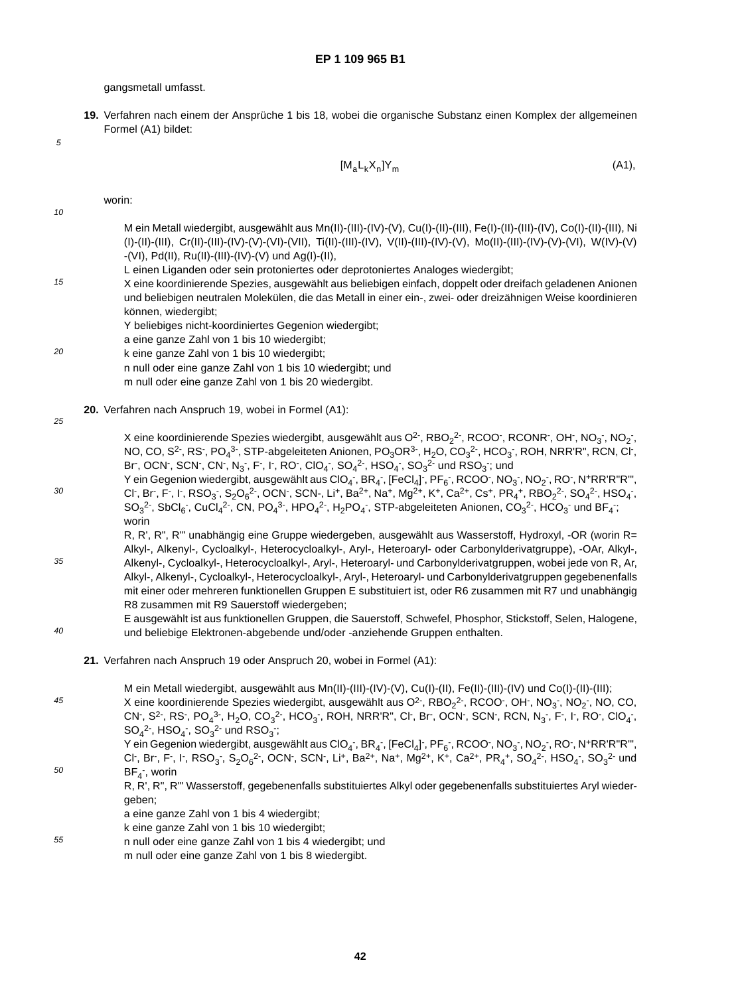gangsmetall umfasst.

**19.** Verfahren nach einem der Ansprüche 1 bis 18, wobei die organische Substanz einen Komplex der allgemeinen Formel (A1) bildet:

5

$$
[M_a L_k X_n] Y_m \tag{A1},
$$

10 15  $20$ 25 30 35 40 45 50 worin: M ein Metall wiedergibt, ausgewählt aus Mn(II)-(III)-(IV)-(V), Cu(I)-(II)-(III), Fe(I)-(II)-(III)-(IV), Co(I)-(II)-(III), Ni (I)-(II)-(III), Cr(II)-(III)-(IV)-(V)-(VI)-(VII), Ti(II)-(III)-(IV), V(II)-(III)-(IV)-(V), Mo(II)-(III)-(IV)-(V)-(VI), W(IV)-(V) -(VI), Pd(II), Ru(II)-(III)-(IV)-(V) und Ag(I)-(II), L einen Liganden oder sein protoniertes oder deprotoniertes Analoges wiedergibt; X eine koordinierende Spezies, ausgewählt aus beliebigen einfach, doppelt oder dreifach geladenen Anionen und beliebigen neutralen Molekülen, die das Metall in einer ein-, zwei- oder dreizähnigen Weise koordinieren können, wiedergibt; Y beliebiges nicht-koordiniertes Gegenion wiedergibt; a eine ganze Zahl von 1 bis 10 wiedergibt; k eine ganze Zahl von 1 bis 10 wiedergibt; n null oder eine ganze Zahl von 1 bis 10 wiedergibt; und m null oder eine ganze Zahl von 1 bis 20 wiedergibt. **20.** Verfahren nach Anspruch 19, wobei in Formel (A1): X eine koordinierende Spezies wiedergibt, ausgewählt aus O<sup>2-</sup>, RBO<sub>2</sub><sup>2-</sup>, RCOO<sup>-</sup>, RCONR<sup>-</sup>, OH<sup>-</sup>, NO<sub>3</sub><sup>-</sup>, NO<sub>2</sub><sup>-</sup>, NO, CO, S<sup>2-</sup>, RS<sup>-</sup>, PO<sub>4</sub>3-, STP-abgeleiteten Anionen, PO<sub>3</sub>OR3-, H<sub>2</sub>O, CO<sub>3</sub><sup>2-</sup>, HCO<sub>3</sub>-, ROH, NRR'R", RCN, Cl<sup>-</sup>, Br,OCN,SCN,CN,N<sub>3</sub>,F,I,RO,ClO<sub>4</sub>,SO<sub>4</sub><sup>2</sup>,HSO<sub>4</sub>,SO<sub>3</sub><sup>2</sup> und RSO<sub>3</sub>;und Y ein Gegenion wiedergibt, ausgewählt aus ClO<sub>4</sub>-, BR<sub>4</sub>-, [FeCl<sub>4</sub>]-, PF<sub>6</sub>-, RCOO-, NO<sub>3</sub>-, NO<sub>2</sub>-, RO-, N+RR'R"R", Cl , Br , F , I , RSO<sub>3</sub> , S<sub>2</sub>O<sub>6</sub><sup>2</sup> , OCN , SCN , Li , Ba<sup>2+</sup>, Na , Mg<sup>2+</sup>, K +, Ca<sup>2+</sup>, Cs +, PR<sub>4</sub>+, RBO<sub>2</sub><sup>2</sup> , SO<sub>4</sub><sup>2</sup> , HSO<sub>4</sub> ,  $SO_3^2$ <sup>-</sup>, SbCl<sub>6</sub><sup>-</sup>, CuCl<sub>4</sub><sup>2-</sup>, CN, PO<sub>4</sub><sup>3-</sup>, HPO<sub>4</sub><sup>2-</sup>, H<sub>2</sub>PO<sub>4</sub><sup>-</sup>, STP-abgeleiteten Anionen, CO<sub>3</sub><sup>2-</sup>, HCO<sub>3</sub><sup>-</sup> und BF<sub>4</sub><sup>-</sup>; worin R, R', R", R'" unabhängig eine Gruppe wiedergeben, ausgewählt aus Wasserstoff, Hydroxyl, -OR (worin R= Alkyl-, Alkenyl-, Cycloalkyl-, Heterocycloalkyl-, Aryl-, Heteroaryl- oder Carbonylderivatgruppe), -OAr, Alkyl-, Alkenyl-, Cycloalkyl-, Heterocycloalkyl-, Aryl-, Heteroaryl- und Carbonylderivatgruppen, wobei jede von R, Ar, Alkyl-, Alkenyl-, Cycloalkyl-, Heterocycloalkyl-, Aryl-, Heteroaryl- und Carbonylderivatgruppen gegebenenfalls mit einer oder mehreren funktionellen Gruppen E substituiert ist, oder R6 zusammen mit R7 und unabhängig R8 zusammen mit R9 Sauerstoff wiedergeben; E ausgewählt ist aus funktionellen Gruppen, die Sauerstoff, Schwefel, Phosphor, Stickstoff, Selen, Halogene, und beliebige Elektronen-abgebende und/oder -anziehende Gruppen enthalten. **21.** Verfahren nach Anspruch 19 oder Anspruch 20, wobei in Formel (A1): M ein Metall wiedergibt, ausgewählt aus Mn(II)-(III)-(IV)-(V), Cu(I)-(II), Fe(II)-(III)-(IV) und Co(I)-(II)-(III); X eine koordinierende Spezies wiedergibt, ausgewählt aus O<sup>2-</sup>, RBO<sub>2</sub><sup>2-</sup>, RCOO<sup>-</sup>, OH<sup>-</sup>, NO<sub>3</sub><sup>-</sup>, NO<sub>2</sub><sup>-</sup>, NO, CO, CN , S2 , RS , PO $_4^3$  , H $_2$ O, CO $_3^2$  , HCO $_3$  , ROH, NRR'R", Cl , Br , OCN , SCN , RCN, N $_3$  , F , I , RO , ClO $_4$  ,  $SO_4^2$ <sup>-</sup>, HSO<sub>4</sub><sup>-</sup>, SO<sub>3</sub><sup>2-</sup> und RSO<sub>3</sub><sup>-</sup>; Y ein Gegenion wiedergibt, ausgewählt aus ClO<sub>4</sub>-, BR<sub>4</sub>-, [FeCl<sub>4</sub>]-, PF<sub>6</sub>-, RCOO-, NO<sub>3</sub>-, NO<sub>2</sub>-, RO-, N+RR'R"R", Cl , Br , F , I , RSO<sub>3</sub> , S<sub>2</sub>O<sub>6</sub><sup>2</sup> , OCN , SCN , Li , Ba<sup>2+</sup>, Na , Mg<sup>2+</sup>, K , Ca<sup>2+</sup>, PR<sub>4</sub>+, SO<sub>4</sub><sup>2</sup> , HSO<sub>4</sub> , SO<sub>3</sub><sup>2</sup> und  $BF_4$ <sup>-</sup>, worin R, R', R", R'" Wasserstoff, gegebenenfalls substituiertes Alkyl oder gegebenenfalls substituiertes Aryl wiedergeben; a eine ganze Zahl von 1 bis 4 wiedergibt; k eine ganze Zahl von 1 bis 10 wiedergibt;

55 n null oder eine ganze Zahl von 1 bis 4 wiedergibt; und m null oder eine ganze Zahl von 1 bis 8 wiedergibt.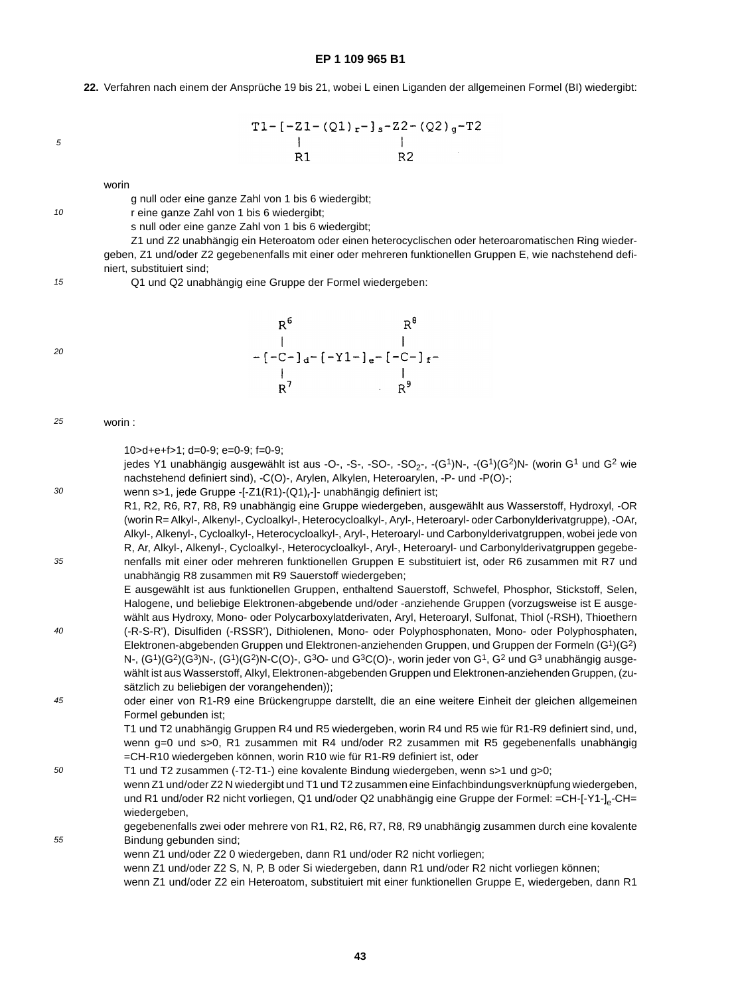**22.** Verfahren nach einem der Ansprüche 19 bis 21, wobei L einen Liganden der allgemeinen Formel (BI) wiedergibt:

5

10

$$
T1 - [-21 - (Q1)_r - ]_s - Z2 - (Q2)_g - T2
$$
  
\n|  
\nR1 R2

worin

g null oder eine ganze Zahl von 1 bis 6 wiedergibt;

r eine ganze Zahl von 1 bis 6 wiedergibt;

s null oder eine ganze Zahl von 1 bis 6 wiedergibt;

Z1 und Z2 unabhängig ein Heteroatom oder einen heterocyclischen oder heteroaromatischen Ring wiedergeben, Z1 und/oder Z2 gegebenenfalls mit einer oder mehreren funktionellen Gruppen E, wie nachstehend definiert, substituiert sind;

15 Q1 und Q2 unabhängig eine Gruppe der Formel wiedergeben:

 $20$ 

30

55

| 6 R |                                                                |
|-----|----------------------------------------------------------------|
|     |                                                                |
|     | -[-C-] <sub>d</sub> -[-Y1-] <sub>e</sub> -[-C-] <sub>f</sub> - |
|     |                                                                |
| ' ס | 9 p                                                            |

#### 25 worin :

10>d+e+f>1; d=0-9; e=0-9; f=0-9;

jedes Y1 unabhängig ausgewählt ist aus -O-, -S-, -SO-, -SO<sub>2</sub>-, -(G<sup>1</sup>)N-, -(G<sup>1</sup>)(G<sup>2</sup>)N- (worin G<sup>1</sup> und G<sup>2</sup> wie nachstehend definiert sind), -C(O)-, Arylen, Alkylen, Heteroarylen, -P- und -P(O)-;

- 35 wenn s>1, jede Gruppe -[-Z1(R1)-(Q1)<sub>r</sub>-]- unabhängig definiert ist; R1, R2, R6, R7, R8, R9 unabhängig eine Gruppe wiedergeben, ausgewählt aus Wasserstoff, Hydroxyl, -OR (worin R= Alkyl-, Alkenyl-, Cycloalkyl-, Heterocycloalkyl-, Aryl-, Heteroaryl- oder Carbonylderivatgruppe), -OAr, Alkyl-, Alkenyl-, Cycloalkyl-, Heterocycloalkyl-, Aryl-, Heteroaryl- und Carbonylderivatgruppen, wobei jede von R, Ar, Alkyl-, Alkenyl-, Cycloalkyl-, Heterocycloalkyl-, Aryl-, Heteroaryl- und Carbonylderivatgruppen gegebenenfalls mit einer oder mehreren funktionellen Gruppen E substituiert ist, oder R6 zusammen mit R7 und unabhängig R8 zusammen mit R9 Sauerstoff wiedergeben; E ausgewählt ist aus funktionellen Gruppen, enthaltend Sauerstoff, Schwefel, Phosphor, Stickstoff, Selen,
- 40 Halogene, und beliebige Elektronen-abgebende und/oder -anziehende Gruppen (vorzugsweise ist E ausgewählt aus Hydroxy, Mono- oder Polycarboxylatderivaten, Aryl, Heteroaryl, Sulfonat, Thiol (-RSH), Thioethern (-R-S-R'), Disulfiden (-RSSR'), Dithiolenen, Mono- oder Polyphosphonaten, Mono- oder Polyphosphaten, Elektronen-abgebenden Gruppen und Elektronen-anziehenden Gruppen, und Gruppen der Formeln (G1)(G2) N-,  $(G<sup>1</sup>)(G<sup>2</sup>)(G<sup>3</sup>)N$ -,  $(G<sup>1</sup>)(G<sup>2</sup>)N$ -C(O)-, G<sup>3</sup>O- und G<sup>3</sup>C(O)-, worin jeder von G<sup>1</sup>, G<sup>2</sup> und G<sup>3</sup> unabhängig ausgewählt ist aus Wasserstoff, Alkyl, Elektronen-abgebenden Gruppen und Elektronen-anziehenden Gruppen, (zusätzlich zu beliebigen der vorangehenden));
- 45 oder einer von R1-R9 eine Brückengruppe darstellt, die an eine weitere Einheit der gleichen allgemeinen Formel gebunden ist;

T1 und T2 unabhängig Gruppen R4 und R5 wiedergeben, worin R4 und R5 wie für R1-R9 definiert sind, und, wenn g=0 und s>0, R1 zusammen mit R4 und/oder R2 zusammen mit R5 gegebenenfalls unabhängig =CH-R10 wiedergeben können, worin R10 wie für R1-R9 definiert ist, oder

- 50 T1 und T2 zusammen (-T2-T1-) eine kovalente Bindung wiedergeben, wenn s>1 und g>0; wenn Z1 und/oder Z2 N wiedergibt und T1 und T2 zusammen eine Einfachbindungsverknüpfung wiedergeben, und R1 und/oder R2 nicht vorliegen, Q1 und/oder Q2 unabhängig eine Gruppe der Formel: =CH-[-Y1-]<sub>e</sub>-CH= wiedergeben,
	- gegebenenfalls zwei oder mehrere von R1, R2, R6, R7, R8, R9 unabhängig zusammen durch eine kovalente Bindung gebunden sind;
		- wenn Z1 und/oder Z2 0 wiedergeben, dann R1 und/oder R2 nicht vorliegen;
			- wenn Z1 und/oder Z2 S, N, P, B oder Si wiedergeben, dann R1 und/oder R2 nicht vorliegen können;
			- wenn Z1 und/oder Z2 ein Heteroatom, substituiert mit einer funktionellen Gruppe E, wiedergeben, dann R1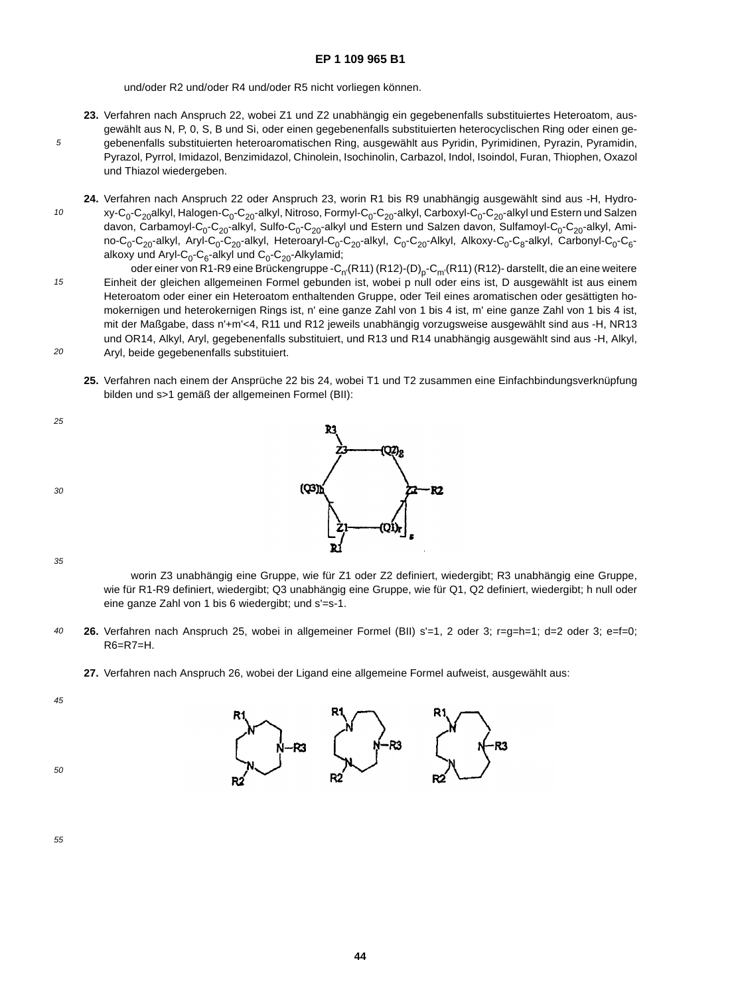und/oder R2 und/oder R4 und/oder R5 nicht vorliegen können.

- **23.** Verfahren nach Anspruch 22, wobei Z1 und Z2 unabhängig ein gegebenenfalls substituiertes Heteroatom, ausgewählt aus N, P, 0, S, B und Si, oder einen gegebenenfalls substituierten heterocyclischen Ring oder einen gegebenenfalls substituierten heteroaromatischen Ring, ausgewählt aus Pyridin, Pyrimidinen, Pyrazin, Pyramidin, Pyrazol, Pyrrol, Imidazol, Benzimidazol, Chinolein, Isochinolin, Carbazol, Indol, Isoindol, Furan, Thiophen, Oxazol und Thiazol wiedergeben.
- 10 **24.** Verfahren nach Anspruch 22 oder Anspruch 23, worin R1 bis R9 unabhängig ausgewählt sind aus -H, Hydroxy-C<sub>0</sub>-C<sub>20</sub>alkyl, Halogen-C<sub>0</sub>-C<sub>20</sub>-alkyl, Nitroso, Formyl-C<sub>0</sub>-C<sub>20</sub>-alkyl, Carboxyl-C<sub>0</sub>-C<sub>20</sub>-alkyl und Estern und Salzen davon, Carbamoyl-C<sub>0</sub>-C<sub>20</sub>-alkyl, Sulfo-C<sub>0</sub>-C<sub>20</sub>-alkyl und Estern und Salzen davon, Sulfamoyl-C<sub>0</sub>-C<sub>20</sub>-alkyl, Amino-C<sub>0</sub>-C<sub>20</sub>-alkyl, Aryl-C<sub>0</sub>-C<sub>20</sub>-alkyl, Heteroaryl-C<sub>0</sub>-C<sub>20</sub>-alkyl, C<sub>0</sub>-C<sub>20</sub>-Alkyl, Alkoxy-C<sub>0</sub>-C<sub>8</sub>-alkyl, Carbonyl-C<sub>0</sub>-C<sub>6</sub>alkoxy und Aryl-C<sub>0</sub>-C<sub>6</sub>-alkyl und C<sub>0</sub>-C<sub>20</sub>-Alkylamid;
- 15 oder einer von R1-R9 eine Brückengruppe -C<sub>n'</sub>(R11) (R12)-(D)<sub>p</sub>-C<sub>m'</sub>(R11) (R12)- darstellt, die an eine weitere Einheit der gleichen allgemeinen Formel gebunden ist, wobei p null oder eins ist, D ausgewählt ist aus einem Heteroatom oder einer ein Heteroatom enthaltenden Gruppe, oder Teil eines aromatischen oder gesättigten homokernigen und heterokernigen Rings ist, n' eine ganze Zahl von 1 bis 4 ist, m' eine ganze Zahl von 1 bis 4 ist, mit der Maßgabe, dass n'+m'<4, R11 und R12 jeweils unabhängig vorzugsweise ausgewählt sind aus -H, NR13 und OR14, Alkyl, Aryl, gegebenenfalls substituiert, und R13 und R14 unabhängig ausgewählt sind aus -H, Alkyl,
- $20$ Aryl, beide gegebenenfalls substituiert.
	- **25.** Verfahren nach einem der Ansprüche 22 bis 24, wobei T1 und T2 zusammen eine Einfachbindungsverknüpfung bilden und s>1 gemäß der allgemeinen Formel (BII):



5





35

worin Z3 unabhängig eine Gruppe, wie für Z1 oder Z2 definiert, wiedergibt; R3 unabhängig eine Gruppe, wie für R1-R9 definiert, wiedergibt; Q3 unabhängig eine Gruppe, wie für Q1, Q2 definiert, wiedergibt; h null oder eine ganze Zahl von 1 bis 6 wiedergibt; und s'=s-1.

- 40 **26.** Verfahren nach Anspruch 25, wobei in allgemeiner Formel (BII) s'=1, 2 oder 3; r=g=h=1; d=2 oder 3; e=f=0; R6=R7=H.
	- **27.** Verfahren nach Anspruch 26, wobei der Ligand eine allgemeine Formel aufweist, ausgewählt aus:

45

50

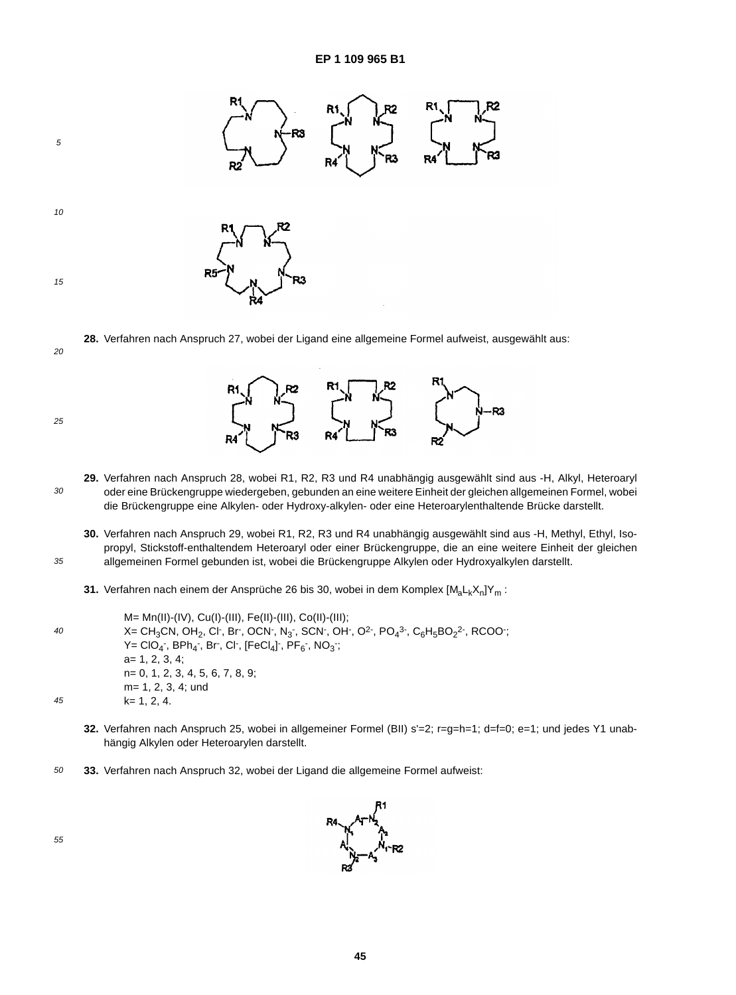

**28.** Verfahren nach Anspruch 27, wobei der Ligand eine allgemeine Formel aufweist, ausgewählt aus:

25

35

20



R<sub>3</sub>

- **30.** Verfahren nach Anspruch 29, wobei R1, R2, R3 und R4 unabhängig ausgewählt sind aus -H, Methyl, Ethyl, Isopropyl, Stickstoff-enthaltendem Heteroaryl oder einer Brückengruppe, die an eine weitere Einheit der gleichen allgemeinen Formel gebunden ist, wobei die Brückengruppe Alkylen oder Hydroxyalkylen darstellt.
- **31.** Verfahren nach einem der Ansprüche 26 bis 30, wobei in dem Komplex [M<sub>a</sub>L<sub>k</sub>X<sub>n</sub>]Y<sub>m</sub> :

40 45 M= Mn(II)-(IV), Cu(I)-(III), Fe(II)-(III), Co(II)-(III); X= CH<sub>3</sub>CN, OH<sub>2</sub>, Cl<sup>-</sup>, Br<sup>-</sup>, OCN<sup>-</sup>, N<sub>3</sub><sup>-</sup>, SCN<sup>-</sup>, OH<sup>-</sup>, O<sup>2-</sup>, PO<sub>4</sub><sup>3-</sup>, C<sub>6</sub>H<sub>5</sub>BO<sub>2</sub><sup>2-</sup>, RCOO<sup>-</sup>;  $\mathsf{Y} = \mathsf{CIO_4}$  ,  $\mathsf{BPh_4}$  ,  $\mathsf{Br}$  ,  $\mathsf{Cl}$  ,  $[\mathsf{FeCl_4}]$  ,  $\mathsf{PF_6}$  ,  $\mathsf{NO_3}$  , a= 1, 2, 3, 4; n= 0, 1, 2, 3, 4, 5, 6, 7, 8, 9; m= 1, 2, 3, 4; und k= 1, 2, 4.

- **32.** Verfahren nach Anspruch 25, wobei in allgemeiner Formel (BII) s'=2; r=g=h=1; d=f=0; e=1; und jedes Y1 unabhängig Alkylen oder Heteroarylen darstellt.
- 50 **33.** Verfahren nach Anspruch 32, wobei der Ligand die allgemeine Formel aufweist:

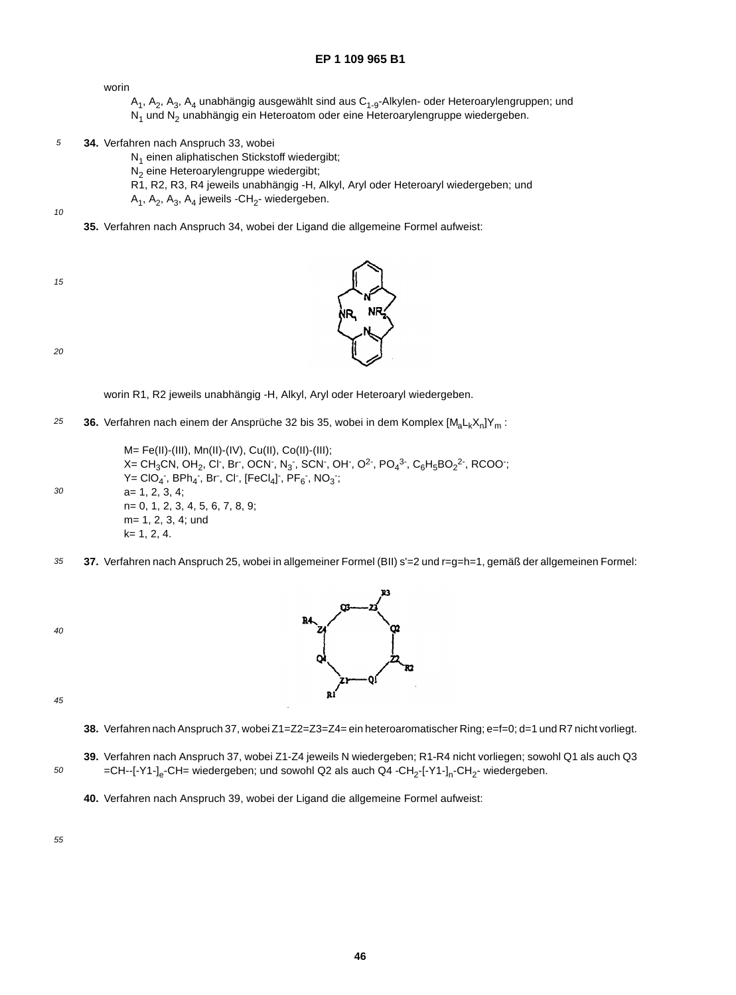worin

- $A_1$ ,  $A_2$ ,  $A_3$ ,  $A_4$  unabhängig ausgewählt sind aus  $C_{1-9}$ -Alkylen- oder Heteroarylengruppen; und N<sub>1</sub> und N<sub>2</sub> unabhängig ein Heteroatom oder eine Heteroarylengruppe wiedergeben.
- 5 **34.** Verfahren nach Anspruch 33, wobei
	- N<sub>1</sub> einen aliphatischen Stickstoff wiedergibt;
	- N<sub>2</sub> eine Heteroarylengruppe wiedergibt;
	- R1, R2, R3, R4 jeweils unabhängig -H, Alkyl, Aryl oder Heteroaryl wiedergeben; und
	- $A_1$ ,  $A_2$ ,  $A_3$ ,  $A_4$  jeweils -CH<sub>2</sub>- wiedergeben.
- 10
- **35.** Verfahren nach Anspruch 34, wobei der Ligand die allgemeine Formel aufweist:
- 15

20

worin R1, R2 jeweils unabhängig -H, Alkyl, Aryl oder Heteroaryl wiedergeben.

- 25 **36.** Verfahren nach einem der Ansprüche 32 bis 35, wobei in dem Komplex [M<sub>a</sub>L<sub>k</sub>X<sub>n</sub>]Y<sub>m</sub> :
	- M= Fe(II)-(III), Mn(II)-(IV), Cu(II), Co(II)-(III); X= CH $_3$ CN, OH $_2$ , Cl , Br , OCN , N $_3$  , SCN , OH , O<sup>2</sup> , PO $_4$ <sup>3 ,</sup> C $_6$ H $_5$ BO $_2$ <sup>2</sup> , RCOO ;  $\mathsf{Y} = \mathsf{CIO}_{4}$  ,  $\mathsf{BPh}_{4}$  ,  $\mathsf{Br}$  ,  $\mathsf{Cl}$  ,  $[\mathsf{FeCl}_{4}]$  ,  $\mathsf{PF}_{6}$  ,  $\mathsf{NO}_{3}$  ; a= 1, 2, 3, 4; n= 0, 1, 2, 3, 4, 5, 6, 7, 8, 9; m= 1, 2, 3, 4; und k= 1, 2, 4.
- 35 **37.** Verfahren nach Anspruch 25, wobei in allgemeiner Formel (BII) s'=2 und r=g=h=1, gemäß der allgemeinen Formel:
- 40

30



45

50

- **38.** Verfahren nach Anspruch 37, wobei Z1=Z2=Z3=Z4= ein heteroaromatischer Ring; e=f=0; d=1 und R7 nicht vorliegt.
- **39.** Verfahren nach Anspruch 37, wobei Z1-Z4 jeweils N wiedergeben; R1-R4 nicht vorliegen; sowohl Q1 als auch Q3 =CH--[-Y1-]<sub>e</sub>-CH= wiedergeben; und sowohl Q2 als auch Q4 -CH<sub>2</sub>-[-Y1-]<sub>n</sub>-CH<sub>2</sub>- wiedergeben.
	- **40.** Verfahren nach Anspruch 39, wobei der Ligand die allgemeine Formel aufweist:

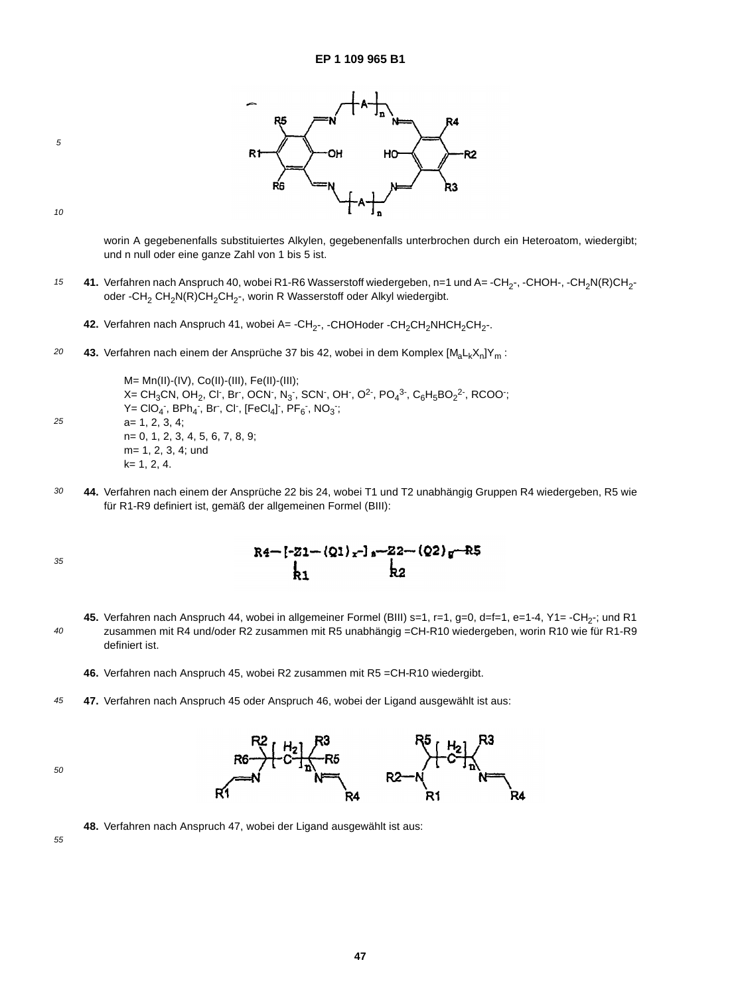

5

worin A gegebenenfalls substituiertes Alkylen, gegebenenfalls unterbrochen durch ein Heteroatom, wiedergibt; und n null oder eine ganze Zahl von 1 bis 5 ist.

- 15 41. Verfahren nach Anspruch 40, wobei R1-R6 Wasserstoff wiedergeben, n=1 und A= -CH<sub>2</sub>-, -CHOH-, -CH<sub>2</sub>N(R)CH<sub>2</sub>oder -CH<sub>2</sub> CH<sub>2</sub>N(R)CH<sub>2</sub>CH<sub>2</sub>-, worin R Wasserstoff oder Alkyl wiedergibt.
	- 42. Verfahren nach Anspruch 41, wobei A= -CH<sub>2</sub>-, -CHOHoder -CH<sub>2</sub>CH<sub>2</sub>NHCH<sub>2</sub>CH<sub>2</sub>-.
- 20 43. Verfahren nach einem der Ansprüche 37 bis 42, wobei in dem Komplex [M<sub>a</sub>L<sub>k</sub>X<sub>n</sub>]Y<sub>m</sub> :

M= Mn(II)-(IV), Co(II)-(III), Fe(II)-(III); X= CH<sub>3</sub>CN, OH<sub>2</sub>, Cl<sup>-</sup>, Br<sup>-</sup>, OCN<sup>-</sup>, N<sub>3</sub><sup>-</sup>, SCN<sup>-</sup>, OH<sup>-</sup>, O<sup>2-</sup>, PO<sub>4</sub><sup>3-</sup>, C<sub>6</sub>H<sub>5</sub>BO<sub>2</sub><sup>2-</sup>, RCOO<sup>-</sup>;  $\mathsf{Y} = \mathsf{CIO_4}$  ,  $\mathsf{BPh_4}$  ,  $\mathsf{Br}$  ,  $\mathsf{Cl}$  ,  $[\mathsf{FeCl_4}]$  ,  $\mathsf{PF_6}$  ,  $\mathsf{NO_3}$  , a= 1, 2, 3, 4; n= 0, 1, 2, 3, 4, 5, 6, 7, 8, 9; m= 1, 2, 3, 4; und k= 1, 2, 4.

30 **44.** Verfahren nach einem der Ansprüche 22 bis 24, wobei T1 und T2 unabhängig Gruppen R4 wiedergeben, R5 wie für R1-R9 definiert ist, gemäß der allgemeinen Formel (BIII):

35

25

R4-[-Z1-(Q1)<sub>x</sub>-]<sub>8</sub>-22-(Q2)<sub>g</sub>-R5<br>b,<br>k2

40 45. Verfahren nach Anspruch 44, wobei in allgemeiner Formel (BIII) s=1, r=1, g=0, d=f=1, e=1-4, Y1= -CH<sub>2</sub>-; und R1 zusammen mit R4 und/oder R2 zusammen mit R5 unabhängig =CH-R10 wiedergeben, worin R10 wie für R1-R9 definiert ist.

**46.** Verfahren nach Anspruch 45, wobei R2 zusammen mit R5 =CH-R10 wiedergibt.

45 **47.** Verfahren nach Anspruch 45 oder Anspruch 46, wobei der Ligand ausgewählt ist aus:

50

 $R<sub>2</sub>$ 

**48.** Verfahren nach Anspruch 47, wobei der Ligand ausgewählt ist aus: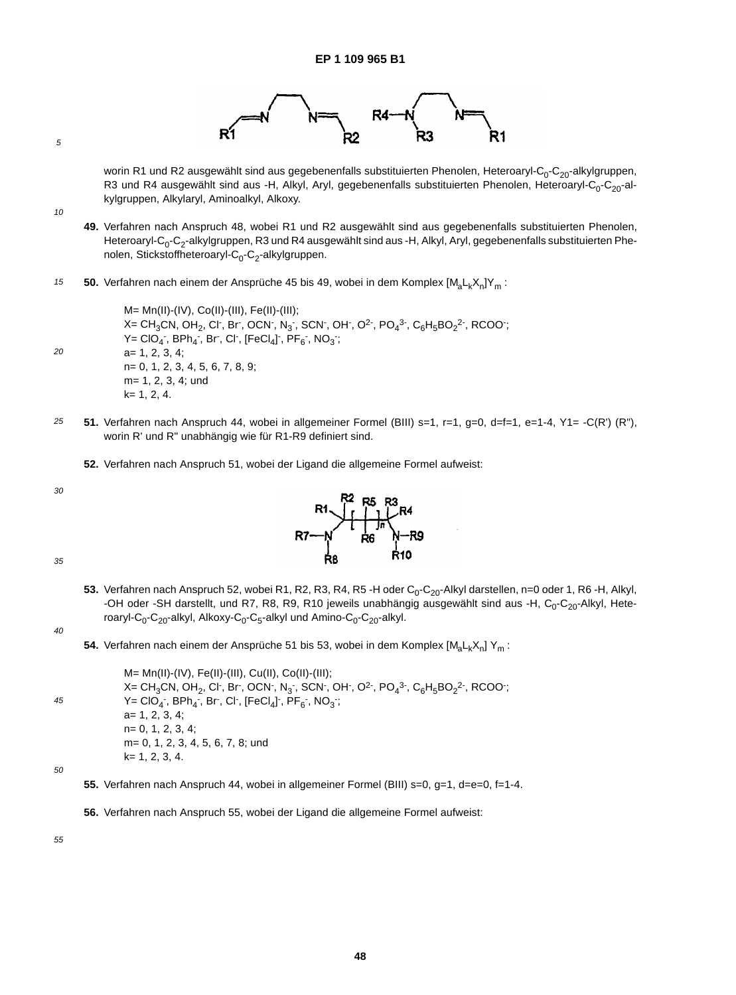

worin R1 und R2 ausgewählt sind aus gegebenenfalls substituierten Phenolen, Heteroaryl-C<sub>0</sub>-C<sub>20</sub>-alkylgruppen, R3 und R4 ausgewählt sind aus -H, Alkyl, Aryl, gegebenenfalls substituierten Phenolen, Heteroaryl-C<sub>0</sub>-C<sub>20</sub>-alkylgruppen, Alkylaryl, Aminoalkyl, Alkoxy.

10

5

- **49.** Verfahren nach Anspruch 48, wobei R1 und R2 ausgewählt sind aus gegebenenfalls substituierten Phenolen, Heteroaryl-C<sub>0</sub>-C<sub>2</sub>-alkylgruppen, R3 und R4 ausgewählt sind aus -H, Alkyl, Aryl, gegebenenfalls substituierten Phenolen, Stickstoffheteroaryl- $C_0$ - $C_2$ -alkylgruppen.
- 15 **50.** Verfahren nach einem der Ansprüche 45 bis 49, wobei in dem Komplex [M<sub>a</sub>L<sub>k</sub>X<sub>n</sub>]Y<sub>m</sub> :

M= Mn(II)-(IV), Co(II)-(III), Fe(II)-(III); X= CH $_3$ CN, OH $_2$ , Cl $\cdot$ , Br $\cdot$ , OCN $\cdot$ , N $_3$  $\cdot$ , SCN $\cdot$ , OH $\cdot$ , O<sup>2</sup> $\cdot$ , PO $_4$ 3 $\cdot$ , C $_6$ H $_5$ BO $_2$ 2 $\cdot$ , RCOO $\cdot$ ;  $Y = ClO_4$  ,  $BPh_4$  ,  $Br$  ,  $Cl$  ,  $[FeCl_4]$  ,  $PF_6$  ,  $NO_3$  ; a= 1, 2, 3, 4; n= 0, 1, 2, 3, 4, 5, 6, 7, 8, 9; m= 1, 2, 3, 4; und k= 1, 2, 4.

25 **51.** Verfahren nach Anspruch 44, wobei in allgemeiner Formel (BIII) s=1, r=1, g=0, d=f=1, e=1-4, Y1= -C(R') (R"), worin R' und R" unabhängig wie für R1-R9 definiert sind.

**52.** Verfahren nach Anspruch 51, wobei der Ligand die allgemeine Formel aufweist:

30

 $20$ 



35

53. Verfahren nach Anspruch 52, wobei R1, R2, R3, R4, R5 -H oder C<sub>0</sub>-C<sub>20</sub>-Alkyl darstellen, n=0 oder 1, R6 -H, Alkyl, -OH oder -SH darstellt, und R7, R8, R9, R10 jeweils unabhängig ausgewählt sind aus -H, C<sub>0</sub>-C<sub>20</sub>-Alkyl, Heteroaryl-C<sub>0</sub>-C<sub>20</sub>-alkyl, Alkoxy-C<sub>0</sub>-C<sub>5</sub>-alkyl und Amino-C<sub>0</sub>-C<sub>20</sub>-alkyl.

40

**54.** Verfahren nach einem der Ansprüche 51 bis 53, wobei in dem Komplex [M<sub>a</sub>L<sub>k</sub>X<sub>n</sub>] Y<sub>m</sub> :

45 M= Mn(II)-(IV), Fe(II)-(III), Cu(II), Co(II)-(III); X= CH<sub>3</sub>CN, OH<sub>2</sub>, Cl<sup>-</sup>, Br<sup>-</sup>, OCN<sup>-</sup>, N<sub>3</sub><sup>-</sup>, SCN<sup>-</sup>, OH<sup>-</sup>, O<sup>2-</sup>, PO<sub>4</sub><sup>3-</sup>, C<sub>6</sub>H<sub>5</sub>BO<sub>2</sub><sup>2-</sup>, RCOO<sup>-</sup>;  $\mathsf{Y} = \mathsf{CIO_4}$  ,  $\mathsf{BPh_4}$  ,  $\mathsf{Br}$  ,  $\mathsf{Cl}$  ,  $[\mathsf{FeCl_4}]$  ,  $\mathsf{PF_6}$  ,  $\mathsf{NO_3}$  , a= 1, 2, 3, 4; n= 0, 1, 2, 3, 4; m= 0, 1, 2, 3, 4, 5, 6, 7, 8; und k= 1, 2, 3, 4.

50

- 55. Verfahren nach Anspruch 44, wobei in allgemeiner Formel (BIII) s=0, g=1, d=e=0, f=1-4.
- **56.** Verfahren nach Anspruch 55, wobei der Ligand die allgemeine Formel aufweist: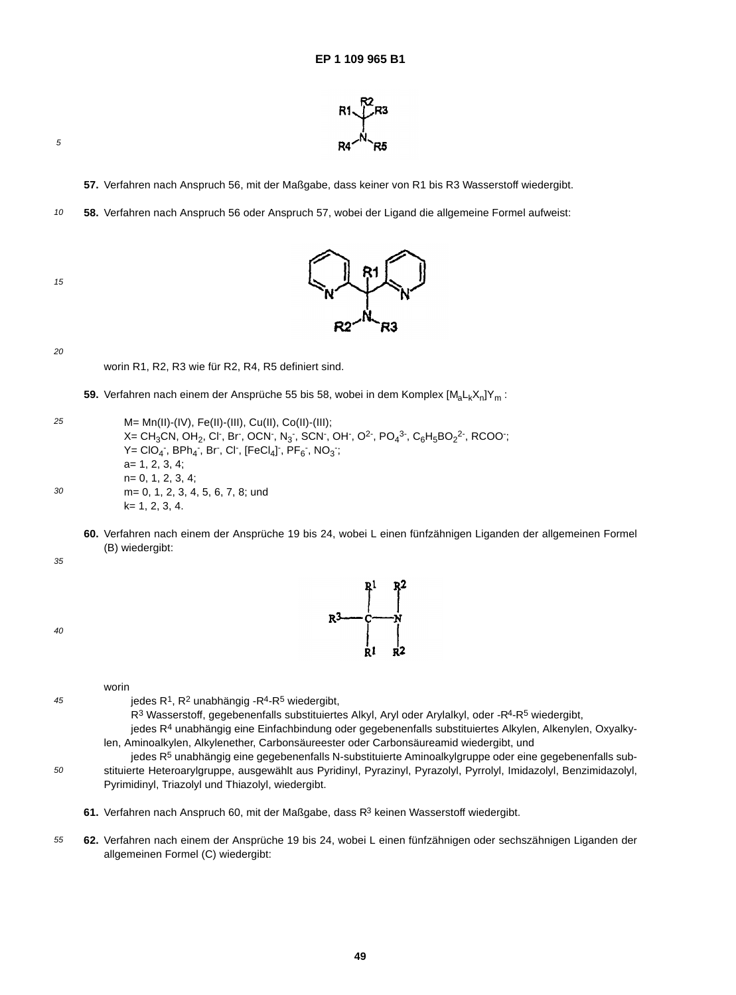

**57.** Verfahren nach Anspruch 56, mit der Maßgabe, dass keiner von R1 bis R3 Wasserstoff wiedergibt.

10 **58.** Verfahren nach Anspruch 56 oder Anspruch 57, wobei der Ligand die allgemeine Formel aufweist:





 $20$ 

worin R1, R2, R3 wie für R2, R4, R5 definiert sind.

59. Verfahren nach einem der Ansprüche 55 bis 58, wobei in dem Komplex [M<sub>a</sub>L<sub>k</sub>X<sub>n</sub>]Y<sub>m</sub> :

25 30 M= Mn(II)-(IV), Fe(II)-(III), Cu(II), Co(II)-(III); X= CH $_3$ CN, OH $_2$ , Cl , Br , OCN , N $_3$  , SCN , OH , O<sup>2</sup> , PO $_4$ <sup>3 ,</sup> C $_6$ H $_5$ BO $_2$ <sup>2</sup> , RCOO ;  $\mathsf{Y} = \mathsf{CIO}_{4}$  ,  $\mathsf{BPh}_{4}$  ,  $\mathsf{Br}$  ,  $\mathsf{Cl}$  ,  $[\mathsf{FeCl}_{4}]$  ,  $\mathsf{PF}_{6}$  ,  $\mathsf{NO}_{3}$  ; a= 1, 2, 3, 4; n= 0, 1, 2, 3, 4; m= 0, 1, 2, 3, 4, 5, 6, 7, 8; und k= 1, 2, 3, 4.

**60.** Verfahren nach einem der Ansprüche 19 bis 24, wobei L einen fünfzähnigen Liganden der allgemeinen Formel (B) wiedergibt:

35

40

45



worin

jedes  $R^1$ ,  $R^2$  unabhängig - $R^4$ - $R^5$  wiedergibt,

R<sup>3</sup> Wasserstoff, gegebenenfalls substituiertes Alkyl, Aryl oder Arylalkyl, oder -R<sup>4</sup>-R<sup>5</sup> wiedergibt,

jedes R4 unabhängig eine Einfachbindung oder gegebenenfalls substituiertes Alkylen, Alkenylen, Oxyalkylen, Aminoalkylen, Alkylenether, Carbonsäureester oder Carbonsäureamid wiedergibt, und

- 50 jedes R<sup>5</sup> unabhängig eine gegebenenfalls N-substituierte Aminoalkylgruppe oder eine gegebenenfalls substituierte Heteroarylgruppe, ausgewählt aus Pyridinyl, Pyrazinyl, Pyrazolyl, Pyrrolyl, Imidazolyl, Benzimidazolyl, Pyrimidinyl, Triazolyl und Thiazolyl, wiedergibt.
	- **61.** Verfahren nach Anspruch 60, mit der Maßgabe, dass R3 keinen Wasserstoff wiedergibt.
- 55 **62.** Verfahren nach einem der Ansprüche 19 bis 24, wobei L einen fünfzähnigen oder sechszähnigen Liganden der allgemeinen Formel (C) wiedergibt: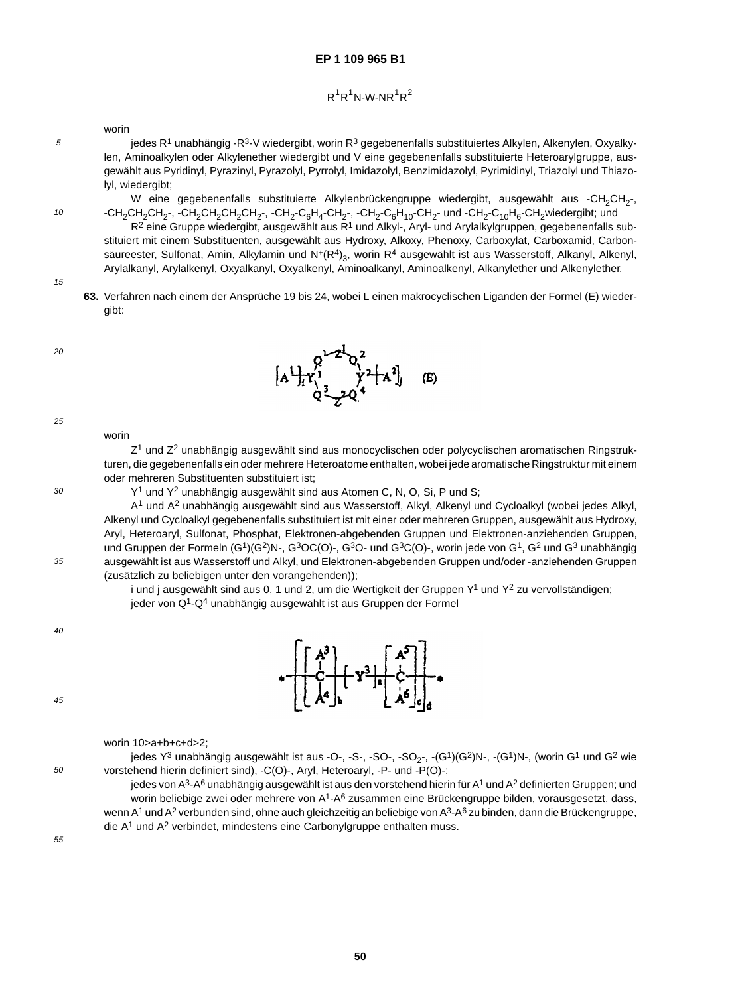## $R^1R^1N$ -W-NR $^1R^2$

worin

jedes R<sup>1</sup> unabhängig -R<sup>3</sup>-V wiedergibt, worin R<sup>3</sup> gegebenenfalls substituiertes Alkylen, Alkenylen, Oxyalkylen, Aminoalkylen oder Alkylenether wiedergibt und V eine gegebenenfalls substituierte Heteroarylgruppe, ausgewählt aus Pyridinyl, Pyrazinyl, Pyrazolyl, Pyrrolyl, Imidazolyl, Benzimidazolyl, Pyrimidinyl, Triazolyl und Thiazolyl, wiedergibt;

W eine gegebenenfalls substituierte Alkylenbrückengruppe wiedergibt, ausgewählt aus -CH<sub>2</sub>CH<sub>2</sub>-, -CH<sub>2</sub>CH<sub>2</sub>CH<sub>2</sub>CH<sub>2</sub>CH<sub>2</sub>CH<sub>2</sub>CH<sub>2</sub>-, -CH<sub>2</sub>-C<sub>6</sub>H<sub>4</sub>-CH<sub>2</sub>-, -CH<sub>2</sub>-C<sub>6</sub>H<sub>10</sub>-CH<sub>2</sub>- und -CH<sub>2</sub>-C<sub>10</sub>H<sub>6</sub>-CH<sub>2</sub>wiedergibt; und

R<sup>2</sup> eine Gruppe wiedergibt, ausgewählt aus R<sup>1</sup> und Alkyl-, Aryl- und Arylalkylgruppen, gegebenenfalls substituiert mit einem Substituenten, ausgewählt aus Hydroxy, Alkoxy, Phenoxy, Carboxylat, Carboxamid, Carbonsäureester, Sulfonat, Amin, Alkylamin und N<sup>+</sup>(R<sup>4</sup>)<sub>3</sub>, worin R<sup>4</sup> ausgewählt ist aus Wasserstoff, Alkanyl, Alkenyl, Arylalkanyl, Arylalkenyl, Oxyalkanyl, Oxyalkenyl, Aminoalkanyl, Aminoalkenyl, Alkanylether und Alkenylether.

15

5

10

**63.** Verfahren nach einem der Ansprüche 19 bis 24, wobei L einen makrocyclischen Liganden der Formel (E) wiedergibt:

 $20$ 





25

worin

30

35

Z<sup>1</sup> und Z<sup>2</sup> unabhängig ausgewählt sind aus monocyclischen oder polycyclischen aromatischen Ringstrukturen, die gegebenenfalls ein oder mehrere Heteroatome enthalten, wobei jede aromatische Ringstruktur mit einem oder mehreren Substituenten substituiert ist;

Y<sup>1</sup> und Y<sup>2</sup> unabhängig ausgewählt sind aus Atomen C, N, O, Si, P und S;

A1 und A2 unabhängig ausgewählt sind aus Wasserstoff, Alkyl, Alkenyl und Cycloalkyl (wobei jedes Alkyl, Alkenyl und Cycloalkyl gegebenenfalls substituiert ist mit einer oder mehreren Gruppen, ausgewählt aus Hydroxy, Aryl, Heteroaryl, Sulfonat, Phosphat, Elektronen-abgebenden Gruppen und Elektronen-anziehenden Gruppen, und Gruppen der Formeln (G<sup>1</sup>)(G<sup>2</sup>)N-, G<sup>3</sup>OC(O)-, G<sup>3</sup>O- und G<sup>3</sup>C(O)-, worin jede von G<sup>1</sup>, G<sup>2</sup> und G<sup>3</sup> unabhängig ausgewählt ist aus Wasserstoff und Alkyl, und Elektronen-abgebenden Gruppen und/oder -anziehenden Gruppen (zusätzlich zu beliebigen unter den vorangehenden));

i und j ausgewählt sind aus 0, 1 und 2, um die Wertigkeit der Gruppen  $Y^1$  und  $Y^2$  zu vervollständigen; jeder von Q1-Q4 unabhängig ausgewählt ist aus Gruppen der Formel

40



worin 10>a+b+c+d>2;

jedes  $Y^3$  unabhängig ausgewählt ist aus -O-, -S-, -SO-, -SO<sub>2</sub>-, -(G<sup>1</sup>)(G<sup>2</sup>)N-, -(G<sup>1</sup>)N-, (worin G<sup>1</sup> und G<sup>2</sup> wie vorstehend hierin definiert sind), -C(O)-, Aryl, Heteroaryl, -P- und -P(O)-;

jedes von A<sup>3</sup>-A<sup>6</sup> unabhängig ausgewählt ist aus den vorstehend hierin für A<sup>1</sup> und A<sup>2</sup> definierten Gruppen; und worin beliebige zwei oder mehrere von A<sup>1</sup>-A<sup>6</sup> zusammen eine Brückengruppe bilden, vorausgesetzt, dass, wenn A<sup>1</sup> und A<sup>2</sup> verbunden sind, ohne auch gleichzeitig an beliebige von A<sup>3</sup>-A<sup>6</sup> zu binden, dann die Brückengruppe, die  $A<sup>1</sup>$  und  $A<sup>2</sup>$  verbindet, mindestens eine Carbonylgruppe enthalten muss.

55

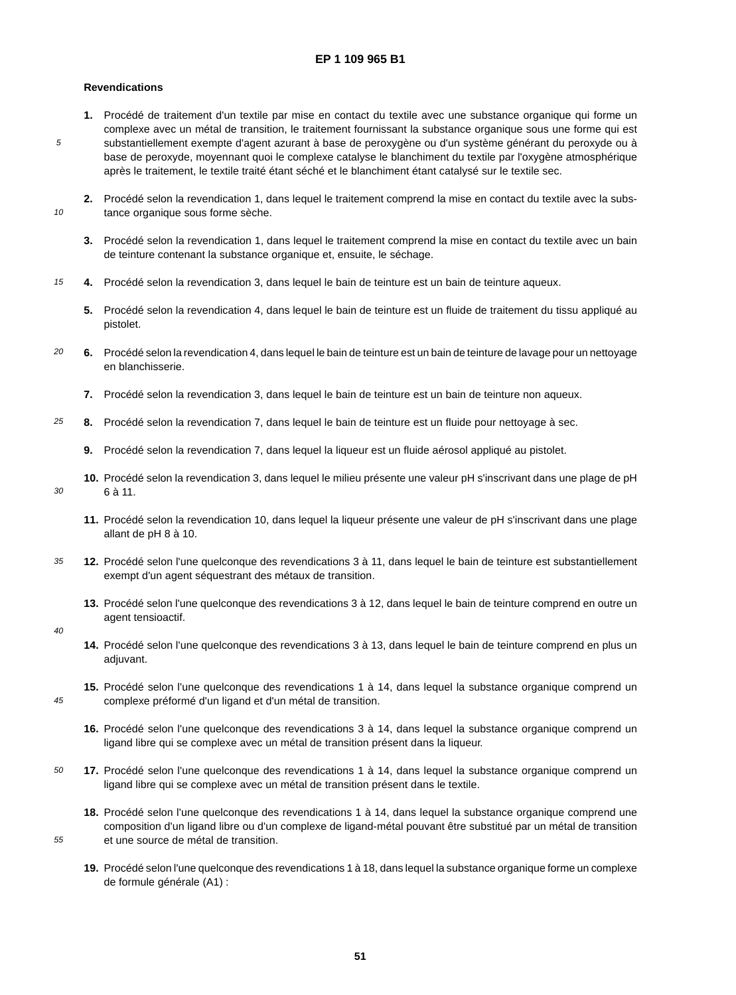## **Revendications**

5

10

- **1.** Procédé de traitement d'un textile par mise en contact du textile avec une substance organique qui forme un complexe avec un métal de transition, le traitement fournissant la substance organique sous une forme qui est substantiellement exempte d'agent azurant à base de peroxygène ou d'un système générant du peroxyde ou à base de peroxyde, moyennant quoi le complexe catalyse le blanchiment du textile par l'oxygène atmosphérique après le traitement, le textile traité étant séché et le blanchiment étant catalysé sur le textile sec.
- **2.** Procédé selon la revendication 1, dans lequel le traitement comprend la mise en contact du textile avec la substance organique sous forme sèche.
	- **3.** Procédé selon la revendication 1, dans lequel le traitement comprend la mise en contact du textile avec un bain de teinture contenant la substance organique et, ensuite, le séchage.
- 15 **4.** Procédé selon la revendication 3, dans lequel le bain de teinture est un bain de teinture aqueux.
	- **5.** Procédé selon la revendication 4, dans lequel le bain de teinture est un fluide de traitement du tissu appliqué au pistolet.
- $20$ **6.** Procédé selon la revendication 4, dans lequel le bain de teinture est un bain de teinture de lavage pour un nettoyage en blanchisserie.
	- **7.** Procédé selon la revendication 3, dans lequel le bain de teinture est un bain de teinture non aqueux.
- 25 **8.** Procédé selon la revendication 7, dans lequel le bain de teinture est un fluide pour nettoyage à sec.
	- **9.** Procédé selon la revendication 7, dans lequel la liqueur est un fluide aérosol appliqué au pistolet.
- 30 **10.** Procédé selon la revendication 3, dans lequel le milieu présente une valeur pH s'inscrivant dans une plage de pH 6 à 11.
	- **11.** Procédé selon la revendication 10, dans lequel la liqueur présente une valeur de pH s'inscrivant dans une plage allant de pH 8 à 10.
- 35 **12.** Procédé selon l'une quelconque des revendications 3 à 11, dans lequel le bain de teinture est substantiellement exempt d'un agent séquestrant des métaux de transition.
	- **13.** Procédé selon l'une quelconque des revendications 3 à 12, dans lequel le bain de teinture comprend en outre un agent tensioactif.

 $40$ 

45

- **14.** Procédé selon l'une quelconque des revendications 3 à 13, dans lequel le bain de teinture comprend en plus un adjuvant.
- **15.** Procédé selon l'une quelconque des revendications 1 à 14, dans lequel la substance organique comprend un complexe préformé d'un ligand et d'un métal de transition.
	- **16.** Procédé selon l'une quelconque des revendications 3 à 14, dans lequel la substance organique comprend un ligand libre qui se complexe avec un métal de transition présent dans la liqueur.
- 50 **17.** Procédé selon l'une quelconque des revendications 1 à 14, dans lequel la substance organique comprend un ligand libre qui se complexe avec un métal de transition présent dans le textile.
	- **18.** Procédé selon l'une quelconque des revendications 1 à 14, dans lequel la substance organique comprend une composition d'un ligand libre ou d'un complexe de ligand-métal pouvant être substitué par un métal de transition et une source de métal de transition.
	- **19.** Procédé selon l'une quelconque des revendications 1 à 18, dans lequel la substance organique forme un complexe de formule générale (A1) :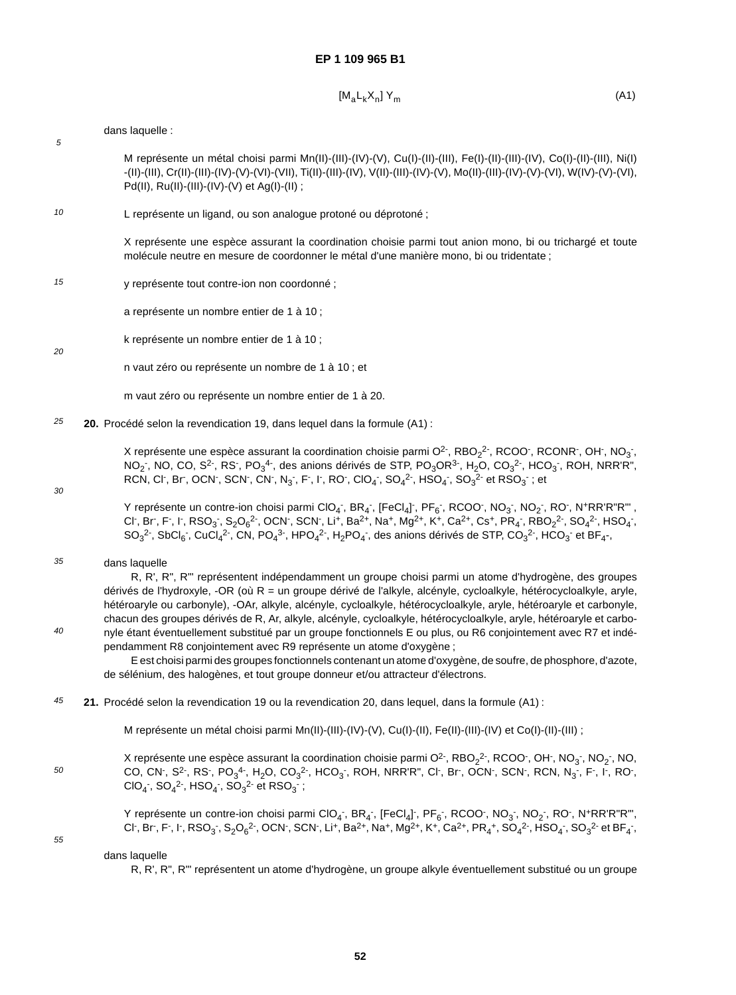$$
[M_a L_k X_n] Y_m \tag{A1}
$$

### dans laquelle :

5

M représente un métal choisi parmi Mn(II)-(III)-(IV)-(V), Cu(I)-(II)-(III), Fe(I)-(II)-(III)-(IV), Co(I)-(II)-(III), Ni(I) -(II)-(III), Cr(II)-(III)-(IV)-(V)-(VI)-(VII), Ti(II)-(III)-(IV), V(II)-(III)-(IV)-(V), Mo(II)-(III)-(IV)-(V)-(VI), W(IV)-(V)-(VI), Pd(II), Ru(II)-(III)-(IV)-(V) et Ag(I)-(II) ;

10 L représente un ligand, ou son analogue protoné ou déprotoné ;

> X représente une espèce assurant la coordination choisie parmi tout anion mono, bi ou trichargé et toute molécule neutre en mesure de coordonner le métal d'une manière mono, bi ou tridentate ;

15 y représente tout contre-ion non coordonné ;

a représente un nombre entier de 1 à 10 ;

k représente un nombre entier de 1 à 10 ;

n vaut zéro ou représente un nombre de 1 à 10 ; et

m vaut zéro ou représente un nombre entier de 1 à 20.

25 **20.** Procédé selon la revendication 19, dans lequel dans la formule (A1) :

> X représente une espèce assurant la coordination choisie parmi O<sup>2-</sup>, RBO<sub>2</sub><sup>2-</sup>, RCOO<sup>-</sup>, RCONR<sup>-</sup>, OH<sup>-</sup>, NO<sub>3</sub><sup>-</sup>, NO<sub>2</sub> , NO, CO, S<sup>2-</sup>, RS<sup>-</sup>, PO<sub>3</sub><sup>4-</sup>, des anions dérivés de STP, PO<sub>3</sub>OR<sup>3-</sup>, H<sub>2</sub>O, CO<sub>3</sub><sup>2-</sup>, HCO<sub>3</sub><sup>-</sup>, ROH, NRR'R", RCN, Cl $\cdot$ , Br $\cdot$ , OCN $\cdot$ , SCN $\cdot$ , CN $\cdot$ , N $_3$ , F $\cdot$ , I $\cdot$ , RO $\cdot$ , ClO $_4$ , SO $_4$ <sup>2</sup>, HSO $_4$ , SO $_3$ <sup>2</sup> et RSO $_3$  ; et

30

 $40$ 

 $20$ 

Y représente un contre-ion choisi parmi ClO<sub>4</sub>,BR<sub>4</sub>,[FeCl<sub>4</sub>],PF<sub>6</sub>,RCOO,NO<sub>3</sub>,NO<sub>2</sub>,RO,N+RR'R"R", Cl , Br , F , I , RSO<sub>3</sub> , S<sub>2</sub>O<sub>6</sub><sup>2</sup> , OCN , SCN , Li , Ba<sup>2+</sup>, Na , Mg<sup>2+</sup>, K , Ca<sup>2+</sup>, Cs , PR<sub>4</sub> , RBO<sub>2</sub><sup>2</sup> , SO<sub>4</sub><sup>2</sup> , HSO<sub>4</sub> , SO<sub>3</sub><sup>2-</sup>, SbCl<sub>6</sub>-, CuCl<sub>4</sub><sup>2-</sup>, CN, PO<sub>4</sub><sup>3-</sup>, HPO<sub>4</sub><sup>2-</sup>, H<sub>2</sub>PO<sub>4</sub>-, des anions dérivés de STP, CO<sub>3</sub><sup>2-</sup>, HCO<sub>3</sub>- et BF<sub>4</sub>-,

### 35 dans laquelle

R, R', R", R"' représentent indépendamment un groupe choisi parmi un atome d'hydrogène, des groupes dérivés de l'hydroxyle, -OR (où R = un groupe dérivé de l'alkyle, alcényle, cycloalkyle, hétérocycloalkyle, aryle, hétéroaryle ou carbonyle), -OAr, alkyle, alcényle, cycloalkyle, hétérocycloalkyle, aryle, hétéroaryle et carbonyle, chacun des groupes dérivés de R, Ar, alkyle, alcényle, cycloalkyle, hétérocycloalkyle, aryle, hétéroaryle et carbonyle étant éventuellement substitué par un groupe fonctionnels E ou plus, ou R6 conjointement avec R7 et indépendamment R8 conjointement avec R9 représente un atome d'oxygène ;

E est choisi parmi des groupes fonctionnels contenant un atome d'oxygène, de soufre, de phosphore, d'azote, de sélénium, des halogènes, et tout groupe donneur et/ou attracteur d'électrons.

45 **21.** Procédé selon la revendication 19 ou la revendication 20, dans lequel, dans la formule (A1) :

M représente un métal choisi parmi Mn(II)-(III)-(IV)-(V), Cu(I)-(II), Fe(II)-(III)-(IV) et Co(I)-(II)-(III) ;

X représente une espèce assurant la coordination choisie parmi O<sup>2-</sup>, RBO<sub>2</sub><sup>2-</sup>, RCOO<sup>-</sup>, OH<sup>-</sup>, NO<sub>3</sub><sup>-</sup>, NO<sub>2</sub><sup>-</sup>, NO, CO, CN-, S<sup>2-</sup>, RS-, PO $_3^4$ -, H<sub>2</sub>O, CO $_3^2$ -, HCO $_3$ -, ROH, NRR'R", CI-, Br-, OCN-, SCN-, RCN, N $_3$ , F-, I-, RO-, ClO<sub>4</sub><sup>-</sup>, SO<sub>4</sub><sup>2</sup>-, HSO<sub>4</sub><sup>-</sup>, SO<sub>3</sub><sup>2-</sup> et RSO<sub>3</sub><sup>-</sup>;

55

50

Y représente un contre-ion choisi parmi ClO<sub>4</sub><sup>-</sup>, BR<sub>4</sub><sup>-</sup>, [FeCl<sub>4</sub>]<sup>-</sup>, PF<sub>6</sub><sup>-</sup>, RCOO<sup>-</sup>, NO<sub>3</sub><sup>-</sup>, NO<sub>2</sub><sup>-</sup>, RO<sup>-</sup>, N<sup>+</sup>RR'R"R"', Cl , Br , F , I , RSO<sub>3</sub> , S<sub>2</sub>O<sub>6</sub><sup>2</sup> , OCN , SCN , Li+, Ba<sup>2+</sup>, Na+, Mg<sup>2+</sup>, K+, Ca<sup>2+</sup>, PR<sub>4</sub>+, SO<sub>4</sub><sup>2</sup> , HSO<sub>4</sub> , SO<sub>3</sub><sup>2</sup> et BF<sub>4</sub> ,

### dans laquelle

R, R', R", R"' représentent un atome d'hydrogène, un groupe alkyle éventuellement substitué ou un groupe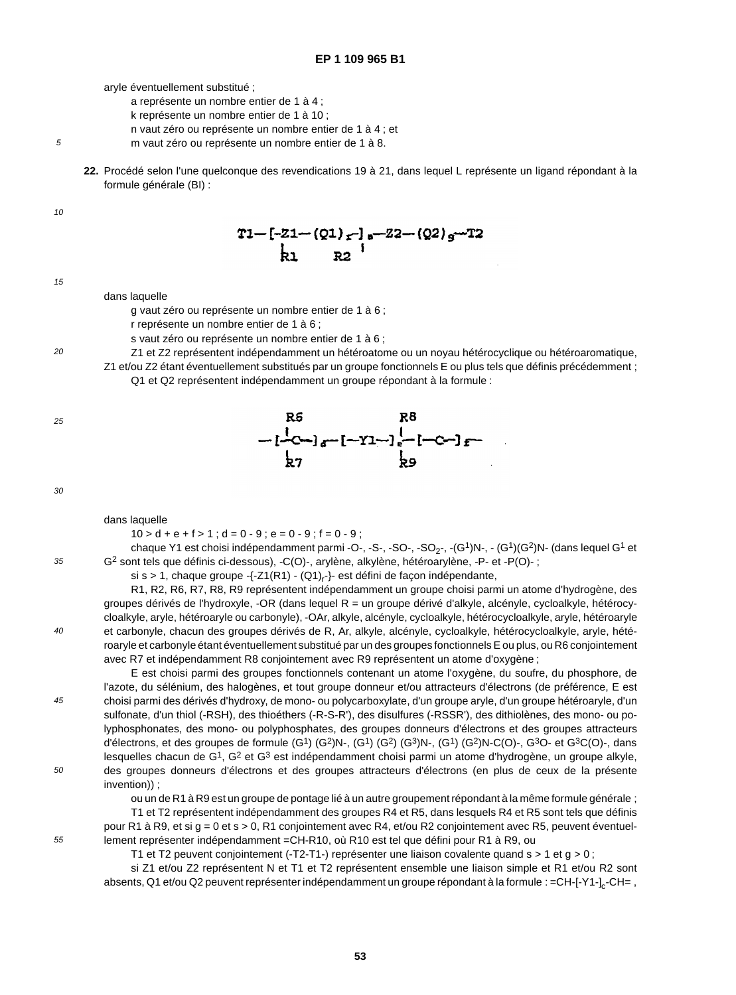aryle éventuellement substitué ;

- a représente un nombre entier de 1 à 4 ;
- k représente un nombre entier de 1 à 10 ;
- n vaut zéro ou représente un nombre entier de 1 à 4 ; et
- m vaut zéro ou représente un nombre entier de 1 à 8.
- **22.** Procédé selon l'une quelconque des revendications 19 à 21, dans lequel L représente un ligand répondant à la formule générale (BI) :

10

5



15

 $20$ 

dans laquelle

g vaut zéro ou représente un nombre entier de 1 à 6 ;

- r représente un nombre entier de 1 à 6 ;
- s vaut zéro ou représente un nombre entier de 1 à 6 ;
- Z1 et Z2 représentent indépendamment un hétéroatome ou un noyau hétérocyclique ou hétéroaromatique, Z1 et/ou Z2 étant éventuellement substitués par un groupe fonctionnels E ou plus tels que définis précédemment ; Q1 et Q2 représentent indépendamment un groupe répondant à la formule :

 $R^5$   $R^8$ <br>-[-C-]<sub>a</sub>-[-Y1-]<sub>e</sub>-[-C-]<sub>f</sub>-<br>b<sub>7</sub> b<sub>9</sub> 25

30

35

 $40$ 

45

50

### dans laquelle

 $10 > d + e + f > 1$ ;  $d = 0 - 9$ ;  $e = 0 - 9$ ;  $f = 0 - 9$ ;

chaque Y1 est choisi indépendamment parmi -O-, -S-, -SO-, -SO<sub>2</sub>-, -(G<sup>1</sup>)N-, - (G<sup>1</sup>)(G<sup>2</sup>)N- (dans lequel G<sup>1</sup> et G2 sont tels que définis ci-dessous), -C(O)-, arylène, alkylène, hétéroarylène, -P- et -P(O)- ;

si s > 1, chaque groupe -{-Z1(R1) - (Q1)<sub>r</sub>-}- est défini de façon indépendante,

R1, R2, R6, R7, R8, R9 représentent indépendamment un groupe choisi parmi un atome d'hydrogène, des groupes dérivés de l'hydroxyle, -OR (dans lequel  $R =$  un groupe dérivé d'alkyle, alcényle, cycloalkyle, hétérocycloalkyle, aryle, hétéroaryle ou carbonyle), -OAr, alkyle, alcényle, cycloalkyle, hétérocycloalkyle, aryle, hétéroaryle et carbonyle, chacun des groupes dérivés de R, Ar, alkyle, alcényle, cycloalkyle, hétérocycloalkyle, aryle, hétéroaryle et carbonyle étant éventuellement substitué par un des groupes fonctionnels E ou plus, ou R6 conjointement avec R7 et indépendamment R8 conjointement avec R9 représentent un atome d'oxygène ;

E est choisi parmi des groupes fonctionnels contenant un atome l'oxygène, du soufre, du phosphore, de l'azote, du sélénium, des halogènes, et tout groupe donneur et/ou attracteurs d'électrons (de préférence, E est choisi parmi des dérivés d'hydroxy, de mono- ou polycarboxylate, d'un groupe aryle, d'un groupe hétéroaryle, d'un sulfonate, d'un thiol (-RSH), des thioéthers (-R-S-R'), des disulfures (-RSSR'), des dithiolènes, des mono- ou polyphosphonates, des mono- ou polyphosphates, des groupes donneurs d'électrons et des groupes attracteurs d'électrons, et des groupes de formule (G1) (G2)N-, (G1) (G2) (G3)N-, (G1) (G2)N-C(O)-, G3O- et G3C(O)-, dans lesquelles chacun de  $G^1$ ,  $G^2$  et  $G^3$  est indépendamment choisi parmi un atome d'hydrogène, un groupe alkyle, des groupes donneurs d'électrons et des groupes attracteurs d'électrons (en plus de ceux de la présente invention)) ;

ou un de R1 à R9 est un groupe de pontage lié à un autre groupement répondant à la même formule générale ;

T1 et T2 représentent indépendamment des groupes R4 et R5, dans lesquels R4 et R5 sont tels que définis pour R1 à R9, et si g = 0 et s > 0, R1 conjointement avec R4, et/ou R2 conjointement avec R5, peuvent éventuellement représenter indépendamment =CH-R10, où R10 est tel que défini pour R1 à R9, ou

T1 et T2 peuvent conjointement (-T2-T1-) représenter une liaison covalente quand s > 1 et g > 0 ;

si Z1 et/ou Z2 représentent N et T1 et T2 représentent ensemble une liaison simple et R1 et/ou R2 sont absents, Q1 et/ou Q2 peuvent représenter indépendamment un groupe répondant à la formule : =CH-[-Y1-]<sub>c</sub>-CH=,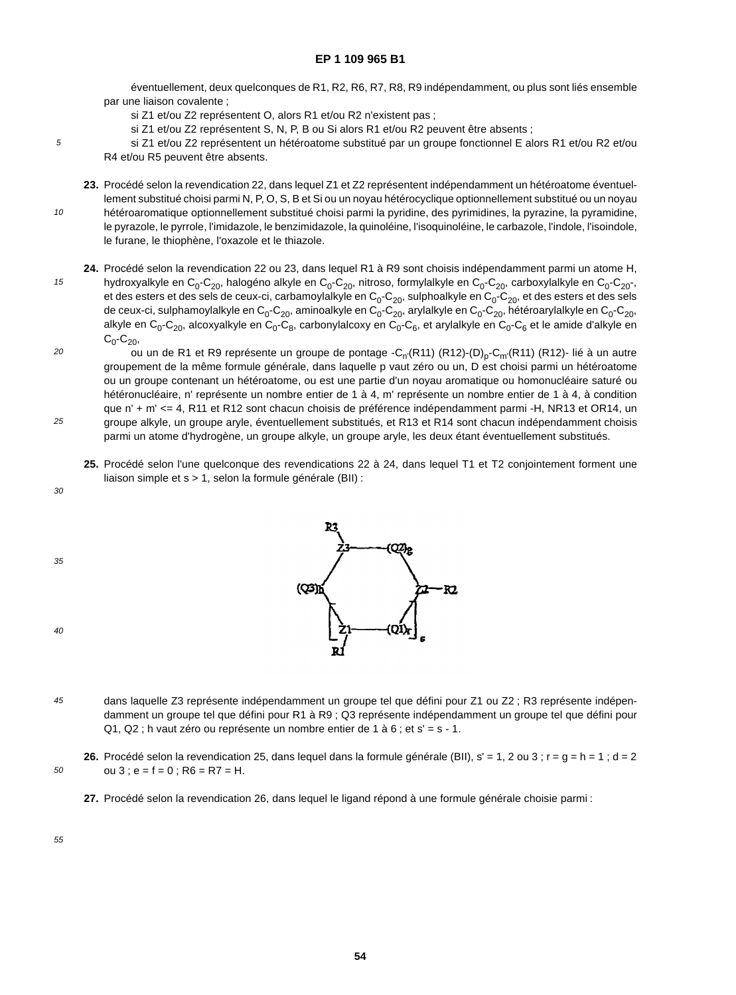éventuellement, deux quelconques de R1, R2, R6, R7, R8, R9 indépendamment, ou plus sont liés ensemble par une liaison covalente ;

- si Z1 et/ou Z2 représentent O, alors R1 et/ou R2 n'existent pas ;
- si Z1 et/ou Z2 représentent S, N, P, B ou Si alors R1 et/ou R2 peuvent être absents ;

si Z1 et/ou Z2 représentent un hétéroatome substitué par un groupe fonctionnel E alors R1 et/ou R2 et/ou R4 et/ou R5 peuvent être absents.

10 **23.** Procédé selon la revendication 22, dans lequel Z1 et Z2 représentent indépendamment un hétéroatome éventuellement substitué choisi parmi N, P, O, S, B et Si ou un noyau hétérocyclique optionnellement substitué ou un noyau hétéroaromatique optionnellement substitué choisi parmi la pyridine, des pyrimidines, la pyrazine, la pyramidine, le pyrazole, le pyrrole, l'imidazole, le benzimidazole, la quinoléine, l'isoquinoléine, le carbazole, l'indole, l'isoindole, le furane, le thiophène, l'oxazole et le thiazole.

15 **24.** Procédé selon la revendication 22 ou 23, dans lequel R1 à R9 sont choisis indépendamment parmi un atome H, hydroxyalkyle en C<sub>0</sub>-C<sub>20</sub>, halogéno alkyle en C<sub>0</sub>-C<sub>20</sub>, nitroso, formylalkyle en C<sub>0</sub>-C<sub>20</sub>, carboxylalkyle en C<sub>0</sub>-C<sub>20</sub>-, et des esters et des sels de ceux-ci, carbamoylalkyle en  $C_0$ - $C_{20}$ , sulphoalkyle en  $C_0$ - $C_{20}$ , et des esters et des sels de ceux-ci, sulphamoylalkyle en  $C_0$ - $C_{20}$ , aminoalkyle en  $C_0$ - $C_{20}$ , arylalkyle en  $C_0$ - $C_{20}$ , hétéroarylalkyle en  $C_0$ - $C_{20}$ , alkyle en  $C_0$ -C<sub>20</sub>, alcoxyalkyle en C<sub>0</sub>-C<sub>8</sub>, carbonylalcoxy en C<sub>0</sub>-C<sub>6</sub>, et arylalkyle en C<sub>0</sub>-C<sub>6</sub> et le amide d'alkyle en  $C_0$ - $C_{20}$ ,

ou un de R1 et R9 représente un groupe de pontage  $-C_n(R11)$   $(R12)-(D)_n-C_m(R11)$   $(R12)-$  lié à un autre groupement de la même formule générale, dans laquelle p vaut zéro ou un, D est choisi parmi un hétéroatome ou un groupe contenant un hétéroatome, ou est une partie d'un noyau aromatique ou homonucléaire saturé ou hétéronucléaire, n' représente un nombre entier de 1 à 4, m' représente un nombre entier de 1 à 4, à condition que n' + m' <= 4, R11 et R12 sont chacun choisis de préférence indépendamment parmi -H, NR13 et OR14, un groupe alkyle, un groupe aryle, éventuellement substitués, et R13 et R14 sont chacun indépendamment choisis parmi un atome d'hydrogène, un groupe alkyle, un groupe aryle, les deux étant éventuellement substitués.

- **25.** Procédé selon l'une quelconque des revendications 22 à 24, dans lequel T1 et T2 conjointement forment une liaison simple et s > 1, selon la formule générale (BII) :
- 30

 $20$ 

25

5

- 
- 35



- 45 dans laquelle Z3 représente indépendamment un groupe tel que défini pour Z1 ou Z2 ; R3 représente indépendamment un groupe tel que défini pour R1 à R9 ; Q3 représente indépendamment un groupe tel que défini pour Q1, Q2 ; h vaut zéro ou représente un nombre entier de 1 à 6 ; et s' = s - 1.
- 50 **26.** Procédé selon la revendication 25, dans lequel dans la formule générale (BII), s' = 1, 2 ou 3 ; r =g=h=1;d=2 ou  $3 : e = f = 0 : R6 = R7 = H$ .
	- **27.** Procédé selon la revendication 26, dans lequel le ligand répond à une formule générale choisie parmi :

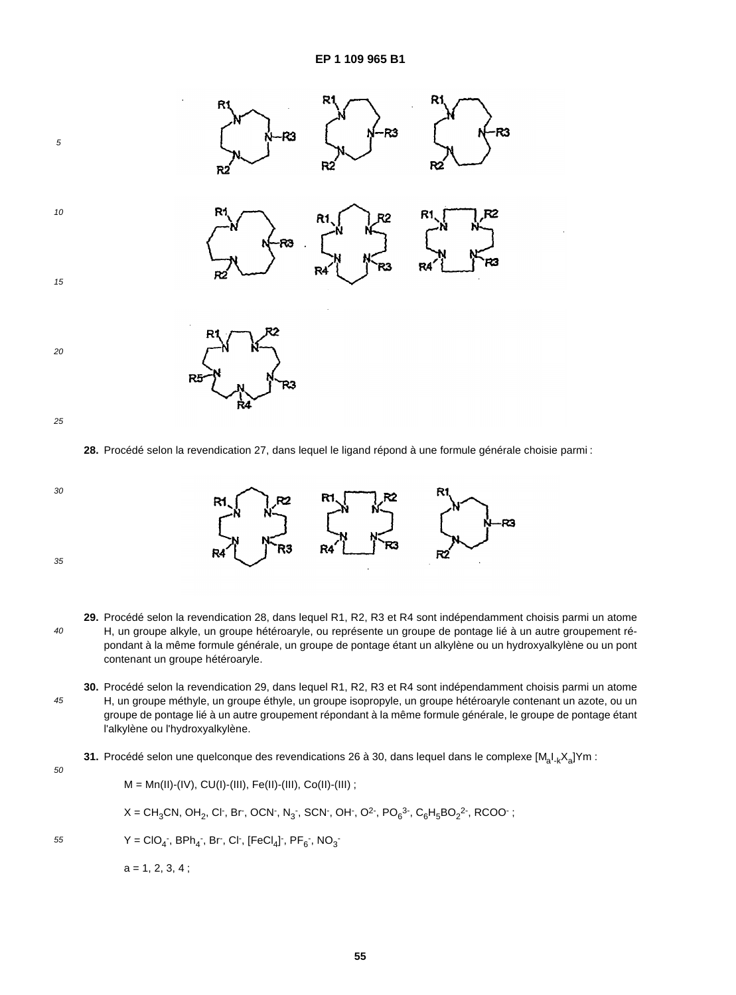

**28.** Procédé selon la revendication 27, dans lequel le ligand répond à une formule générale choisie parmi :



- 40 **29.** Procédé selon la revendication 28, dans lequel R1, R2, R3 et R4 sont indépendamment choisis parmi un atome H, un groupe alkyle, un groupe hétéroaryle, ou représente un groupe de pontage lié à un autre groupement répondant à la même formule générale, un groupe de pontage étant un alkylène ou un hydroxyalkylène ou un pont contenant un groupe hétéroaryle.
- 45 **30.** Procédé selon la revendication 29, dans lequel R1, R2, R3 et R4 sont indépendamment choisis parmi un atome H, un groupe méthyle, un groupe éthyle, un groupe isopropyle, un groupe hétéroaryle contenant un azote, ou un groupe de pontage lié à un autre groupement répondant à la même formule générale, le groupe de pontage étant l'alkylène ou l'hydroxyalkylène.
	- 31. Procédé selon une quelconque des revendications 26 à 30, dans lequel dans le complexe [M<sub>a</sub>I<sub>-k</sub>X<sub>a</sub>]Ym :

50

 $M = Mn(II)-(IV), CU(1)-(III), Fe(II)-(III), Co(II)-(III)$ ; X = CH<sub>3</sub>CN, OH<sub>2</sub>, Cl<sup>-</sup>, Br<sup>-</sup>, OCN<sup>-</sup>, N<sub>3</sub><sup>-</sup>, SCN<sup>-</sup>, OH<sup>-</sup>, O<sup>2-</sup>, PO<sub>6</sub><sup>3-</sup>, C<sub>6</sub>H<sub>5</sub>BO<sub>2</sub><sup>2-</sup>, RCOO<sup>-</sup>;  $Y = ClO_4$ , BPh<sub>4</sub>, Br, Cl, [FeCl<sub>4</sub>], PF<sub>6</sub>, NO<sub>3</sub>  $a = 1, 2, 3, 4$  ;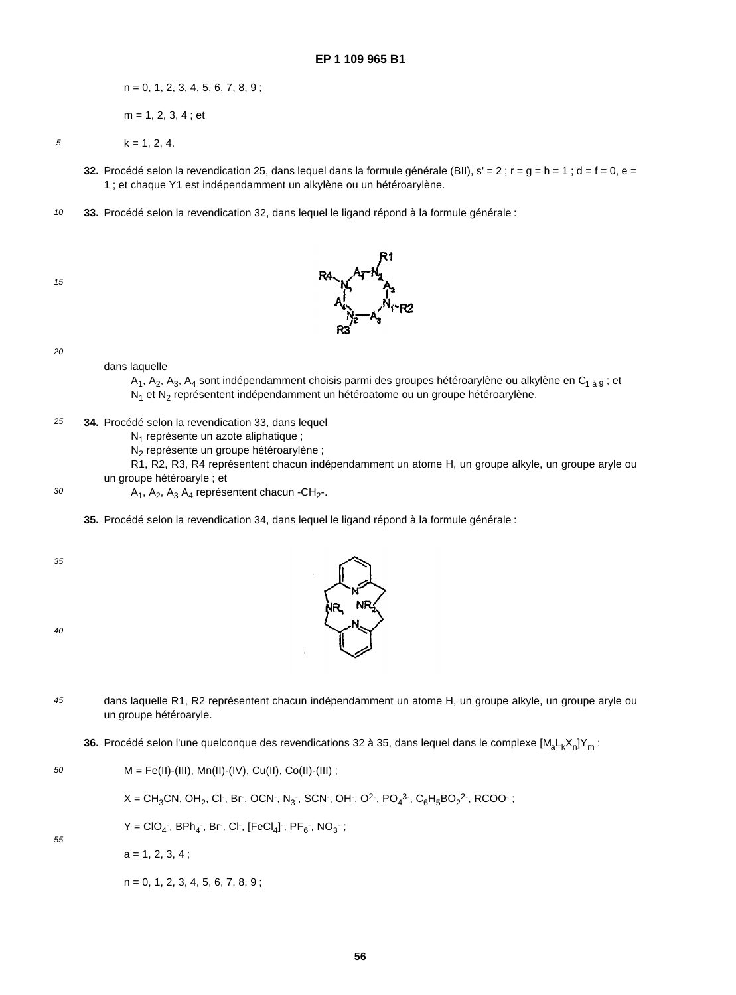$n = 0, 1, 2, 3, 4, 5, 6, 7, 8, 9;$ 

m = 1, 2, 3, 4 ; et

5

 $k = 1, 2, 4.$ 

- **32.** Procédé selon la revendication 25, dans lequel dans la formule générale (BII),  $s' = 2$ ;  $r = g = h = 1$ ;  $d = f = 0$ ,  $e =$ 1 ; et chaque Y1 est indépendamment un alkylène ou un hétéroarylène.
- 10 **33.** Procédé selon la revendication 32, dans lequel le ligand répond à la formule générale :





20

## dans laquelle

A<sub>1</sub>, A<sub>2</sub>, A<sub>3</sub>, A<sub>4</sub> sont indépendamment choisis parmi des groupes hétéroarylène ou alkylène en C<sub>1 à 9</sub>; et N<sub>1</sub> et N<sub>2</sub> représentent indépendamment un hétéroatome ou un groupe hétéroarylène.

25 **34.** Procédé selon la revendication 33, dans lequel

N<sub>1</sub> représente un azote aliphatique ;

N<sub>2</sub> représente un groupe hétéroarylène ;

R1, R2, R3, R4 représentent chacun indépendamment un atome H, un groupe alkyle, un groupe aryle ou un groupe hétéroaryle ; et

 $A_1$ ,  $A_2$ ,  $A_3$   $A_4$  représentent chacun -CH<sub>2</sub>-.

**35.** Procédé selon la revendication 34, dans lequel le ligand répond à la formule générale :

35

30

40



- 45 dans laquelle R1, R2 représentent chacun indépendamment un atome H, un groupe alkyle, un groupe aryle ou un groupe hétéroaryle.
	- **36.** Procédé selon l'une quelconque des revendications 32 à 35, dans lequel dans le complexe [M<sub>a</sub>L<sub>k</sub>X<sub>n</sub>]Y<sub>m</sub> :

50  $M = Fe(H)$ -(III), Mn(II)-(IV), Cu(II), Co(II)-(III);

 $X = CH_3CN$ , OH $_2$ , Cl $\cdot$ , Br $\cdot$ , OCN $\cdot$ , N $_3$ , SCN $\cdot$ , OH $\cdot$ , O<sup>2</sup> $\cdot$ , PO $_4$ <sup>3</sup> $\cdot$ , C $_6$ H $_5$ BO $_2$ <sup>2</sup> $\cdot$ , RCOO $\cdot$  ;

 $Y = ClO_4$ , BPh<sub>4</sub>, Br, Cl, [FeCl<sub>4</sub>], PF<sub>6</sub>, NO<sub>3</sub>;

55

 $a = 1, 2, 3, 4;$ 

 $n = 0, 1, 2, 3, 4, 5, 6, 7, 8, 9$ ;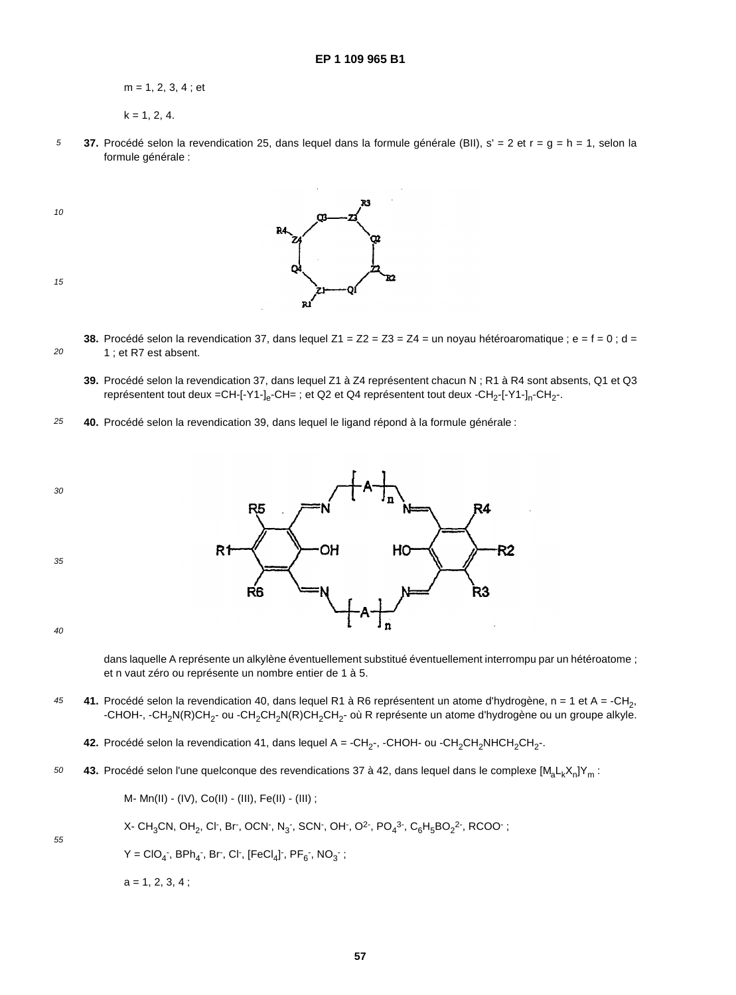m = 1, 2, 3, 4 ; et

- $k = 1, 2, 4.$
- 5 **37.** Procédé selon la revendication 25, dans lequel dans la formule générale (BII), s' = 2 et r = g = h = 1, selon la formule générale :
- 10



20

**38.** Procédé selon la revendication 37, dans lequel  $Z_1 = Z_2 = Z_3 = Z_4 =$  un noyau hétéroaromatique ; e = f = 0 ; d = 1 ; et R7 est absent.

- **39.** Procédé selon la revendication 37, dans lequel Z1 à Z4 représentent chacun N ; R1 à R4 sont absents, Q1 et Q3 représentent tout deux =CH-[-Y1-]<sub>e</sub>-CH= ; et Q2 et Q4 représentent tout deux -CH<sub>2</sub>-[-Y1-]<sub>n</sub>-CH<sub>2</sub>-.
- 25 **40.** Procédé selon la revendication 39, dans lequel le ligand répond à la formule générale :



40

55

dans laquelle A représente un alkylène éventuellement substitué éventuellement interrompu par un hétéroatome ; et n vaut zéro ou représente un nombre entier de 1 à 5.

45 41. Procédé selon la revendication 40, dans lequel R1 à R6 représentent un atome d'hydrogène, n = 1 et A = -CH<sub>2</sub>, -CHOH-, -CH<sub>2</sub>N(R)CH<sub>2</sub>- ou -CH<sub>2</sub>CH<sub>2</sub>N(R)CH<sub>2</sub>CH<sub>2</sub>- où R représente un atome d'hydrogène ou un groupe alkyle.

**42.** Procédé selon la revendication 41, dans lequel  $A = -CH_2$ -, -CHOH- ou -CH<sub>2</sub>CH<sub>2</sub>NHCH<sub>2</sub>CH<sub>2</sub>-.

50 43. Procédé selon l'une quelconque des revendications 37 à 42, dans lequel dans le complexe [M<sub>a</sub>L<sub>k</sub>X<sub>n</sub>]Y<sub>m</sub> :

M- Mn(II) - (IV), Co(II) - (III), Fe(II) - (III) ;

X- CH $_{3}$ CN, OH $_{2}$ , Cl $\cdot$ , Br $\cdot$ , OCN $\cdot$ , N $_{3}$  , SCN $\cdot$ , OH $\cdot$ , O $^{2}$  , PO $_{4}{}^{3}$  , C $_{6}$ H $_{5}$ BO $_{2}{}^{2}$  , RCOO $\cdot$  ;

 $Y = ClO_4$ , BPh<sub>4</sub>, Br, Cl, [FeCl<sub>4</sub>], PF<sub>6</sub>, NO<sub>3</sub>;

 $a = 1, 2, 3, 4$ ;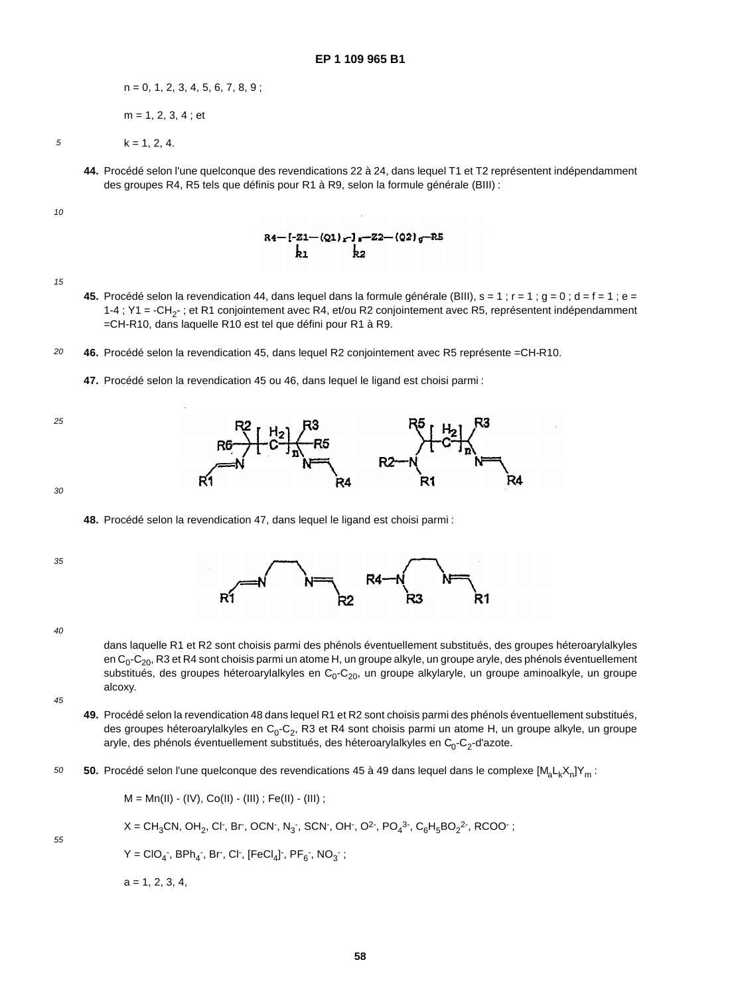$n = 0, 1, 2, 3, 4, 5, 6, 7, 8, 9$ ;

m = 1, 2, 3, 4 ; et

5

 $k = 1, 2, 4.$ 

**44.** Procédé selon l'une quelconque des revendications 22 à 24, dans lequel T1 et T2 représentent indépendamment des groupes R4, R5 tels que définis pour R1 à R9, selon la formule générale (BIII) :

10

 $R4 - [-21 - (Q1)_r]_s - 22 - (Q2)_g - R5$ <br>k1 k2

15

- **45.** Procédé selon la revendication 44, dans lequel dans la formule générale (BIII),  $s = 1$ ;  $r = 1$ ;  $g = 0$ ;  $d = f = 1$ ;  $e =$ 1-4 ; Y1 = -CH<sub>2</sub>- ; et R1 conjointement avec R4, et/ou R2 conjointement avec R5, représentent indépendamment =CH-R10, dans laquelle R10 est tel que défini pour R1 à R9.
- 20 **46.** Procédé selon la revendication 45, dans lequel R2 conjointement avec R5 représente =CH-R10.
	- **47.** Procédé selon la revendication 45 ou 46, dans lequel le ligand est choisi parmi :

### **48.** Procédé selon la revendication 47, dans lequel le ligand est choisi parmi :

35

30

25



40

dans laquelle R1 et R2 sont choisis parmi des phénols éventuellement substitués, des groupes héteroarylalkyles en C<sub>0</sub>-C<sub>20</sub>, R3 et R4 sont choisis parmi un atome H, un groupe alkyle, un groupe aryle, des phénols éventuellement substitués, des groupes héteroarylalkyles en C<sub>0</sub>-C<sub>20</sub>, un groupe alkylaryle, un groupe aminoalkyle, un groupe alcoxy.

45

55

- **49.** Procédé selon la revendication 48 dans lequel R1 et R2 sont choisis parmi des phénols éventuellement substitués, des groupes héteroarylalkyles en  $C_0$ - $C_2$ , R3 et R4 sont choisis parmi un atome H, un groupe alkyle, un groupe aryle, des phénols éventuellement substitués, des héteroarylalkyles en  $C_0$ - $C_2$ -d'azote.
- 50 50. Procédé selon l'une quelconque des revendications 45 à 49 dans lequel dans le complexe [M<sub>a</sub>L<sub>k</sub>X<sub>n</sub>]Y<sub>m</sub> :

 $M = Mn(II) - (IV), CO(II) - (III); Fe(II) - (III);$ 

$$
X = CH_3CN, OH_2, Cl^-, Br^-, OCN^-, N_3^-, SCN^-, OH^-, O^{2-}, PO_4^{3-}, C_6H_5BO_2^{2-}, RCOO^-;
$$

 $Y = ClO_4$ , BPh<sub>4</sub>, Br, Cl, [FeCl<sub>4</sub>], PF<sub>6</sub>, NO<sub>3</sub>;

 $a = 1, 2, 3, 4,$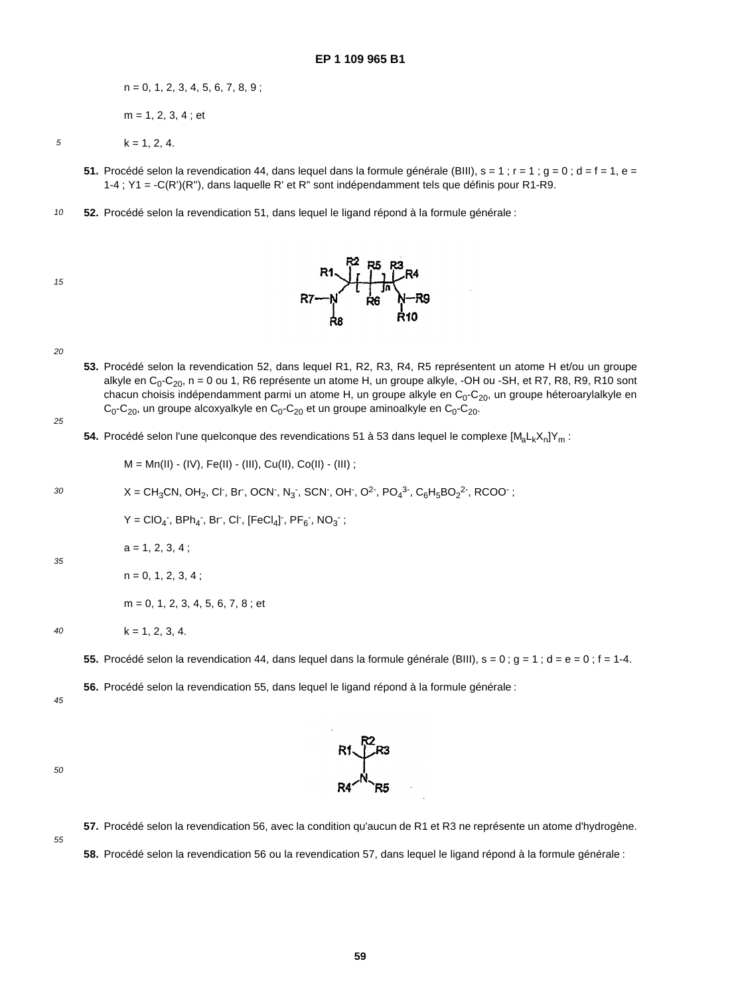$n = 0, 1, 2, 3, 4, 5, 6, 7, 8, 9;$ m = 1, 2, 3, 4 ; et

5

 $k = 1, 2, 4.$ 

- **51.** Procédé selon la revendication 44, dans lequel dans la formule générale (BIII),  $s = 1$ ;  $r = 1$ ;  $q = 0$ ;  $d = f = 1$ ,  $e = f$ 1-4 ; Y1 = -C(R')(R''), dans laquelle R' et R" sont indépendamment tels que définis pour R1-R9.
- 10 **52.** Procédé selon la revendication 51, dans lequel le ligand répond à la formule générale :





20

**53.** Procédé selon la revendication 52, dans lequel R1, R2, R3, R4, R5 représentent un atome H et/ou un groupe alkyle en  $C_0$ - $C_{20}$ , n = 0 ou 1, R6 représente un atome H, un groupe alkyle, -OH ou -SH, et R7, R8, R9, R10 sont chacun choisis indépendamment parmi un atome H, un groupe alkyle en  $C_0$ - $C_{20}$ , un groupe héteroarylalkyle en  $C_0$ -C<sub>20</sub>, un groupe alcoxyalkyle en C<sub>0</sub>-C<sub>20</sub> et un groupe aminoalkyle en C<sub>0</sub>-C<sub>20</sub>.

25

54. Procédé selon l'une quelconque des revendications 51 à 53 dans lequel le complexe [M<sub>a</sub>L<sub>k</sub>X<sub>n</sub>]Y<sub>m</sub> :

M = Mn(II) - (IV), Fe(II) - (III), Cu(II), Co(II) - (III) ;

30 
$$
X = CH_3CN
$$
,  $OH_2$ ,  $Cl^-$ ,  $Br$ ,  $OCN^-$ ,  $N_3^-$ ,  $SCN^-$ ,  $OH^-$ ,  $O^2^-$ ,  $PO_4^{3^-}$ ,  $C_6H_5BO_2^{2^-}$ ,  $RCOO^-$ ;

 $Y = ClO_4$ , BPh<sub>4</sub>, Br, Cl, [FeCl<sub>4</sub>], PF<sub>6</sub>, NO<sub>3</sub>;

 $a = 1, 2, 3, 4$  ;

35

 $n = 0, 1, 2, 3, 4;$ 

 $k = 1, 2, 3, 4.$ 

 $m = 0, 1, 2, 3, 4, 5, 6, 7, 8$ ; et

40

**55.** Procédé selon la revendication 44, dans lequel dans la formule générale (BIII),  $s = 0$ ;  $q = 1$ ;  $d = e = 0$ ;  $f = 1-4$ .

**56.** Procédé selon la revendication 55, dans lequel le ligand répond à la formule générale :

45

50





**57.** Procédé selon la revendication 56, avec la condition qu'aucun de R1 et R3 ne représente un atome d'hydrogène.

**58.** Procédé selon la revendication 56 ou la revendication 57, dans lequel le ligand répond à la formule générale :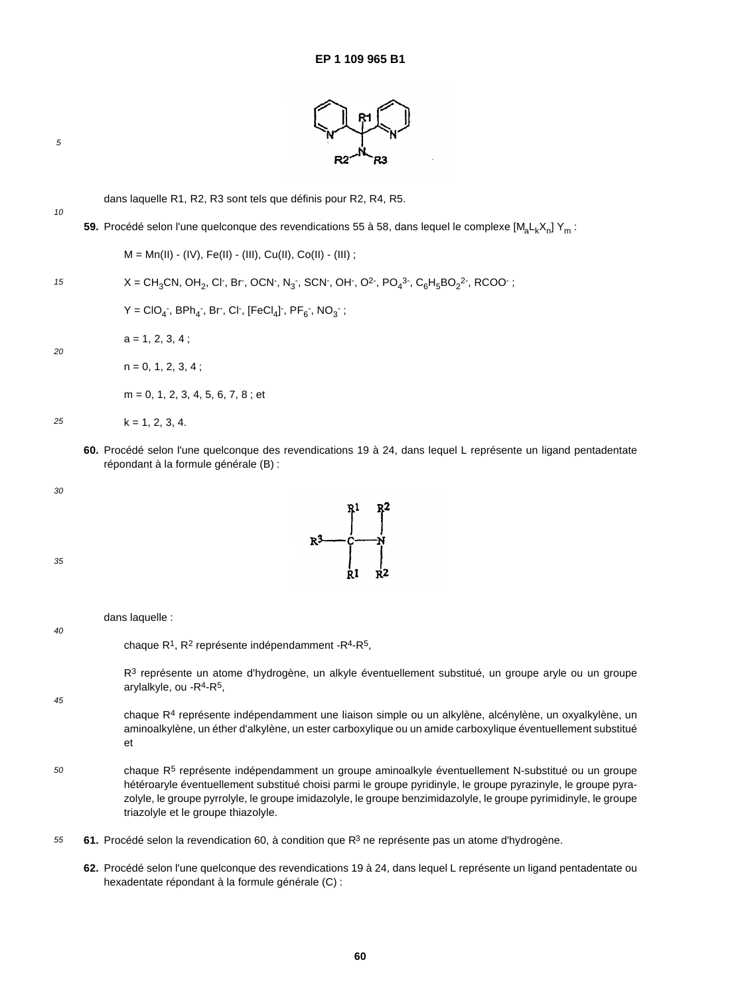

10

dans laquelle R1, R2, R3 sont tels que définis pour R2, R4, R5.

59. Procédé selon l'une quelconque des revendications 55 à 58, dans lequel le complexe [M<sub>a</sub>L<sub>k</sub>X<sub>n</sub>] Y<sub>m</sub> :

15 20 25  $M = Mn(II) - (IV), Fe(II) - (III), Cu(II), Co(II) - (III);$  $X = CH_3CN$ , OH<sub>2</sub>, Cl<sup>-</sup>, Br<sup>-</sup>, OCN<sup>-</sup>, N<sub>3</sub><sup>-</sup>, SCN<sup>-</sup>, OH<sup>-</sup>, O<sup>2-</sup>, PO<sub>4</sub><sup>3-</sup>, C<sub>6</sub>H<sub>5</sub>BO<sub>2</sub><sup>2-</sup>, RCOO<sup>-</sup>;  $Y = ClO_4$ , BPh<sub>4</sub>, Br, Cl, [FeCl<sub>4</sub>], PF<sub>6</sub>, NO<sub>3</sub>;  $a = 1, 2, 3, 4$  ;  $n = 0, 1, 2, 3, 4;$  $m = 0, 1, 2, 3, 4, 5, 6, 7, 8$ ; et  $k = 1, 2, 3, 4.$ 

**60.** Procédé selon l'une quelconque des revendications 19 à 24, dans lequel L représente un ligand pentadentate répondant à la formule générale (B) :

 $R^3$   $R^3$ 

$$
R^{3}
$$
\n
$$
R^{2}
$$
\n
$$
R^{1}
$$
\n
$$
R^{2}
$$
\n
$$
R^{3}
$$
\n
$$
R^{1}
$$
\n
$$
R^{2}
$$
\n
$$
R^{3}
$$
\n
$$
R^{1}
$$
\n
$$
R^{1}
$$
\n
$$
R^{2}
$$
\n
$$
R^{3}
$$
\n
$$
R^{1}
$$
\n
$$
R^{1}
$$
\n
$$
R^{2}
$$
\n
$$
R^{3}
$$
\n
$$
R^{4}
$$
\n
$$
R^{5}
$$

 $R<sup>3</sup>$  représente un atome d'hydrogène, un alkyle éventuellement substitué, un groupe aryle ou un groupe arylalkyle, ou -R<sup>4</sup>-R<sup>5</sup>,

45

30

chaque R<sup>4</sup> représente indépendamment une liaison simple ou un alkylène, alcénylène, un oxyalkylène, un aminoalkylène, un éther d'alkylène, un ester carboxylique ou un amide carboxylique éventuellement substitué et

- 50 chaque R5 représente indépendamment un groupe aminoalkyle éventuellement N-substitué ou un groupe hétéroaryle éventuellement substitué choisi parmi le groupe pyridinyle, le groupe pyrazinyle, le groupe pyrazolyle, le groupe pyrrolyle, le groupe imidazolyle, le groupe benzimidazolyle, le groupe pyrimidinyle, le groupe triazolyle et le groupe thiazolyle.
- 55 61. Procédé selon la revendication 60, à condition que R<sup>3</sup> ne représente pas un atome d'hydrogène.
	- **62.** Procédé selon l'une quelconque des revendications 19 à 24, dans lequel L représente un ligand pentadentate ou hexadentate répondant à la formule générale (C) :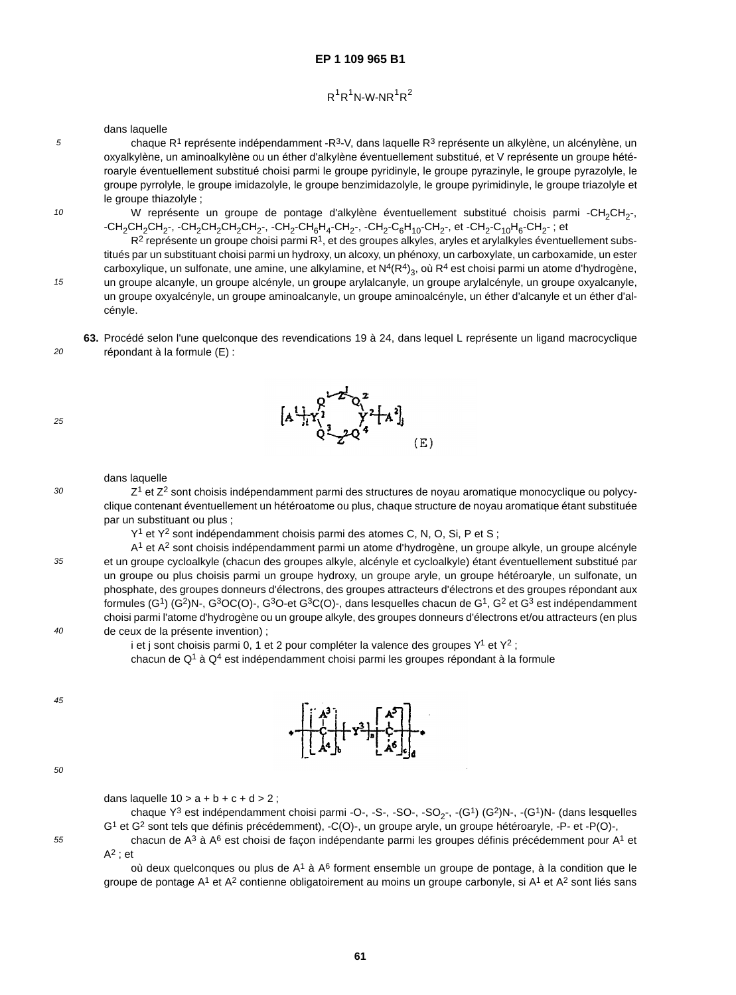# $R^1R^1N$ -W-NR $^1R^2$

dans laquelle

cényle.

chaque  $R^1$  représente indépendamment - $R^3$ -V, dans laquelle  $R^3$  représente un alkylène, un alcénylène, un oxyalkylène, un aminoalkylène ou un éther d'alkylène éventuellement substitué, et V représente un groupe hétéroaryle éventuellement substitué choisi parmi le groupe pyridinyle, le groupe pyrazinyle, le groupe pyrazolyle, le groupe pyrrolyle, le groupe imidazolyle, le groupe benzimidazolyle, le groupe pyrimidinyle, le groupe triazolyle et le groupe thiazolyle ;

W représente un groupe de pontage d'alkylène éventuellement substitué choisis parmi -CH<sub>2</sub>CH<sub>2</sub>-,  $-CH_2CH_2CH_2$ -,  $-CH_2CH_2CH_2CH_2$ -,  $-CH_2-CH_6H_4$ -CH<sub>2</sub>-,  $-CH_2- C_6H_{10}$ -CH<sub>2</sub>-, et  $-CH_2- C_{10}H_6$ -CH<sub>2</sub>-; et

 $R^2$  représente un groupe choisi parmi  $R^1$ , et des groupes alkyles, aryles et arylalkyles éventuellement substitués par un substituant choisi parmi un hydroxy, un alcoxy, un phénoxy, un carboxylate, un carboxamide, un ester carboxylique, un sulfonate, une amine, une alkylamine, et  $N^4(R^4)_3$ , où R<sup>4</sup> est choisi parmi un atome d'hydrogène, un groupe alcanyle, un groupe alcényle, un groupe arylalcanyle, un groupe arylalcényle, un groupe oxyalcanyle, un groupe oxyalcényle, un groupe aminoalcanyle, un groupe aminoalcényle, un éther d'alcanyle et un éther d'al-

**63.** Procédé selon l'une quelconque des revendications 19 à 24, dans lequel L représente un ligand macrocyclique répondant à la formule (E) :

25

30

5

10

15

 $20$ 

### dans laquelle

 $Z<sup>1</sup>$  et  $Z<sup>2</sup>$  sont choisis indépendamment parmi des structures de noyau aromatique monocyclique ou polycyclique contenant éventuellement un hétéroatome ou plus, chaque structure de noyau aromatique étant substituée par un substituant ou plus ;

Y<sup>1</sup> et Y<sup>2</sup> sont indépendamment choisis parmi des atomes C, N, O, Si, P et S;

A1 et A2 sont choisis indépendamment parmi un atome d'hydrogène, un groupe alkyle, un groupe alcényle et un groupe cycloalkyle (chacun des groupes alkyle, alcényle et cycloalkyle) étant éventuellement substitué par un groupe ou plus choisis parmi un groupe hydroxy, un groupe aryle, un groupe hétéroaryle, un sulfonate, un phosphate, des groupes donneurs d'électrons, des groupes attracteurs d'électrons et des groupes répondant aux formules (G1) (G2)N-, G3OC(O)-, G3O-et G3C(O)-, dans lesquelles chacun de G1, G2 et G3 est indépendamment choisi parmi l'atome d'hydrogène ou un groupe alkyle, des groupes donneurs d'électrons et/ou attracteurs (en plus de ceux de la présente invention) ;

i et j sont choisis parmi 0, 1 et 2 pour compléter la valence des groupes  $Y^1$  et  $Y^2$ ;

chacun de  $Q<sup>1</sup>$  à  $Q<sup>4</sup>$  est indépendamment choisi parmi les groupes répondant à la formule

45



dans laquelle  $10 > a + b + c + d > 2$ ;

chaque  $Y^3$  est indépendamment choisi parmi -O-, -S-, -SO-, -SO<sub>2-</sub>, -(G<sup>1</sup>) (G<sup>2</sup>)N-, -(G<sup>1</sup>)N- (dans lesquelles G1 et G2 sont tels que définis précédemment), -C(O)-, un groupe aryle, un groupe hétéroaryle, -P- et -P(O)-, chacun de  $A^3$  à  $A^6$  est choisi de façon indépendante parmi les groupes définis précédemment pour  $A^1$  et

 $A^2$  : et

où deux quelconques ou plus de  $A^1$  à  $A^6$  forment ensemble un groupe de pontage, à la condition que le groupe de pontage  $A^1$  et  $A^2$  contienne obligatoirement au moins un groupe carbonyle, si  $A^1$  et  $A^2$  sont liés sans



 $-x^2$ 



40

35